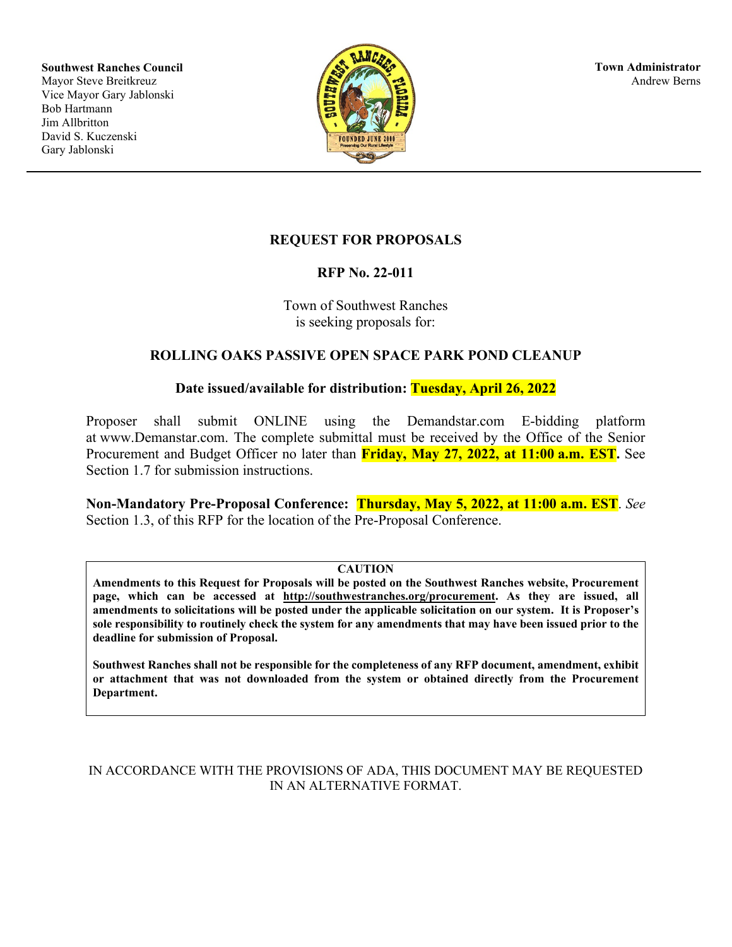**Southwest Ranches Council** Mayor Steve Breitkreuz Vice Mayor Gary Jablonski Bob Hartmann Jim Allbritton David S. Kuczenski Gary Jablonski



**Town Administrator** Andrew Berns

### **REQUEST FOR PROPOSALS**

### **RFP No. 22-011**

Town of Southwest Ranches is seeking proposals for:

### **ROLLING OAKS PASSIVE OPEN SPACE PARK POND CLEANUP**

### **Date issued/available for distribution: Tuesday, April 26, 2022**

Proposer shall submit ONLINE using the Demandstar.com E-bidding platform at www.Demanstar.com. The complete submittal must be received by the Office of the Senior Procurement and Budget Officer no later than **Friday, May 27, 2022, at 11:00 a.m. EST.** See Section 1.7 for submission instructions.

**Non-Mandatory Pre-Proposal Conference: Thursday, May 5, 2022, at 11:00 a.m. EST**. *See* Section 1.3, of this RFP for the location of the Pre-Proposal Conference.

#### **CAUTION**

**Amendments to this Request for Proposals will be posted on the Southwest Ranches website, Procurement page, which can be accessed at http://southwestranches.org/procurement. As they are issued, all amendments to solicitations will be posted under the applicable solicitation on our system. It is Proposer's sole responsibility to routinely check the system for any amendments that may have been issued prior to the deadline for submission of Proposal.**

**Southwest Ranches shall not be responsible for the completeness of any RFP document, amendment, exhibit or attachment that was not downloaded from the system or obtained directly from the Procurement Department.**

### IN ACCORDANCE WITH THE PROVISIONS OF ADA, THIS DOCUMENT MAY BE REQUESTED IN AN ALTERNATIVE FORMAT.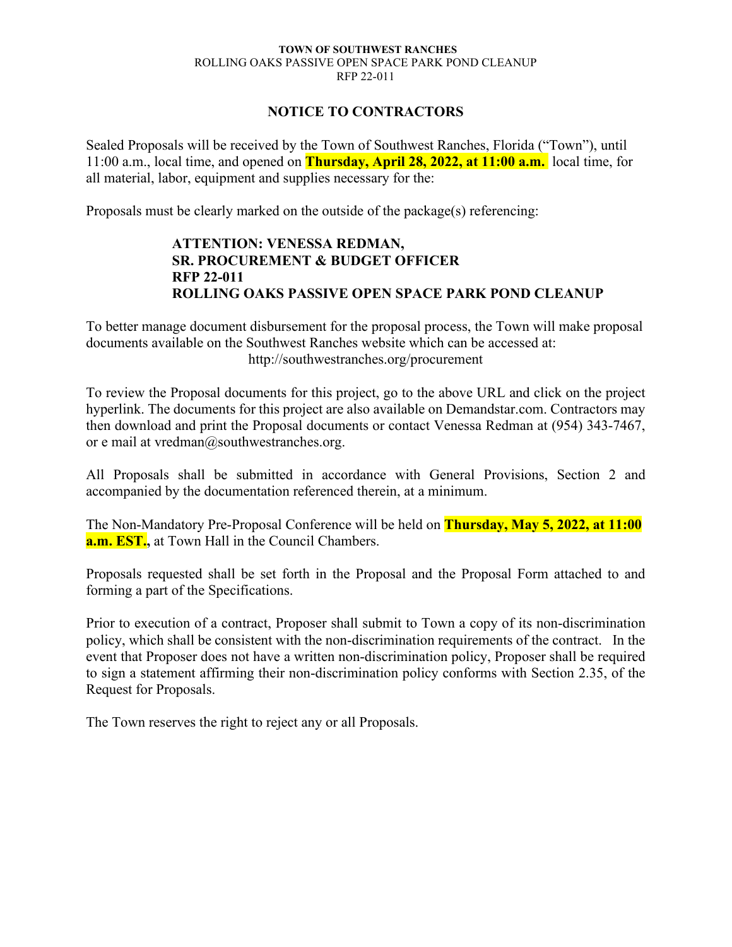### **NOTICE TO CONTRACTORS**

Sealed Proposals will be received by the Town of Southwest Ranches, Florida ("Town"), until 11:00 a.m., local time, and opened on **Thursday, April 28, 2022, at 11:00 a.m.** local time, for all material, labor, equipment and supplies necessary for the:

Proposals must be clearly marked on the outside of the package(s) referencing:

### **ATTENTION: VENESSA REDMAN, SR. PROCUREMENT & BUDGET OFFICER RFP 22-011 ROLLING OAKS PASSIVE OPEN SPACE PARK POND CLEANUP**

To better manage document disbursement for the proposal process, the Town will make proposal documents available on the Southwest Ranches website which can be accessed at: http://southwestranches.org/procurement

To review the Proposal documents for this project, go to the above URL and click on the project hyperlink. The documents for this project are also available on Demandstar.com. Contractors may then download and print the Proposal documents or contact Venessa Redman at (954) 343-7467, or e mail at vredman@southwestranches.org.

All Proposals shall be submitted in accordance with General Provisions, Section 2 and accompanied by the documentation referenced therein, at a minimum.

The Non-Mandatory Pre-Proposal Conference will be held on **Thursday, May 5, 2022, at 11:00 a.m. EST.,** at Town Hall in the Council Chambers.

Proposals requested shall be set forth in the Proposal and the Proposal Form attached to and forming a part of the Specifications.

Prior to execution of a contract, Proposer shall submit to Town a copy of its non-discrimination policy, which shall be consistent with the non-discrimination requirements of the contract. In the event that Proposer does not have a written non-discrimination policy, Proposer shall be required to sign a statement affirming their non-discrimination policy conforms with Section 2.35, of the Request for Proposals.

The Town reserves the right to reject any or all Proposals.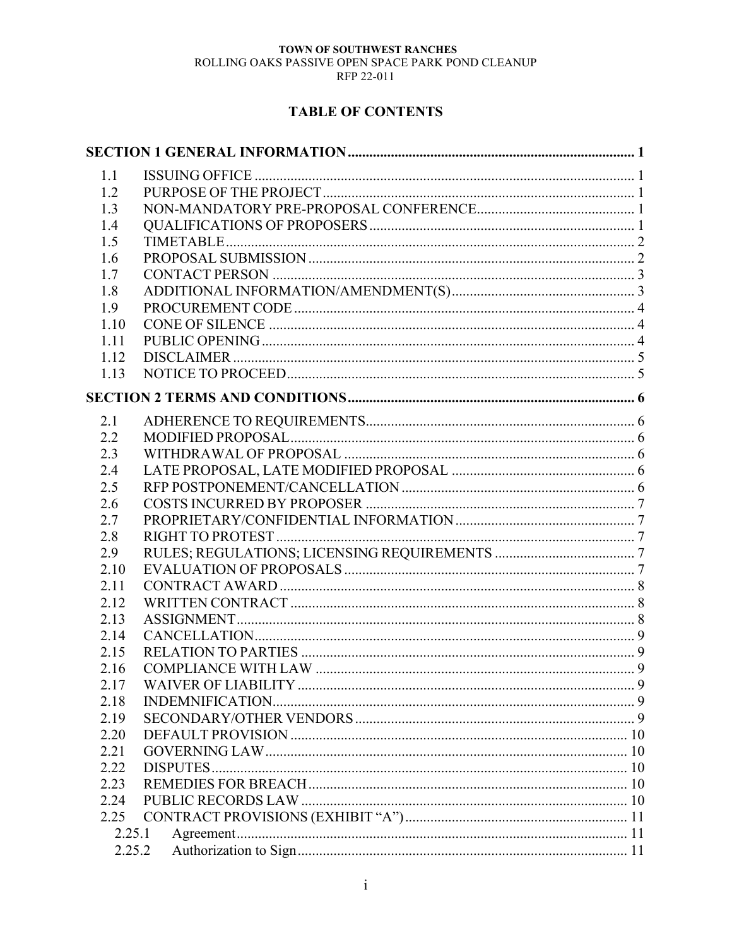# **TABLE OF CONTENTS**

| 1.1    |  |
|--------|--|
| 1.2    |  |
| 1.3    |  |
| 1.4    |  |
| 1.5    |  |
| 1.6    |  |
| 1.7    |  |
| 1.8    |  |
| 1.9    |  |
| 1.10   |  |
| 1.11   |  |
| 1.12   |  |
| 1.13   |  |
|        |  |
| 2.1    |  |
| 2.2    |  |
| 2.3    |  |
| 2.4    |  |
| 2.5    |  |
| 2.6    |  |
| 2.7    |  |
| 2.8    |  |
| 2.9    |  |
| 2.10   |  |
| 2.11   |  |
| 2.12   |  |
| 2.13   |  |
| 2.14   |  |
| 2.15   |  |
| 2.16   |  |
| 2.17   |  |
| 2.18   |  |
| 2.19   |  |
| 2.20   |  |
| 2.21   |  |
| 2.22   |  |
| 2.23   |  |
| 2.24   |  |
| 2.25   |  |
| 2.25.1 |  |
| 2.25.2 |  |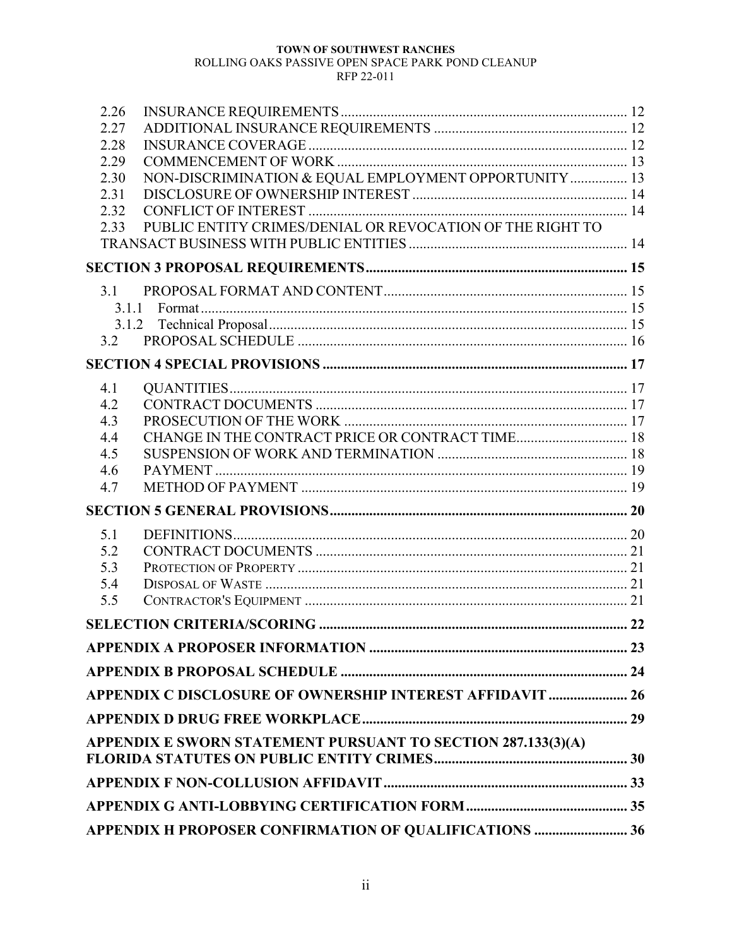# TOWN OF SOUTHWEST RANCHES

# ROLLING OAKS PASSIVE OPEN SPACE PARK POND CLEANUP

#### RFP 22-011

| 2.26<br>2.27<br>2.28<br>2.29<br>2.30<br>2.31<br>2.32<br>2.33 | NON-DISCRIMINATION & EQUAL EMPLOYMENT OPPORTUNITY  13<br>PUBLIC ENTITY CRIMES/DENIAL OR REVOCATION OF THE RIGHT TO |  |
|--------------------------------------------------------------|--------------------------------------------------------------------------------------------------------------------|--|
|                                                              |                                                                                                                    |  |
| 3.1                                                          |                                                                                                                    |  |
| 3.1.1                                                        |                                                                                                                    |  |
| 3.1.2<br>3.2                                                 |                                                                                                                    |  |
|                                                              |                                                                                                                    |  |
|                                                              |                                                                                                                    |  |
| 4.1                                                          |                                                                                                                    |  |
| 4.2<br>4.3                                                   |                                                                                                                    |  |
| 4.4                                                          | CHANGE IN THE CONTRACT PRICE OR CONTRACT TIME 18                                                                   |  |
| 4.5                                                          |                                                                                                                    |  |
| 4.6                                                          |                                                                                                                    |  |
| 4.7                                                          |                                                                                                                    |  |
|                                                              |                                                                                                                    |  |
| 5.1                                                          |                                                                                                                    |  |
| 5.2                                                          |                                                                                                                    |  |
| 5.3                                                          |                                                                                                                    |  |
| 5.4                                                          |                                                                                                                    |  |
| 5.5                                                          |                                                                                                                    |  |
|                                                              |                                                                                                                    |  |
|                                                              |                                                                                                                    |  |
|                                                              |                                                                                                                    |  |
|                                                              | APPENDIX C DISCLOSURE OF OWNERSHIP INTEREST AFFIDAVIT  26                                                          |  |
|                                                              |                                                                                                                    |  |
|                                                              | APPENDIX E SWORN STATEMENT PURSUANT TO SECTION 287.133(3)(A)                                                       |  |
|                                                              |                                                                                                                    |  |
|                                                              |                                                                                                                    |  |
|                                                              | APPENDIX H PROPOSER CONFIRMATION OF QUALIFICATIONS  36                                                             |  |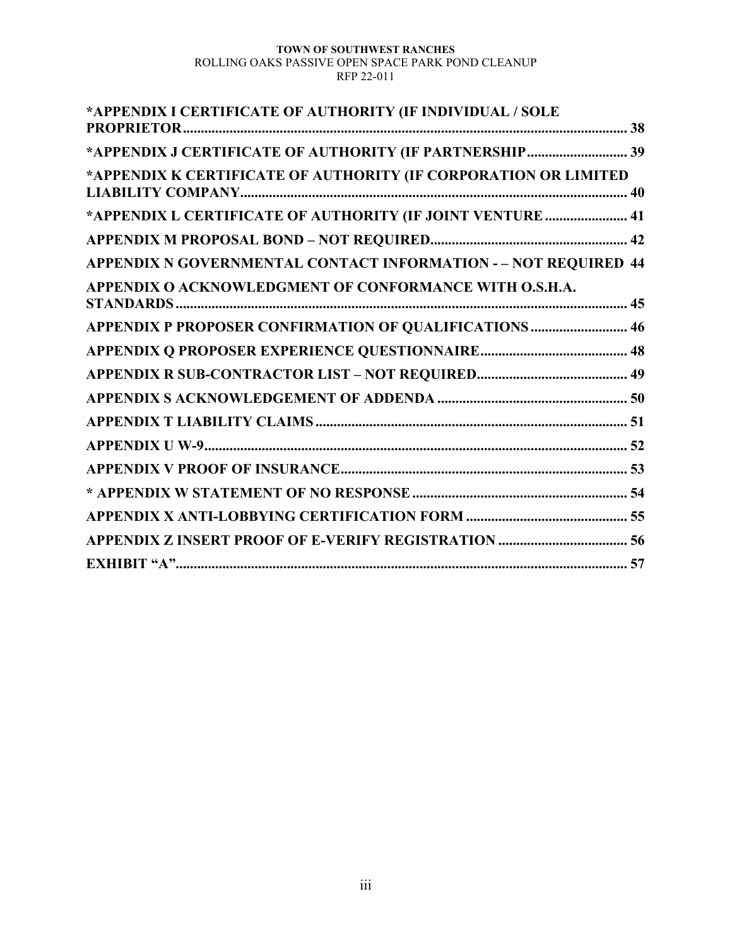| *APPENDIX I CERTIFICATE OF AUTHORITY (IF INDIVIDUAL / SOLE<br><b>PROPRIETOR.</b> |  |
|----------------------------------------------------------------------------------|--|
|                                                                                  |  |
| *APPENDIX J CERTIFICATE OF AUTHORITY (IF PARTNERSHIP  39                         |  |
| *APPENDIX K CERTIFICATE OF AUTHORITY (IF CORPORATION OR LIMITED                  |  |
|                                                                                  |  |
| *APPENDIX L CERTIFICATE OF AUTHORITY (IF JOINT VENTURE  41                       |  |
|                                                                                  |  |
|                                                                                  |  |
| <b>APPENDIX N GOVERNMENTAL CONTACT INFORMATION - - NOT REQUIRED 44</b>           |  |
| APPENDIX O ACKNOWLEDGMENT OF CONFORMANCE WITH O.S.H.A.                           |  |
|                                                                                  |  |
| APPENDIX P PROPOSER CONFIRMATION OF QUALIFICATIONS  46                           |  |
|                                                                                  |  |
|                                                                                  |  |
|                                                                                  |  |
|                                                                                  |  |
|                                                                                  |  |
|                                                                                  |  |
|                                                                                  |  |
|                                                                                  |  |
|                                                                                  |  |
|                                                                                  |  |
|                                                                                  |  |
|                                                                                  |  |
|                                                                                  |  |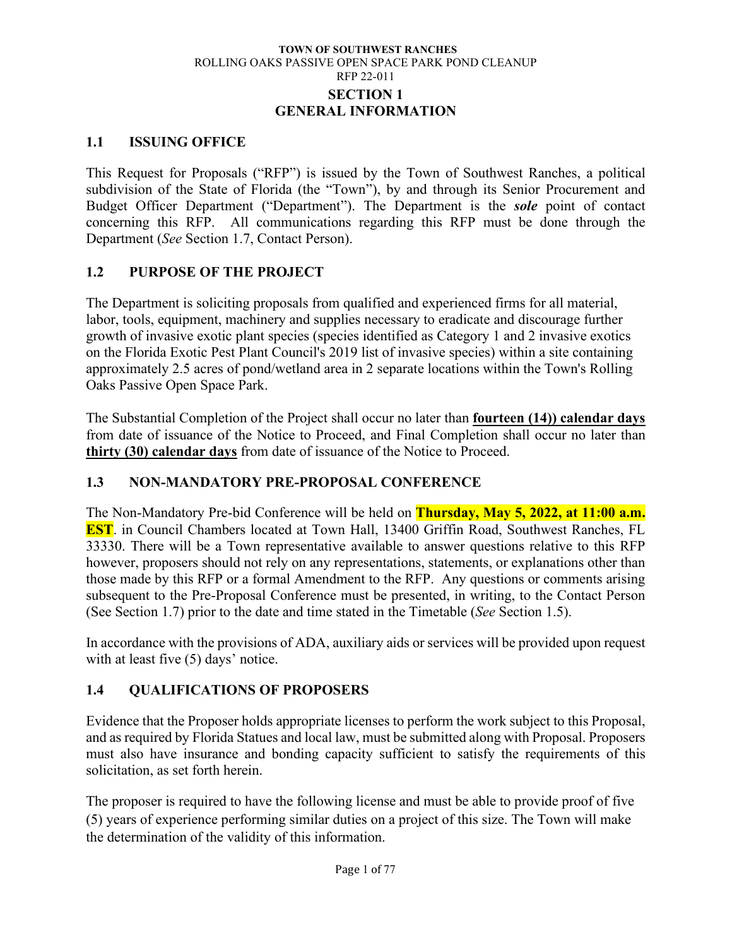### **TOWN OF SOUTHWEST RANCHES** ROLLING OAKS PASSIVE OPEN SPACE PARK POND CLEANUP RFP 22-011 **SECTION 1 GENERAL INFORMATION**

### <span id="page-5-1"></span><span id="page-5-0"></span>**1.1 ISSUING OFFICE**

This Request for Proposals ("RFP") is issued by the Town of Southwest Ranches, a political subdivision of the State of Florida (the "Town"), by and through its Senior Procurement and Budget Officer Department ("Department"). The Department is the *sole* point of contact concerning this RFP. All communications regarding this RFP must be done through the Department (*See* Section 1.7, Contact Person).

### <span id="page-5-2"></span>**1.2 PURPOSE OF THE PROJECT**

The Department is soliciting proposals from qualified and experienced firms for all material, labor, tools, equipment, machinery and supplies necessary to eradicate and discourage further growth of invasive exotic plant species (species identified as Category 1 and 2 invasive exotics on the Florida Exotic Pest Plant Council's 2019 list of invasive species) within a site containing approximately 2.5 acres of pond/wetland area in 2 separate locations within the Town's Rolling Oaks Passive Open Space Park.

The Substantial Completion of the Project shall occur no later than **fourteen (14)) calendar days** from date of issuance of the Notice to Proceed, and Final Completion shall occur no later than **thirty (30) calendar days** from date of issuance of the Notice to Proceed.

## <span id="page-5-3"></span>**1.3 NON-MANDATORY PRE-PROPOSAL CONFERENCE**

The Non-Mandatory Pre-bid Conference will be held on **Thursday, May 5, 2022, at 11:00 a.m. EST**. in Council Chambers located at Town Hall, 13400 Griffin Road, Southwest Ranches, FL 33330. There will be a Town representative available to answer questions relative to this RFP however, proposers should not rely on any representations, statements, or explanations other than those made by this RFP or a formal Amendment to the RFP. Any questions or comments arising subsequent to the Pre-Proposal Conference must be presented, in writing, to the Contact Person (See Section 1.7) prior to the date and time stated in the Timetable (*See* Section 1.5).

In accordance with the provisions of ADA, auxiliary aids or services will be provided upon request with at least five (5) days' notice.

## <span id="page-5-4"></span>**1.4 QUALIFICATIONS OF PROPOSERS**

Evidence that the Proposer holds appropriate licenses to perform the work subject to this Proposal, and as required by Florida Statues and local law, must be submitted along with Proposal. Proposers must also have insurance and bonding capacity sufficient to satisfy the requirements of this solicitation, as set forth herein.

The proposer is required to have the following license and must be able to provide proof of five (5) years of experience performing similar duties on a project of this size. The Town will make the determination of the validity of this information.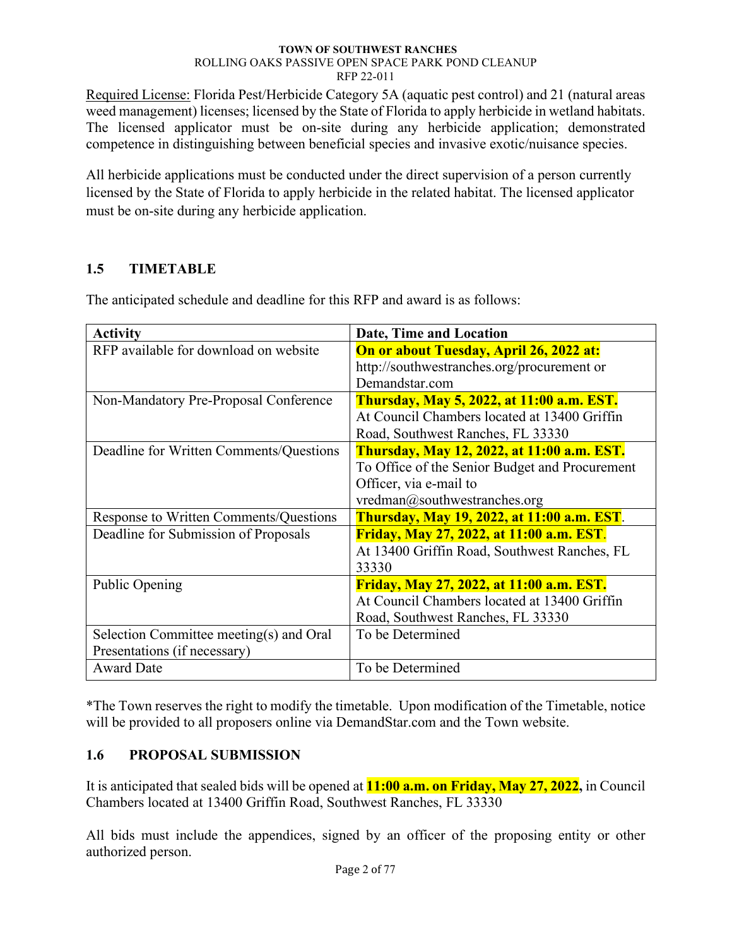Required License: Florida Pest/Herbicide Category 5A (aquatic pest control) and 21 (natural areas weed management) licenses; licensed by the State of Florida to apply herbicide in wetland habitats. The licensed applicator must be on-site during any herbicide application; demonstrated competence in distinguishing between beneficial species and invasive exotic/nuisance species.

All herbicide applications must be conducted under the direct supervision of a person currently licensed by the State of Florida to apply herbicide in the related habitat. The licensed applicator must be on-site during any herbicide application.

# <span id="page-6-0"></span>**1.5 TIMETABLE**

| <b>Activity</b>                         | Date, Time and Location                           |
|-----------------------------------------|---------------------------------------------------|
| RFP available for download on website   | On or about Tuesday, April 26, 2022 at:           |
|                                         | http://southwestranches.org/procurement or        |
|                                         | Demandstar.com                                    |
| Non-Mandatory Pre-Proposal Conference   | <b>Thursday, May 5, 2022, at 11:00 a.m. EST.</b>  |
|                                         | At Council Chambers located at 13400 Griffin      |
|                                         | Road, Southwest Ranches, FL 33330                 |
| Deadline for Written Comments/Questions | <b>Thursday, May 12, 2022, at 11:00 a.m. EST.</b> |
|                                         | To Office of the Senior Budget and Procurement    |
|                                         | Officer, via e-mail to                            |
|                                         | vredman@southwestranches.org                      |
| Response to Written Comments/Questions  | <b>Thursday, May 19, 2022, at 11:00 a.m. EST.</b> |
| Deadline for Submission of Proposals    | <b>Friday, May 27, 2022, at 11:00 a.m. EST.</b>   |
|                                         | At 13400 Griffin Road, Southwest Ranches, FL      |
|                                         | 33330                                             |
| Public Opening                          | <b>Friday, May 27, 2022, at 11:00 a.m. EST.</b>   |
|                                         | At Council Chambers located at 13400 Griffin      |
|                                         | Road, Southwest Ranches, FL 33330                 |
| Selection Committee meeting(s) and Oral | To be Determined                                  |
| Presentations (if necessary)            |                                                   |
| <b>Award Date</b>                       | To be Determined                                  |

The anticipated schedule and deadline for this RFP and award is as follows:

\*The Town reserves the right to modify the timetable. Upon modification of the Timetable, notice will be provided to all proposers online via DemandStar.com and the Town website.

# <span id="page-6-1"></span>**1.6 PROPOSAL SUBMISSION**

It is anticipated that sealed bids will be opened at **11:00 a.m. on Friday, May 27, 2022,** in Council Chambers located at 13400 Griffin Road, Southwest Ranches, FL 33330

All bids must include the appendices, signed by an officer of the proposing entity or other authorized person.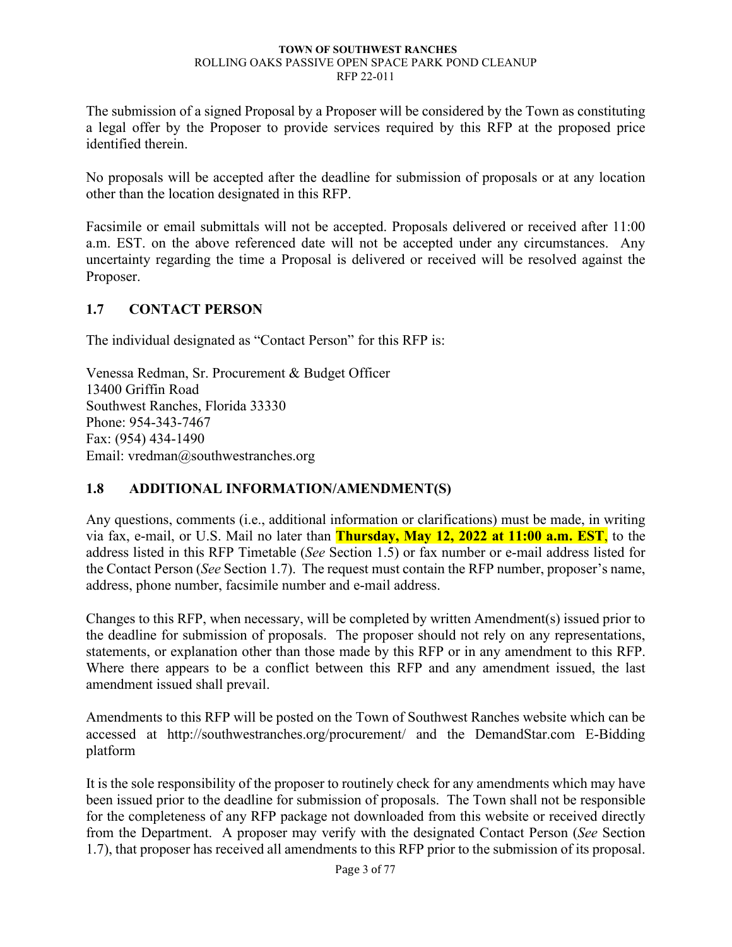The submission of a signed Proposal by a Proposer will be considered by the Town as constituting a legal offer by the Proposer to provide services required by this RFP at the proposed price identified therein.

No proposals will be accepted after the deadline for submission of proposals or at any location other than the location designated in this RFP.

Facsimile or email submittals will not be accepted. Proposals delivered or received after 11:00 a.m. EST. on the above referenced date will not be accepted under any circumstances. Any uncertainty regarding the time a Proposal is delivered or received will be resolved against the Proposer.

### <span id="page-7-0"></span>**1.7 CONTACT PERSON**

The individual designated as "Contact Person" for this RFP is:

Venessa Redman, Sr. Procurement & Budget Officer 13400 Griffin Road Southwest Ranches, Florida 33330 Phone: 954-343-7467 Fax: (954) 434-1490 Email: vredman@southwestranches.org

## <span id="page-7-1"></span>**1.8 ADDITIONAL INFORMATION/AMENDMENT(S)**

Any questions, comments (i.e., additional information or clarifications) must be made, in writing via fax, e-mail, or U.S. Mail no later than **Thursday, May 12, 2022 at 11:00 a.m. EST**, to the address listed in this RFP Timetable (*See* Section 1.5) or fax number or e-mail address listed for the Contact Person (*See* Section 1.7). The request must contain the RFP number, proposer's name, address, phone number, facsimile number and e-mail address.

Changes to this RFP, when necessary, will be completed by written Amendment(s) issued prior to the deadline for submission of proposals. The proposer should not rely on any representations, statements, or explanation other than those made by this RFP or in any amendment to this RFP. Where there appears to be a conflict between this RFP and any amendment issued, the last amendment issued shall prevail.

Amendments to this RFP will be posted on the Town of Southwest Ranches website which can be accessed at http://southwestranches.org/procurement/ and the DemandStar.com E-Bidding platform

It is the sole responsibility of the proposer to routinely check for any amendments which may have been issued prior to the deadline for submission of proposals. The Town shall not be responsible for the completeness of any RFP package not downloaded from this website or received directly from the Department. A proposer may verify with the designated Contact Person (*See* Section 1.7), that proposer has received all amendments to this RFP prior to the submission of its proposal.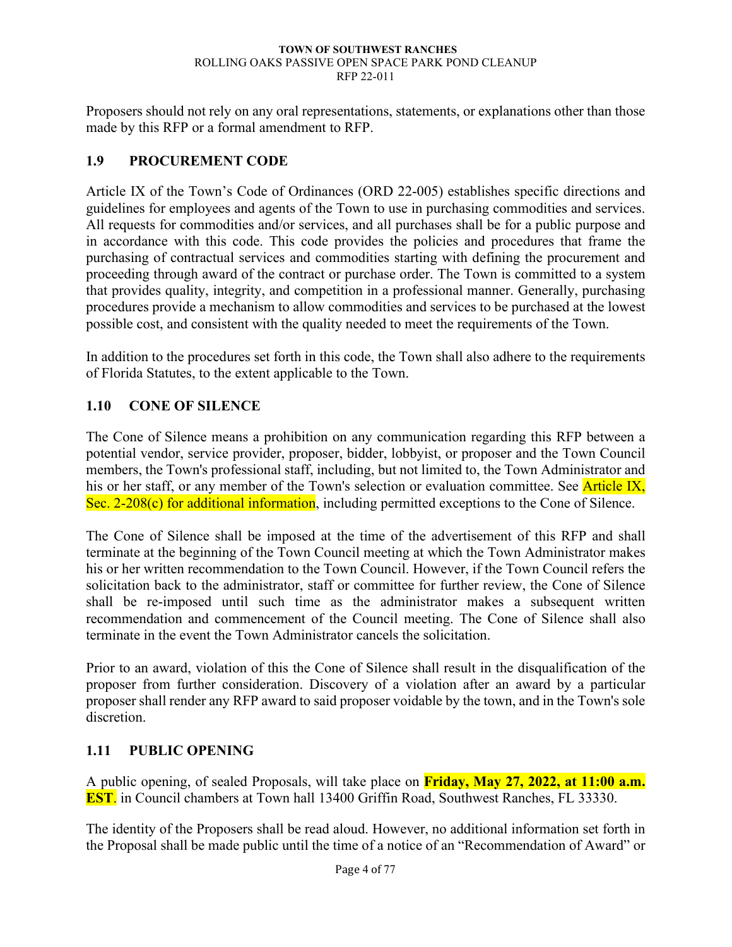Proposers should not rely on any oral representations, statements, or explanations other than those made by this RFP or a formal amendment to RFP.

## <span id="page-8-0"></span>**1.9 PROCUREMENT CODE**

Article IX of the Town's Code of Ordinances (ORD 22-005) establishes specific directions and guidelines for employees and agents of the Town to use in purchasing commodities and services. All requests for commodities and/or services, and all purchases shall be for a public purpose and in accordance with this code. This code provides the policies and procedures that frame the purchasing of contractual services and commodities starting with defining the procurement and proceeding through award of the contract or purchase order. The Town is committed to a system that provides quality, integrity, and competition in a professional manner. Generally, purchasing procedures provide a mechanism to allow commodities and services to be purchased at the lowest possible cost, and consistent with the quality needed to meet the requirements of the Town.

In addition to the procedures set forth in this code, the Town shall also adhere to the requirements of Florida Statutes, to the extent applicable to the Town.

### <span id="page-8-1"></span>**1.10 CONE OF SILENCE**

The Cone of Silence means a prohibition on any communication regarding this RFP between a potential vendor, service provider, proposer, bidder, lobbyist, or proposer and the Town Council members, the Town's professional staff, including, but not limited to, the Town Administrator and his or her staff, or any member of the Town's selection or evaluation committee. See Article IX, Sec. 2-208(c) for additional information, including permitted exceptions to the Cone of Silence.

The Cone of Silence shall be imposed at the time of the advertisement of this RFP and shall terminate at the beginning of the Town Council meeting at which the Town Administrator makes his or her written recommendation to the Town Council. However, if the Town Council refers the solicitation back to the administrator, staff or committee for further review, the Cone of Silence shall be re-imposed until such time as the administrator makes a subsequent written recommendation and commencement of the Council meeting. The Cone of Silence shall also terminate in the event the Town Administrator cancels the solicitation.

Prior to an award, violation of this the Cone of Silence shall result in the disqualification of the proposer from further consideration. Discovery of a violation after an award by a particular proposer shall render any RFP award to said proposer voidable by the town, and in the Town's sole discretion.

### <span id="page-8-2"></span>**1.11 PUBLIC OPENING**

A public opening, of sealed Proposals, will take place on **Friday, May 27, 2022, at 11:00 a.m. EST**. in Council chambers at Town hall 13400 Griffin Road, Southwest Ranches, FL 33330.

The identity of the Proposers shall be read aloud. However, no additional information set forth in the Proposal shall be made public until the time of a notice of an "Recommendation of Award" or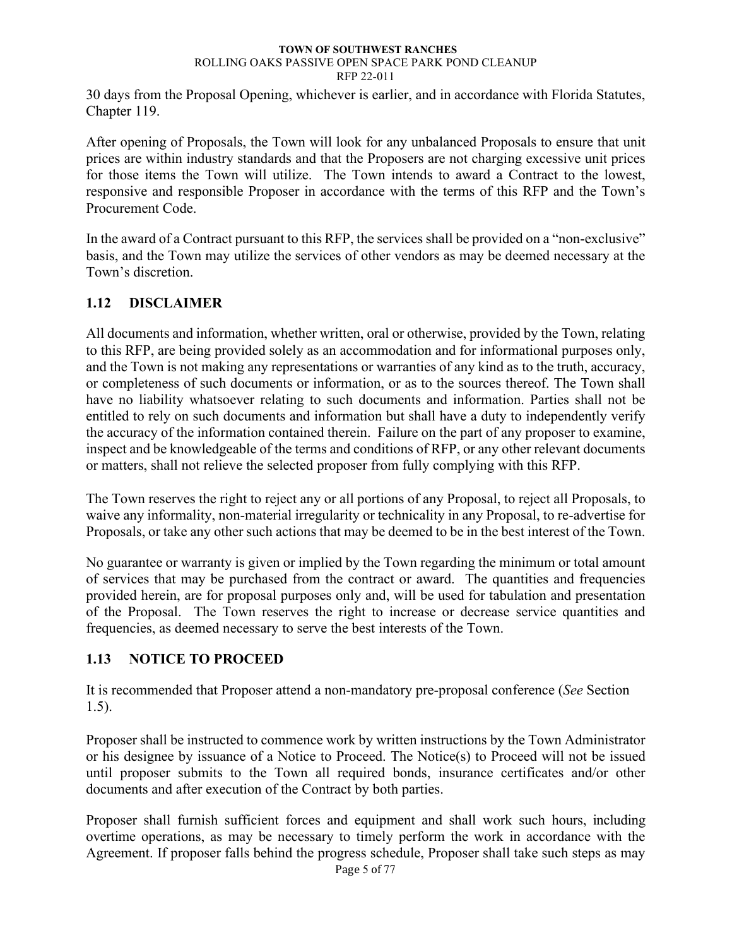30 days from the Proposal Opening, whichever is earlier, and in accordance with Florida Statutes, Chapter 119.

After opening of Proposals, the Town will look for any unbalanced Proposals to ensure that unit prices are within industry standards and that the Proposers are not charging excessive unit prices for those items the Town will utilize. The Town intends to award a Contract to the lowest, responsive and responsible Proposer in accordance with the terms of this RFP and the Town's Procurement Code.

In the award of a Contract pursuant to this RFP, the services shall be provided on a "non-exclusive" basis, and the Town may utilize the services of other vendors as may be deemed necessary at the Town's discretion.

### <span id="page-9-0"></span>**1.12 DISCLAIMER**

All documents and information, whether written, oral or otherwise, provided by the Town, relating to this RFP, are being provided solely as an accommodation and for informational purposes only, and the Town is not making any representations or warranties of any kind as to the truth, accuracy, or completeness of such documents or information, or as to the sources thereof. The Town shall have no liability whatsoever relating to such documents and information. Parties shall not be entitled to rely on such documents and information but shall have a duty to independently verify the accuracy of the information contained therein. Failure on the part of any proposer to examine, inspect and be knowledgeable of the terms and conditions of RFP, or any other relevant documents or matters, shall not relieve the selected proposer from fully complying with this RFP.

The Town reserves the right to reject any or all portions of any Proposal, to reject all Proposals, to waive any informality, non-material irregularity or technicality in any Proposal, to re-advertise for Proposals, or take any other such actions that may be deemed to be in the best interest of the Town.

No guarantee or warranty is given or implied by the Town regarding the minimum or total amount of services that may be purchased from the contract or award. The quantities and frequencies provided herein, are for proposal purposes only and, will be used for tabulation and presentation of the Proposal. The Town reserves the right to increase or decrease service quantities and frequencies, as deemed necessary to serve the best interests of the Town.

## <span id="page-9-1"></span>**1.13 NOTICE TO PROCEED**

It is recommended that Proposer attend a non-mandatory pre-proposal conference (*See* Section 1.5).

Proposer shall be instructed to commence work by written instructions by the Town Administrator or his designee by issuance of a Notice to Proceed. The Notice(s) to Proceed will not be issued until proposer submits to the Town all required bonds, insurance certificates and/or other documents and after execution of the Contract by both parties.

Proposer shall furnish sufficient forces and equipment and shall work such hours, including overtime operations, as may be necessary to timely perform the work in accordance with the Agreement. If proposer falls behind the progress schedule, Proposer shall take such steps as may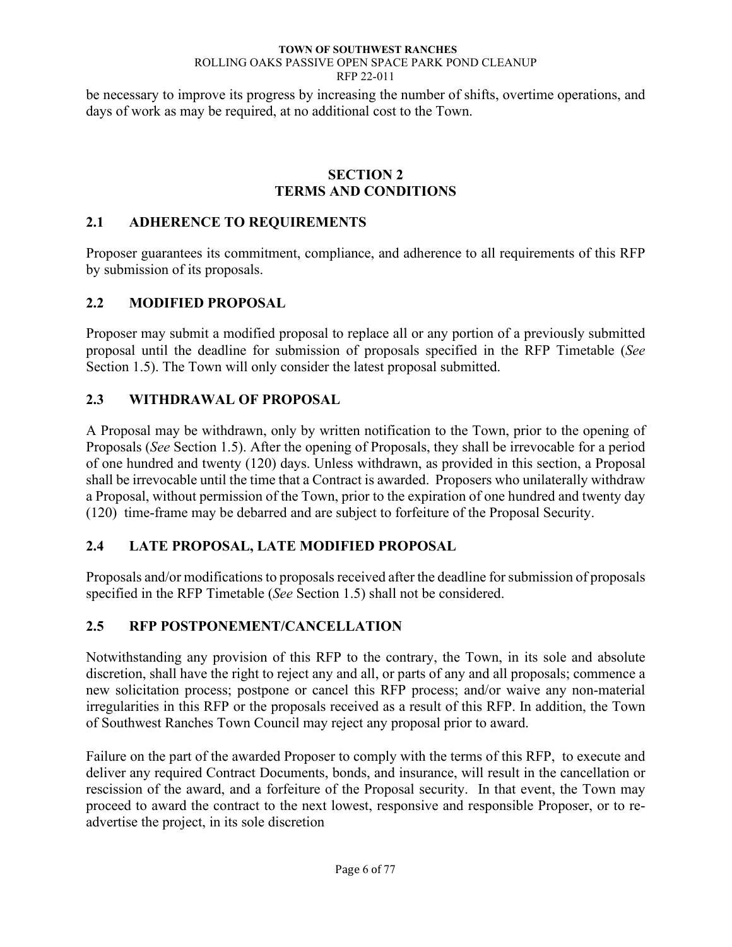be necessary to improve its progress by increasing the number of shifts, overtime operations, and days of work as may be required, at no additional cost to the Town.

### **SECTION 2 TERMS AND CONDITIONS**

### <span id="page-10-1"></span><span id="page-10-0"></span>**2.1 ADHERENCE TO REQUIREMENTS**

Proposer guarantees its commitment, compliance, and adherence to all requirements of this RFP by submission of its proposals.

### <span id="page-10-2"></span>**2.2 MODIFIED PROPOSAL**

Proposer may submit a modified proposal to replace all or any portion of a previously submitted proposal until the deadline for submission of proposals specified in the RFP Timetable (*See*  Section 1.5). The Town will only consider the latest proposal submitted.

### <span id="page-10-3"></span>**2.3 WITHDRAWAL OF PROPOSAL**

A Proposal may be withdrawn, only by written notification to the Town, prior to the opening of Proposals (*See* Section 1.5). After the opening of Proposals, they shall be irrevocable for a period of one hundred and twenty (120) days. Unless withdrawn, as provided in this section, a Proposal shall be irrevocable until the time that a Contract is awarded. Proposers who unilaterally withdraw a Proposal, without permission of the Town, prior to the expiration of one hundred and twenty day (120) time-frame may be debarred and are subject to forfeiture of the Proposal Security.

## <span id="page-10-4"></span>**2.4 LATE PROPOSAL, LATE MODIFIED PROPOSAL**

Proposals and/or modifications to proposals received after the deadline for submission of proposals specified in the RFP Timetable (*See* Section 1.5) shall not be considered.

## <span id="page-10-5"></span>**2.5 RFP POSTPONEMENT/CANCELLATION**

Notwithstanding any provision of this RFP to the contrary, the Town, in its sole and absolute discretion, shall have the right to reject any and all, or parts of any and all proposals; commence a new solicitation process; postpone or cancel this RFP process; and/or waive any non-material irregularities in this RFP or the proposals received as a result of this RFP. In addition, the Town of Southwest Ranches Town Council may reject any proposal prior to award.

Failure on the part of the awarded Proposer to comply with the terms of this RFP, to execute and deliver any required Contract Documents, bonds, and insurance, will result in the cancellation or rescission of the award, and a forfeiture of the Proposal security. In that event, the Town may proceed to award the contract to the next lowest, responsive and responsible Proposer, or to readvertise the project, in its sole discretion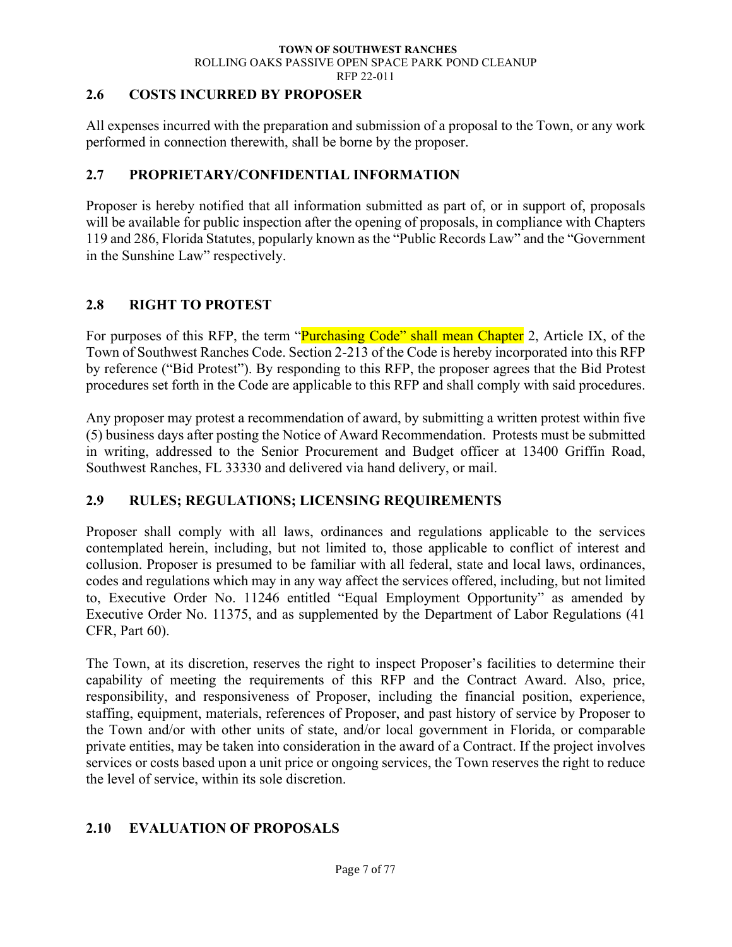### <span id="page-11-0"></span>**2.6 COSTS INCURRED BY PROPOSER**

All expenses incurred with the preparation and submission of a proposal to the Town, or any work performed in connection therewith, shall be borne by the proposer.

### <span id="page-11-1"></span>**2.7 PROPRIETARY/CONFIDENTIAL INFORMATION**

Proposer is hereby notified that all information submitted as part of, or in support of, proposals will be available for public inspection after the opening of proposals, in compliance with Chapters 119 and 286, Florida Statutes, popularly known as the "Public Records Law" and the "Government in the Sunshine Law" respectively.

### <span id="page-11-2"></span>**2.8 RIGHT TO PROTEST**

For purposes of this RFP, the term "Purchasing Code" shall mean Chapter 2, Article IX, of the Town of Southwest Ranches Code. Section 2-213 of the Code is hereby incorporated into this RFP by reference ("Bid Protest"). By responding to this RFP, the proposer agrees that the Bid Protest procedures set forth in the Code are applicable to this RFP and shall comply with said procedures.

Any proposer may protest a recommendation of award, by submitting a written protest within five (5) business days after posting the Notice of Award Recommendation. Protests must be submitted in writing, addressed to the Senior Procurement and Budget officer at 13400 Griffin Road, Southwest Ranches, FL 33330 and delivered via hand delivery, or mail.

### <span id="page-11-3"></span>**2.9 RULES; REGULATIONS; LICENSING REQUIREMENTS**

Proposer shall comply with all laws, ordinances and regulations applicable to the services contemplated herein, including, but not limited to, those applicable to conflict of interest and collusion. Proposer is presumed to be familiar with all federal, state and local laws, ordinances, codes and regulations which may in any way affect the services offered, including, but not limited to, Executive Order No. 11246 entitled "Equal Employment Opportunity" as amended by Executive Order No. 11375, and as supplemented by the Department of Labor Regulations (41 CFR, Part 60).

The Town, at its discretion, reserves the right to inspect Proposer's facilities to determine their capability of meeting the requirements of this RFP and the Contract Award. Also, price, responsibility, and responsiveness of Proposer, including the financial position, experience, staffing, equipment, materials, references of Proposer, and past history of service by Proposer to the Town and/or with other units of state, and/or local government in Florida, or comparable private entities, may be taken into consideration in the award of a Contract. If the project involves services or costs based upon a unit price or ongoing services, the Town reserves the right to reduce the level of service, within its sole discretion.

## <span id="page-11-4"></span>**2.10 EVALUATION OF PROPOSALS**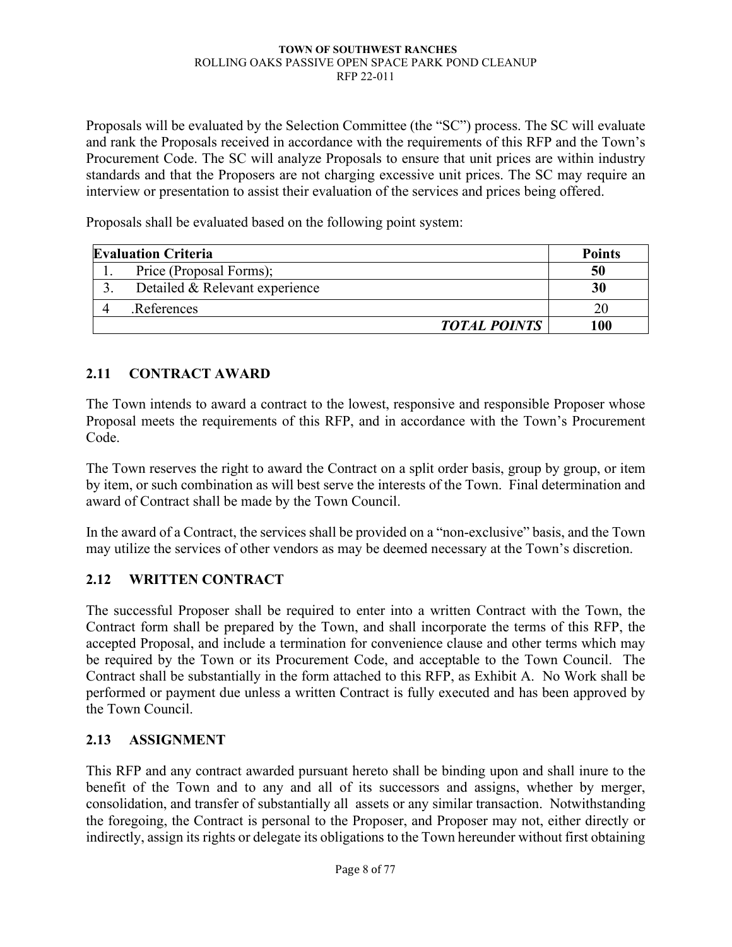Proposals will be evaluated by the Selection Committee (the "SC") process. The SC will evaluate and rank the Proposals received in accordance with the requirements of this RFP and the Town's Procurement Code. The SC will analyze Proposals to ensure that unit prices are within industry standards and that the Proposers are not charging excessive unit prices. The SC may require an interview or presentation to assist their evaluation of the services and prices being offered.

Proposals shall be evaluated based on the following point system:

| <b>Evaluation Criteria</b> |                                | <b>Points</b> |
|----------------------------|--------------------------------|---------------|
| . .                        | Price (Proposal Forms);        | 50            |
|                            | Detailed & Relevant experience | 30            |
|                            | References.                    |               |
|                            | <b>TOTAL POINTS</b>            | 100           |

# <span id="page-12-0"></span>**2.11 CONTRACT AWARD**

The Town intends to award a contract to the lowest, responsive and responsible Proposer whose Proposal meets the requirements of this RFP, and in accordance with the Town's Procurement Code.

The Town reserves the right to award the Contract on a split order basis, group by group, or item by item, or such combination as will best serve the interests of the Town. Final determination and award of Contract shall be made by the Town Council.

In the award of a Contract, the services shall be provided on a "non-exclusive" basis, and the Town may utilize the services of other vendors as may be deemed necessary at the Town's discretion.

## <span id="page-12-1"></span>**2.12 WRITTEN CONTRACT**

The successful Proposer shall be required to enter into a written Contract with the Town, the Contract form shall be prepared by the Town, and shall incorporate the terms of this RFP, the accepted Proposal, and include a termination for convenience clause and other terms which may be required by the Town or its Procurement Code, and acceptable to the Town Council. The Contract shall be substantially in the form attached to this RFP, as Exhibit A. No Work shall be performed or payment due unless a written Contract is fully executed and has been approved by the Town Council.

## <span id="page-12-2"></span>**2.13 ASSIGNMENT**

This RFP and any contract awarded pursuant hereto shall be binding upon and shall inure to the benefit of the Town and to any and all of its successors and assigns, whether by merger, consolidation, and transfer of substantially all assets or any similar transaction. Notwithstanding the foregoing, the Contract is personal to the Proposer, and Proposer may not, either directly or indirectly, assign its rights or delegate its obligations to the Town hereunder without first obtaining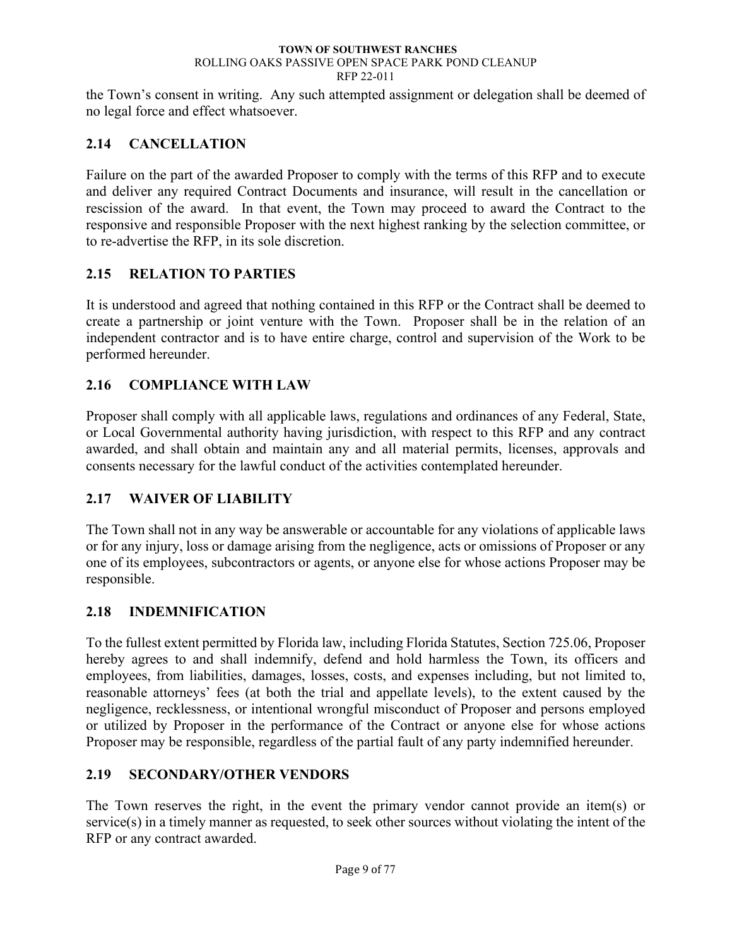the Town's consent in writing. Any such attempted assignment or delegation shall be deemed of no legal force and effect whatsoever.

## <span id="page-13-0"></span>**2.14 CANCELLATION**

Failure on the part of the awarded Proposer to comply with the terms of this RFP and to execute and deliver any required Contract Documents and insurance, will result in the cancellation or rescission of the award. In that event, the Town may proceed to award the Contract to the responsive and responsible Proposer with the next highest ranking by the selection committee, or to re-advertise the RFP, in its sole discretion.

### <span id="page-13-1"></span>**2.15 RELATION TO PARTIES**

It is understood and agreed that nothing contained in this RFP or the Contract shall be deemed to create a partnership or joint venture with the Town. Proposer shall be in the relation of an independent contractor and is to have entire charge, control and supervision of the Work to be performed hereunder.

## <span id="page-13-2"></span>**2.16 COMPLIANCE WITH LAW**

Proposer shall comply with all applicable laws, regulations and ordinances of any Federal, State, or Local Governmental authority having jurisdiction, with respect to this RFP and any contract awarded, and shall obtain and maintain any and all material permits, licenses, approvals and consents necessary for the lawful conduct of the activities contemplated hereunder.

### <span id="page-13-3"></span>**2.17 WAIVER OF LIABILITY**

The Town shall not in any way be answerable or accountable for any violations of applicable laws or for any injury, loss or damage arising from the negligence, acts or omissions of Proposer or any one of its employees, subcontractors or agents, or anyone else for whose actions Proposer may be responsible.

### <span id="page-13-4"></span>**2.18 INDEMNIFICATION**

To the fullest extent permitted by Florida law, including Florida Statutes, Section 725.06, Proposer hereby agrees to and shall indemnify, defend and hold harmless the Town, its officers and employees, from liabilities, damages, losses, costs, and expenses including, but not limited to, reasonable attorneys' fees (at both the trial and appellate levels), to the extent caused by the negligence, recklessness, or intentional wrongful misconduct of Proposer and persons employed or utilized by Proposer in the performance of the Contract or anyone else for whose actions Proposer may be responsible, regardless of the partial fault of any party indemnified hereunder.

### <span id="page-13-5"></span>**2.19 SECONDARY/OTHER VENDORS**

The Town reserves the right, in the event the primary vendor cannot provide an item(s) or service(s) in a timely manner as requested, to seek other sources without violating the intent of the RFP or any contract awarded.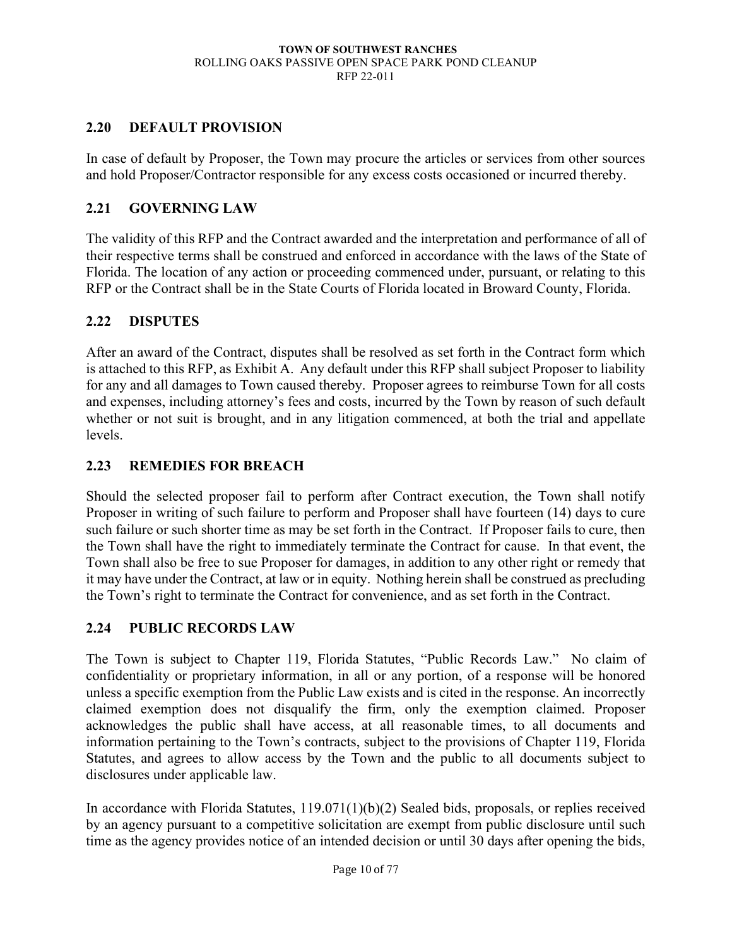### <span id="page-14-0"></span>**2.20 DEFAULT PROVISION**

In case of default by Proposer, the Town may procure the articles or services from other sources and hold Proposer/Contractor responsible for any excess costs occasioned or incurred thereby.

### <span id="page-14-1"></span>**2.21 GOVERNING LAW**

The validity of this RFP and the Contract awarded and the interpretation and performance of all of their respective terms shall be construed and enforced in accordance with the laws of the State of Florida. The location of any action or proceeding commenced under, pursuant, or relating to this RFP or the Contract shall be in the State Courts of Florida located in Broward County, Florida.

### <span id="page-14-2"></span>**2.22 DISPUTES**

After an award of the Contract, disputes shall be resolved as set forth in the Contract form which is attached to this RFP, as Exhibit A. Any default under this RFP shall subject Proposer to liability for any and all damages to Town caused thereby. Proposer agrees to reimburse Town for all costs and expenses, including attorney's fees and costs, incurred by the Town by reason of such default whether or not suit is brought, and in any litigation commenced, at both the trial and appellate levels.

### <span id="page-14-3"></span>**2.23 REMEDIES FOR BREACH**

Should the selected proposer fail to perform after Contract execution, the Town shall notify Proposer in writing of such failure to perform and Proposer shall have fourteen (14) days to cure such failure or such shorter time as may be set forth in the Contract. If Proposer fails to cure, then the Town shall have the right to immediately terminate the Contract for cause. In that event, the Town shall also be free to sue Proposer for damages, in addition to any other right or remedy that it may have under the Contract, at law or in equity. Nothing herein shall be construed as precluding the Town's right to terminate the Contract for convenience, and as set forth in the Contract.

### <span id="page-14-4"></span>**2.24 PUBLIC RECORDS LAW**

The Town is subject to Chapter 119, Florida Statutes, "Public Records Law." No claim of confidentiality or proprietary information, in all or any portion, of a response will be honored unless a specific exemption from the Public Law exists and is cited in the response. An incorrectly claimed exemption does not disqualify the firm, only the exemption claimed. Proposer acknowledges the public shall have access, at all reasonable times, to all documents and information pertaining to the Town's contracts, subject to the provisions of Chapter 119, Florida Statutes, and agrees to allow access by the Town and the public to all documents subject to disclosures under applicable law.

In accordance with Florida Statutes, 119.071(1)(b)(2) Sealed bids, proposals, or replies received by an agency pursuant to a competitive solicitation are exempt from public disclosure until such time as the agency provides notice of an intended decision or until 30 days after opening the bids,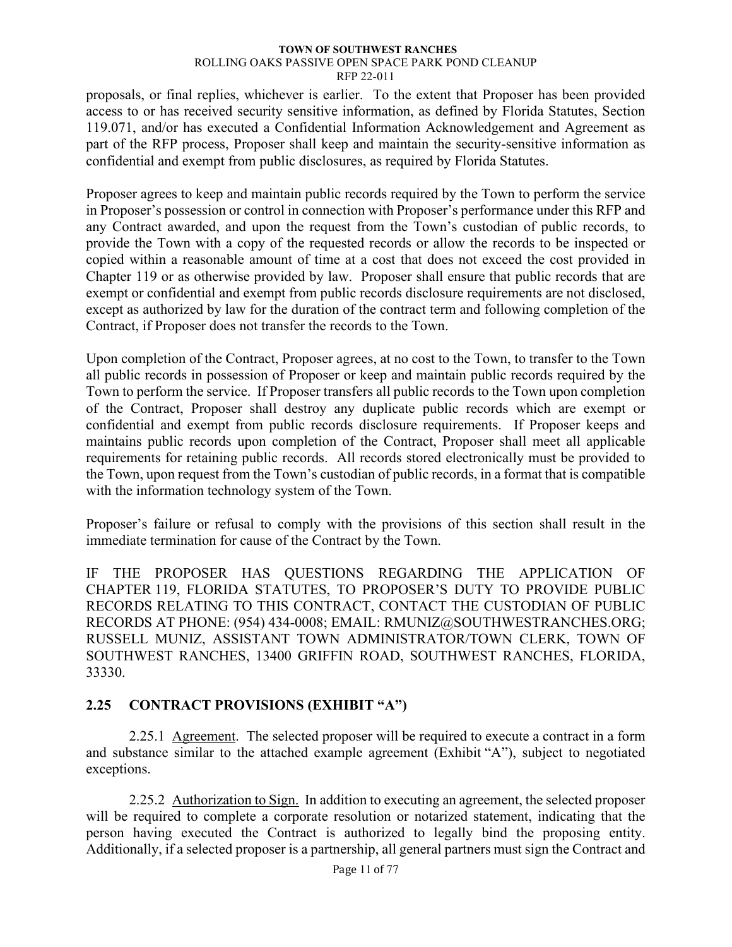proposals, or final replies, whichever is earlier. To the extent that Proposer has been provided access to or has received security sensitive information, as defined by Florida Statutes, Section 119.071, and/or has executed a Confidential Information Acknowledgement and Agreement as part of the RFP process, Proposer shall keep and maintain the security-sensitive information as confidential and exempt from public disclosures, as required by Florida Statutes.

Proposer agrees to keep and maintain public records required by the Town to perform the service in Proposer's possession or control in connection with Proposer's performance under this RFP and any Contract awarded, and upon the request from the Town's custodian of public records, to provide the Town with a copy of the requested records or allow the records to be inspected or copied within a reasonable amount of time at a cost that does not exceed the cost provided in Chapter 119 or as otherwise provided by law. Proposer shall ensure that public records that are exempt or confidential and exempt from public records disclosure requirements are not disclosed, except as authorized by law for the duration of the contract term and following completion of the Contract, if Proposer does not transfer the records to the Town.

Upon completion of the Contract, Proposer agrees, at no cost to the Town, to transfer to the Town all public records in possession of Proposer or keep and maintain public records required by the Town to perform the service. If Proposer transfers all public records to the Town upon completion of the Contract, Proposer shall destroy any duplicate public records which are exempt or confidential and exempt from public records disclosure requirements. If Proposer keeps and maintains public records upon completion of the Contract, Proposer shall meet all applicable requirements for retaining public records. All records stored electronically must be provided to the Town, upon request from the Town's custodian of public records, in a format that is compatible with the information technology system of the Town.

Proposer's failure or refusal to comply with the provisions of this section shall result in the immediate termination for cause of the Contract by the Town.

IF THE PROPOSER HAS QUESTIONS REGARDING THE APPLICATION OF CHAPTER 119, FLORIDA STATUTES, TO PROPOSER'S DUTY TO PROVIDE PUBLIC RECORDS RELATING TO THIS CONTRACT, CONTACT THE CUSTODIAN OF PUBLIC RECORDS AT PHONE: (954) 434-0008; EMAIL: RMUNIZ@SOUTHWESTRANCHES.ORG; RUSSELL MUNIZ, ASSISTANT TOWN ADMINISTRATOR/TOWN CLERK, TOWN OF SOUTHWEST RANCHES, 13400 GRIFFIN ROAD, SOUTHWEST RANCHES, FLORIDA, 33330.

## <span id="page-15-0"></span>**2.25 CONTRACT PROVISIONS (EXHIBIT "A")**

<span id="page-15-1"></span>2.25.1 Agreement. The selected proposer will be required to execute a contract in a form and substance similar to the attached example agreement (Exhibit "A"), subject to negotiated exceptions.

<span id="page-15-2"></span>2.25.2 Authorization to Sign. In addition to executing an agreement, the selected proposer will be required to complete a corporate resolution or notarized statement, indicating that the person having executed the Contract is authorized to legally bind the proposing entity. Additionally, if a selected proposer is a partnership, all general partners must sign the Contract and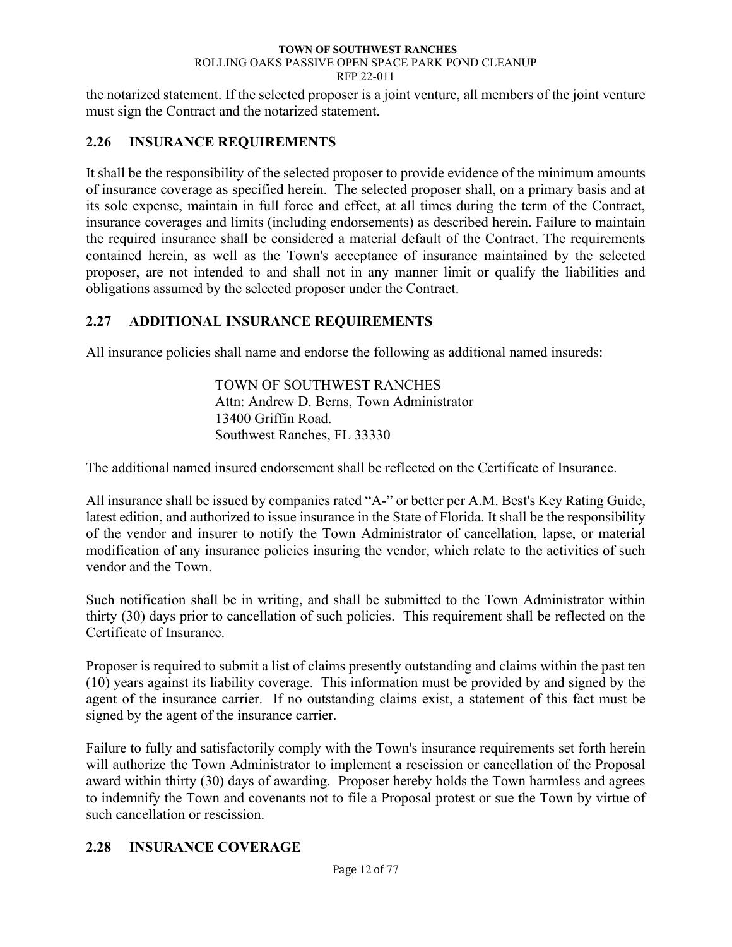the notarized statement. If the selected proposer is a joint venture, all members of the joint venture must sign the Contract and the notarized statement.

### <span id="page-16-0"></span>**2.26 INSURANCE REQUIREMENTS**

It shall be the responsibility of the selected proposer to provide evidence of the minimum amounts of insurance coverage as specified herein. The selected proposer shall, on a primary basis and at its sole expense, maintain in full force and effect, at all times during the term of the Contract, insurance coverages and limits (including endorsements) as described herein. Failure to maintain the required insurance shall be considered a material default of the Contract. The requirements contained herein, as well as the Town's acceptance of insurance maintained by the selected proposer, are not intended to and shall not in any manner limit or qualify the liabilities and obligations assumed by the selected proposer under the Contract.

### <span id="page-16-1"></span>**2.27 ADDITIONAL INSURANCE REQUIREMENTS**

All insurance policies shall name and endorse the following as additional named insureds:

TOWN OF SOUTHWEST RANCHES Attn: Andrew D. Berns, Town Administrator 13400 Griffin Road. Southwest Ranches, FL 33330

The additional named insured endorsement shall be reflected on the Certificate of Insurance.

All insurance shall be issued by companies rated "A-" or better per A.M. Best's Key Rating Guide, latest edition, and authorized to issue insurance in the State of Florida. It shall be the responsibility of the vendor and insurer to notify the Town Administrator of cancellation, lapse, or material modification of any insurance policies insuring the vendor, which relate to the activities of such vendor and the Town.

Such notification shall be in writing, and shall be submitted to the Town Administrator within thirty (30) days prior to cancellation of such policies. This requirement shall be reflected on the Certificate of Insurance.

Proposer is required to submit a list of claims presently outstanding and claims within the past ten (10) years against its liability coverage. This information must be provided by and signed by the agent of the insurance carrier. If no outstanding claims exist, a statement of this fact must be signed by the agent of the insurance carrier.

Failure to fully and satisfactorily comply with the Town's insurance requirements set forth herein will authorize the Town Administrator to implement a rescission or cancellation of the Proposal award within thirty (30) days of awarding. Proposer hereby holds the Town harmless and agrees to indemnify the Town and covenants not to file a Proposal protest or sue the Town by virtue of such cancellation or rescission.

## <span id="page-16-2"></span>**2.28 INSURANCE COVERAGE**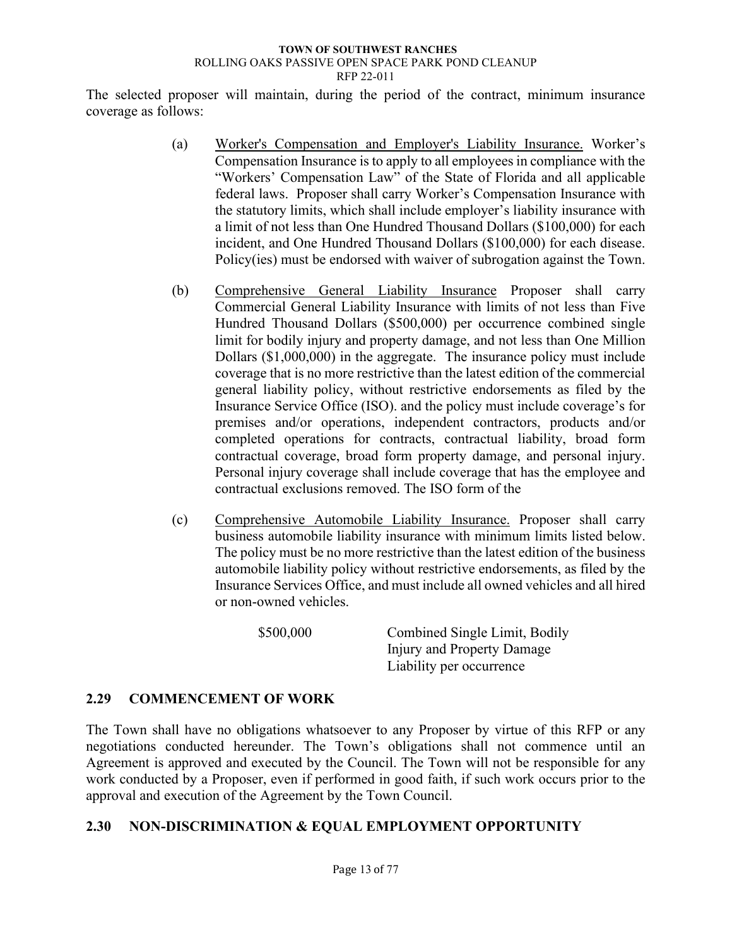The selected proposer will maintain, during the period of the contract, minimum insurance coverage as follows:

- (a) Worker's Compensation and Employer's Liability Insurance. Worker's Compensation Insurance is to apply to all employees in compliance with the "Workers' Compensation Law" of the State of Florida and all applicable federal laws. Proposer shall carry Worker's Compensation Insurance with the statutory limits, which shall include employer's liability insurance with a limit of not less than One Hundred Thousand Dollars (\$100,000) for each incident, and One Hundred Thousand Dollars (\$100,000) for each disease. Policy(ies) must be endorsed with waiver of subrogation against the Town.
- (b) Comprehensive General Liability Insurance Proposer shall carry Commercial General Liability Insurance with limits of not less than Five Hundred Thousand Dollars (\$500,000) per occurrence combined single limit for bodily injury and property damage, and not less than One Million Dollars (\$1,000,000) in the aggregate. The insurance policy must include coverage that is no more restrictive than the latest edition of the commercial general liability policy, without restrictive endorsements as filed by the Insurance Service Office (ISO). and the policy must include coverage's for premises and/or operations, independent contractors, products and/or completed operations for contracts, contractual liability, broad form contractual coverage, broad form property damage, and personal injury. Personal injury coverage shall include coverage that has the employee and contractual exclusions removed. The ISO form of the
- (c) Comprehensive Automobile Liability Insurance. Proposer shall carry business automobile liability insurance with minimum limits listed below. The policy must be no more restrictive than the latest edition of the business automobile liability policy without restrictive endorsements, as filed by the Insurance Services Office, and must include all owned vehicles and all hired or non-owned vehicles.

\$500,000 Combined Single Limit, Bodily Injury and Property Damage Liability per occurrence

## <span id="page-17-0"></span>**2.29 COMMENCEMENT OF WORK**

The Town shall have no obligations whatsoever to any Proposer by virtue of this RFP or any negotiations conducted hereunder. The Town's obligations shall not commence until an Agreement is approved and executed by the Council. The Town will not be responsible for any work conducted by a Proposer, even if performed in good faith, if such work occurs prior to the approval and execution of the Agreement by the Town Council.

### <span id="page-17-1"></span>**2.30 NON-DISCRIMINATION & EQUAL EMPLOYMENT OPPORTUNITY**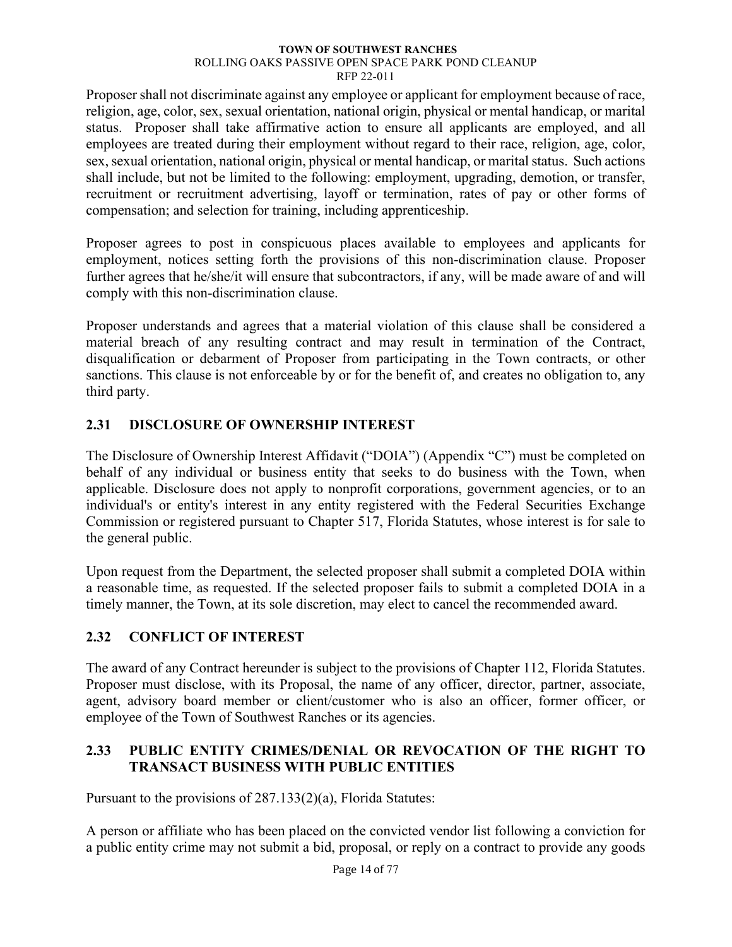Proposer shall not discriminate against any employee or applicant for employment because of race, religion, age, color, sex, sexual orientation, national origin, physical or mental handicap, or marital status. Proposer shall take affirmative action to ensure all applicants are employed, and all employees are treated during their employment without regard to their race, religion, age, color, sex, sexual orientation, national origin, physical or mental handicap, or marital status. Such actions shall include, but not be limited to the following: employment, upgrading, demotion, or transfer, recruitment or recruitment advertising, layoff or termination, rates of pay or other forms of compensation; and selection for training, including apprenticeship.

Proposer agrees to post in conspicuous places available to employees and applicants for employment, notices setting forth the provisions of this non-discrimination clause. Proposer further agrees that he/she/it will ensure that subcontractors, if any, will be made aware of and will comply with this non-discrimination clause.

Proposer understands and agrees that a material violation of this clause shall be considered a material breach of any resulting contract and may result in termination of the Contract, disqualification or debarment of Proposer from participating in the Town contracts, or other sanctions. This clause is not enforceable by or for the benefit of, and creates no obligation to, any third party.

# <span id="page-18-0"></span>**2.31 DISCLOSURE OF OWNERSHIP INTEREST**

The Disclosure of Ownership Interest Affidavit ("DOIA") (Appendix "C") must be completed on behalf of any individual or business entity that seeks to do business with the Town, when applicable. Disclosure does not apply to nonprofit corporations, government agencies, or to an individual's or entity's interest in any entity registered with the Federal Securities Exchange Commission or registered pursuant to Chapter 517, Florida Statutes, whose interest is for sale to the general public.

Upon request from the Department, the selected proposer shall submit a completed DOIA within a reasonable time, as requested. If the selected proposer fails to submit a completed DOIA in a timely manner, the Town, at its sole discretion, may elect to cancel the recommended award.

## <span id="page-18-1"></span>**2.32 CONFLICT OF INTEREST**

The award of any Contract hereunder is subject to the provisions of Chapter 112, Florida Statutes. Proposer must disclose, with its Proposal, the name of any officer, director, partner, associate, agent, advisory board member or client/customer who is also an officer, former officer, or employee of the Town of Southwest Ranches or its agencies.

### <span id="page-18-2"></span>**2.33 PUBLIC ENTITY CRIMES/DENIAL OR REVOCATION OF THE RIGHT TO TRANSACT BUSINESS WITH PUBLIC ENTITIES**

Pursuant to the provisions of 287.133(2)(a), Florida Statutes:

A person or affiliate who has been placed on the convicted vendor list following a conviction for a public entity crime may not submit a bid, proposal, or reply on a contract to provide any goods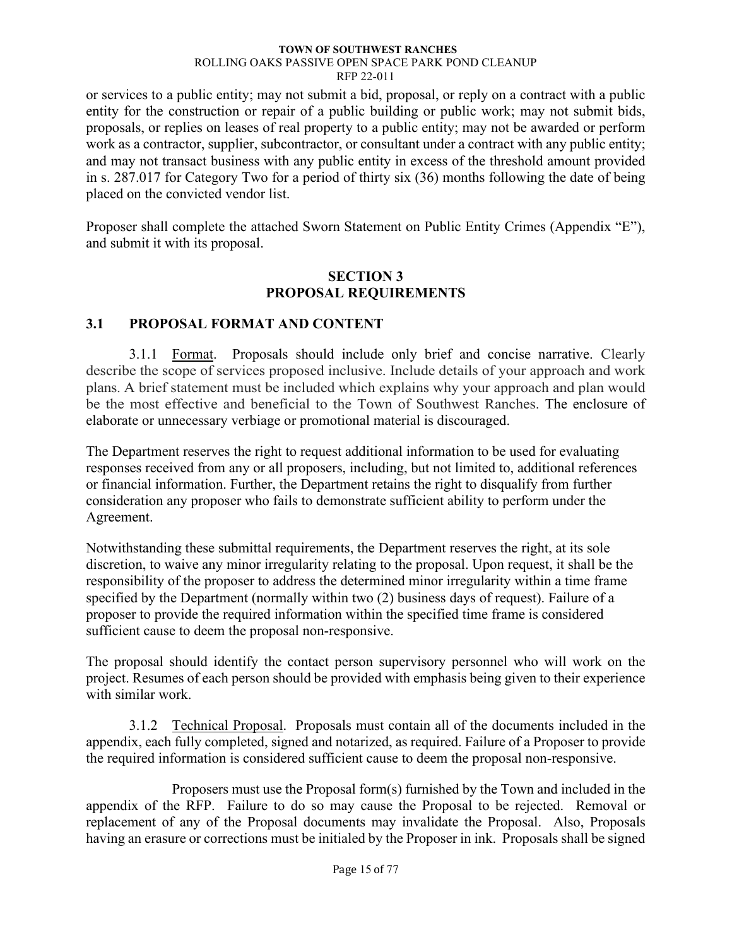or services to a public entity; may not submit a bid, proposal, or reply on a contract with a public entity for the construction or repair of a public building or public work; may not submit bids, proposals, or replies on leases of real property to a public entity; may not be awarded or perform work as a contractor, supplier, subcontractor, or consultant under a contract with any public entity; and may not transact business with any public entity in excess of the threshold amount provided in s. 287.017 for Category Two for a period of thirty six (36) months following the date of being placed on the convicted vendor list.

Proposer shall complete the attached Sworn Statement on Public Entity Crimes (Appendix "E"), and submit it with its proposal.

### **SECTION 3 PROPOSAL REQUIREMENTS**

### <span id="page-19-1"></span><span id="page-19-0"></span>**3.1 PROPOSAL FORMAT AND CONTENT**

<span id="page-19-2"></span>3.1.1 Format. Proposals should include only brief and concise narrative. Clearly describe the scope of services proposed inclusive. Include details of your approach and work plans. A brief statement must be included which explains why your approach and plan would be the most effective and beneficial to the Town of Southwest Ranches. The enclosure of elaborate or unnecessary verbiage or promotional material is discouraged.

The Department reserves the right to request additional information to be used for evaluating responses received from any or all proposers, including, but not limited to, additional references or financial information. Further, the Department retains the right to disqualify from further consideration any proposer who fails to demonstrate sufficient ability to perform under the Agreement.

Notwithstanding these submittal requirements, the Department reserves the right, at its sole discretion, to waive any minor irregularity relating to the proposal. Upon request, it shall be the responsibility of the proposer to address the determined minor irregularity within a time frame specified by the Department (normally within two (2) business days of request). Failure of a proposer to provide the required information within the specified time frame is considered sufficient cause to deem the proposal non-responsive.

The proposal should identify the contact person supervisory personnel who will work on the project. Resumes of each person should be provided with emphasis being given to their experience with similar work.

<span id="page-19-3"></span>3.1.2 Technical Proposal. Proposals must contain all of the documents included in the appendix, each fully completed, signed and notarized, as required. Failure of a Proposer to provide the required information is considered sufficient cause to deem the proposal non-responsive.

Proposers must use the Proposal form(s) furnished by the Town and included in the appendix of the RFP. Failure to do so may cause the Proposal to be rejected. Removal or replacement of any of the Proposal documents may invalidate the Proposal. Also, Proposals having an erasure or corrections must be initialed by the Proposer in ink. Proposals shall be signed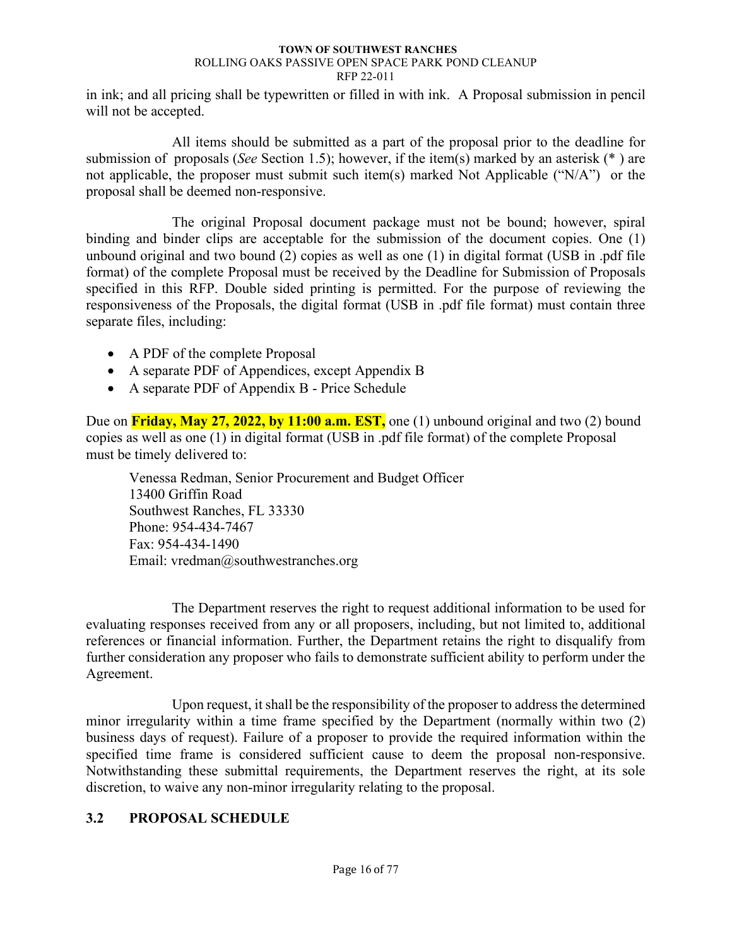in ink; and all pricing shall be typewritten or filled in with ink. A Proposal submission in pencil will not be accepted.

All items should be submitted as a part of the proposal prior to the deadline for submission of proposals (*See* Section 1.5); however, if the item(s) marked by an asterisk (\* ) are not applicable, the proposer must submit such item(s) marked Not Applicable ("N/A") or the proposal shall be deemed non-responsive.

The original Proposal document package must not be bound; however, spiral binding and binder clips are acceptable for the submission of the document copies. One (1) unbound original and two bound (2) copies as well as one (1) in digital format (USB in .pdf file format) of the complete Proposal must be received by the Deadline for Submission of Proposals specified in this RFP. Double sided printing is permitted. For the purpose of reviewing the responsiveness of the Proposals, the digital format (USB in .pdf file format) must contain three separate files, including:

- A PDF of the complete Proposal
- A separate PDF of Appendices, except Appendix B
- A separate PDF of Appendix B Price Schedule

Due on **Friday, May 27, 2022, by 11:00 a.m. EST,** one (1) unbound original and two (2) bound copies as well as one (1) in digital format (USB in .pdf file format) of the complete Proposal must be timely delivered to:

Venessa Redman, Senior Procurement and Budget Officer 13400 Griffin Road Southwest Ranches, FL 33330 Phone: 954-434-7467 Fax: 954-434-1490 Email: vredman@southwestranches.org

The Department reserves the right to request additional information to be used for evaluating responses received from any or all proposers, including, but not limited to, additional references or financial information. Further, the Department retains the right to disqualify from further consideration any proposer who fails to demonstrate sufficient ability to perform under the Agreement.

Upon request, it shall be the responsibility of the proposer to address the determined minor irregularity within a time frame specified by the Department (normally within two (2) business days of request). Failure of a proposer to provide the required information within the specified time frame is considered sufficient cause to deem the proposal non-responsive. Notwithstanding these submittal requirements, the Department reserves the right, at its sole discretion, to waive any non-minor irregularity relating to the proposal.

## <span id="page-20-0"></span>**3.2 PROPOSAL SCHEDULE**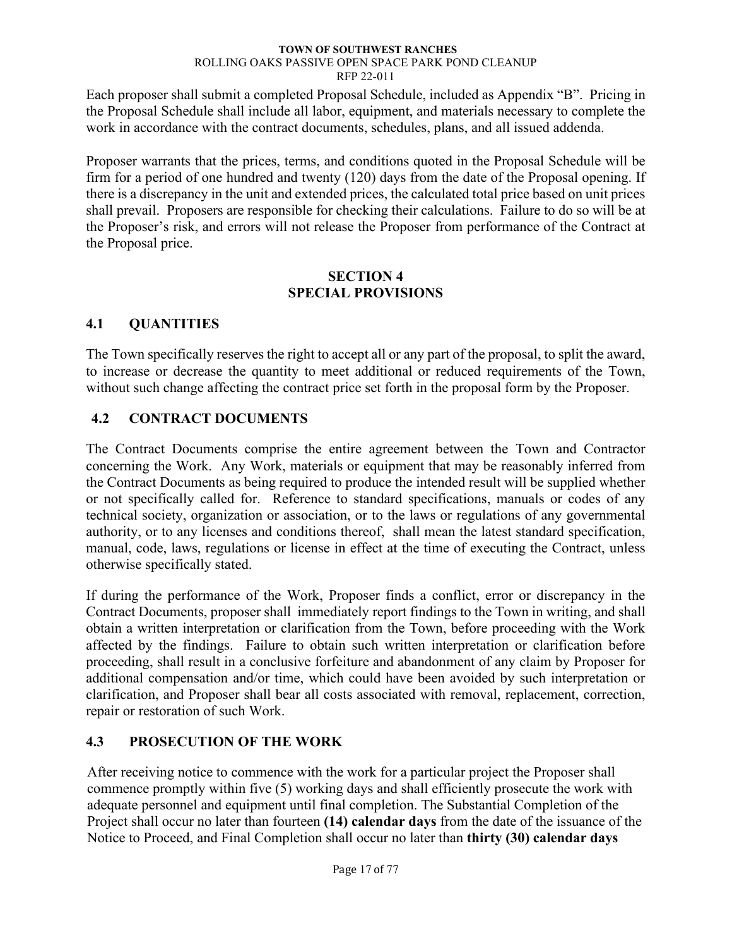Each proposer shall submit a completed Proposal Schedule, included as Appendix "B". Pricing in the Proposal Schedule shall include all labor, equipment, and materials necessary to complete the work in accordance with the contract documents, schedules, plans, and all issued addenda.

Proposer warrants that the prices, terms, and conditions quoted in the Proposal Schedule will be firm for a period of one hundred and twenty (120) days from the date of the Proposal opening. If there is a discrepancy in the unit and extended prices, the calculated total price based on unit prices shall prevail. Proposers are responsible for checking their calculations. Failure to do so will be at the Proposer's risk, and errors will not release the Proposer from performance of the Contract at the Proposal price.

### **SECTION 4 SPECIAL PROVISIONS**

# <span id="page-21-1"></span><span id="page-21-0"></span>**4.1 QUANTITIES**

The Town specifically reserves the right to accept all or any part of the proposal, to split the award, to increase or decrease the quantity to meet additional or reduced requirements of the Town, without such change affecting the contract price set forth in the proposal form by the Proposer.

# <span id="page-21-2"></span>**4.2 CONTRACT DOCUMENTS**

The Contract Documents comprise the entire agreement between the Town and Contractor concerning the Work. Any Work, materials or equipment that may be reasonably inferred from the Contract Documents as being required to produce the intended result will be supplied whether or not specifically called for. Reference to standard specifications, manuals or codes of any technical society, organization or association, or to the laws or regulations of any governmental authority, or to any licenses and conditions thereof, shall mean the latest standard specification, manual, code, laws, regulations or license in effect at the time of executing the Contract, unless otherwise specifically stated.

If during the performance of the Work, Proposer finds a conflict, error or discrepancy in the Contract Documents, proposer shall immediately report findings to the Town in writing, and shall obtain a written interpretation or clarification from the Town, before proceeding with the Work affected by the findings. Failure to obtain such written interpretation or clarification before proceeding, shall result in a conclusive forfeiture and abandonment of any claim by Proposer for additional compensation and/or time, which could have been avoided by such interpretation or clarification, and Proposer shall bear all costs associated with removal, replacement, correction, repair or restoration of such Work.

# <span id="page-21-3"></span>**4.3 PROSECUTION OF THE WORK**

After receiving notice to commence with the work for a particular project the Proposer shall commence promptly within five (5) working days and shall efficiently prosecute the work with adequate personnel and equipment until final completion. The Substantial Completion of the Project shall occur no later than fourteen **(14) calendar days** from the date of the issuance of the Notice to Proceed, and Final Completion shall occur no later than **thirty (30) calendar days**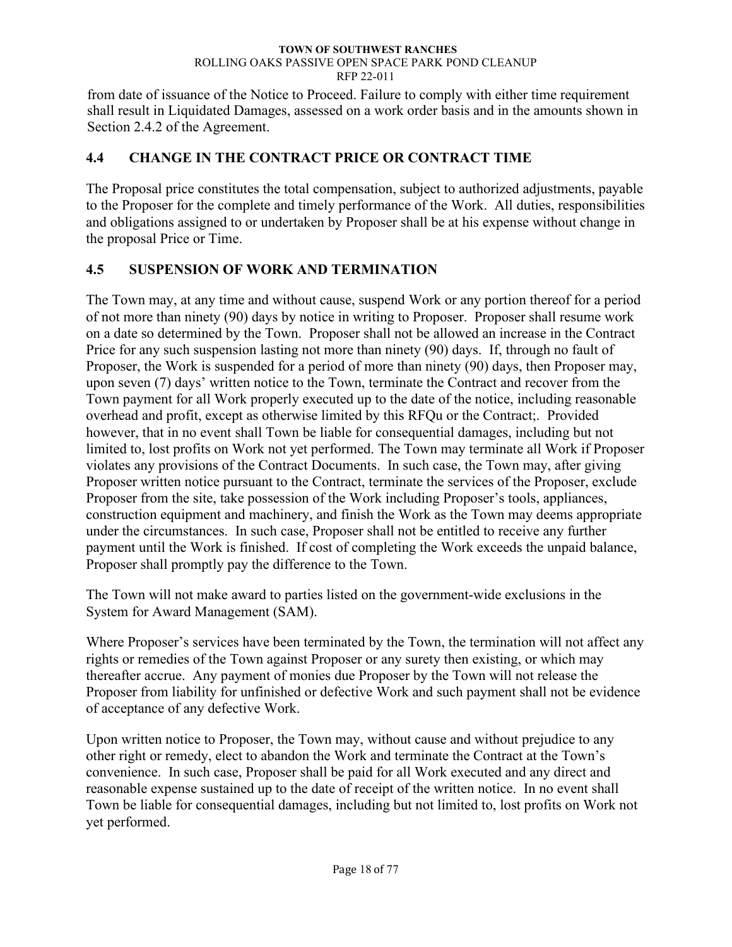from date of issuance of the Notice to Proceed. Failure to comply with either time requirement shall result in Liquidated Damages, assessed on a work order basis and in the amounts shown in Section 2.4.2 of the Agreement.

## <span id="page-22-0"></span>**4.4 CHANGE IN THE CONTRACT PRICE OR CONTRACT TIME**

The Proposal price constitutes the total compensation, subject to authorized adjustments, payable to the Proposer for the complete and timely performance of the Work. All duties, responsibilities and obligations assigned to or undertaken by Proposer shall be at his expense without change in the proposal Price or Time.

# <span id="page-22-1"></span>**4.5 SUSPENSION OF WORK AND TERMINATION**

The Town may, at any time and without cause, suspend Work or any portion thereof for a period of not more than ninety (90) days by notice in writing to Proposer. Proposer shall resume work on a date so determined by the Town. Proposer shall not be allowed an increase in the Contract Price for any such suspension lasting not more than ninety (90) days. If, through no fault of Proposer, the Work is suspended for a period of more than ninety (90) days, then Proposer may, upon seven (7) days' written notice to the Town, terminate the Contract and recover from the Town payment for all Work properly executed up to the date of the notice, including reasonable overhead and profit, except as otherwise limited by this RFQu or the Contract;. Provided however, that in no event shall Town be liable for consequential damages, including but not limited to, lost profits on Work not yet performed. The Town may terminate all Work if Proposer violates any provisions of the Contract Documents. In such case, the Town may, after giving Proposer written notice pursuant to the Contract, terminate the services of the Proposer, exclude Proposer from the site, take possession of the Work including Proposer's tools, appliances, construction equipment and machinery, and finish the Work as the Town may deems appropriate under the circumstances. In such case, Proposer shall not be entitled to receive any further payment until the Work is finished. If cost of completing the Work exceeds the unpaid balance, Proposer shall promptly pay the difference to the Town.

The Town will not make award to parties listed on the government-wide exclusions in the System for Award Management (SAM).

Where Proposer's services have been terminated by the Town, the termination will not affect any rights or remedies of the Town against Proposer or any surety then existing, or which may thereafter accrue. Any payment of monies due Proposer by the Town will not release the Proposer from liability for unfinished or defective Work and such payment shall not be evidence of acceptance of any defective Work.

Upon written notice to Proposer, the Town may, without cause and without prejudice to any other right or remedy, elect to abandon the Work and terminate the Contract at the Town's convenience. In such case, Proposer shall be paid for all Work executed and any direct and reasonable expense sustained up to the date of receipt of the written notice. In no event shall Town be liable for consequential damages, including but not limited to, lost profits on Work not yet performed.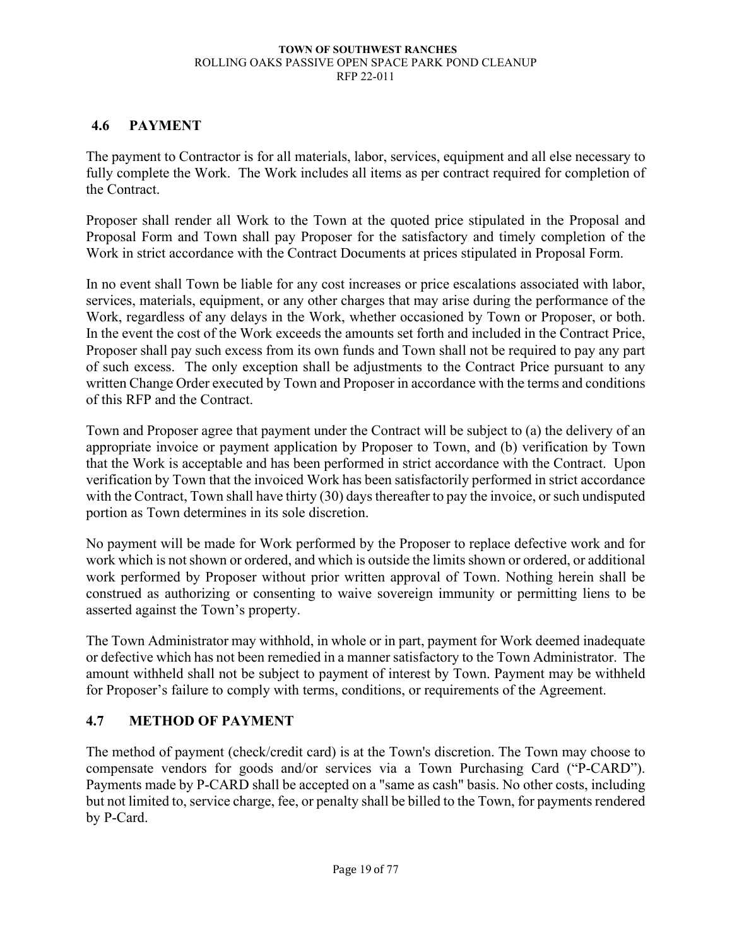### <span id="page-23-0"></span>**4.6 PAYMENT**

The payment to Contractor is for all materials, labor, services, equipment and all else necessary to fully complete the Work. The Work includes all items as per contract required for completion of the Contract.

Proposer shall render all Work to the Town at the quoted price stipulated in the Proposal and Proposal Form and Town shall pay Proposer for the satisfactory and timely completion of the Work in strict accordance with the Contract Documents at prices stipulated in Proposal Form.

In no event shall Town be liable for any cost increases or price escalations associated with labor, services, materials, equipment, or any other charges that may arise during the performance of the Work, regardless of any delays in the Work, whether occasioned by Town or Proposer, or both. In the event the cost of the Work exceeds the amounts set forth and included in the Contract Price, Proposer shall pay such excess from its own funds and Town shall not be required to pay any part of such excess. The only exception shall be adjustments to the Contract Price pursuant to any written Change Order executed by Town and Proposer in accordance with the terms and conditions of this RFP and the Contract.

Town and Proposer agree that payment under the Contract will be subject to (a) the delivery of an appropriate invoice or payment application by Proposer to Town, and (b) verification by Town that the Work is acceptable and has been performed in strict accordance with the Contract. Upon verification by Town that the invoiced Work has been satisfactorily performed in strict accordance with the Contract, Town shall have thirty (30) days thereafter to pay the invoice, or such undisputed portion as Town determines in its sole discretion.

No payment will be made for Work performed by the Proposer to replace defective work and for work which is not shown or ordered, and which is outside the limits shown or ordered, or additional work performed by Proposer without prior written approval of Town. Nothing herein shall be construed as authorizing or consenting to waive sovereign immunity or permitting liens to be asserted against the Town's property.

The Town Administrator may withhold, in whole or in part, payment for Work deemed inadequate or defective which has not been remedied in a manner satisfactory to the Town Administrator. The amount withheld shall not be subject to payment of interest by Town. Payment may be withheld for Proposer's failure to comply with terms, conditions, or requirements of the Agreement.

## <span id="page-23-1"></span>**4.7 METHOD OF PAYMENT**

The method of payment (check/credit card) is at the Town's discretion. The Town may choose to compensate vendors for goods and/or services via a Town Purchasing Card ("P-CARD"). Payments made by P-CARD shall be accepted on a "same as cash" basis. No other costs, including but not limited to, service charge, fee, or penalty shall be billed to the Town, for payments rendered by P-Card.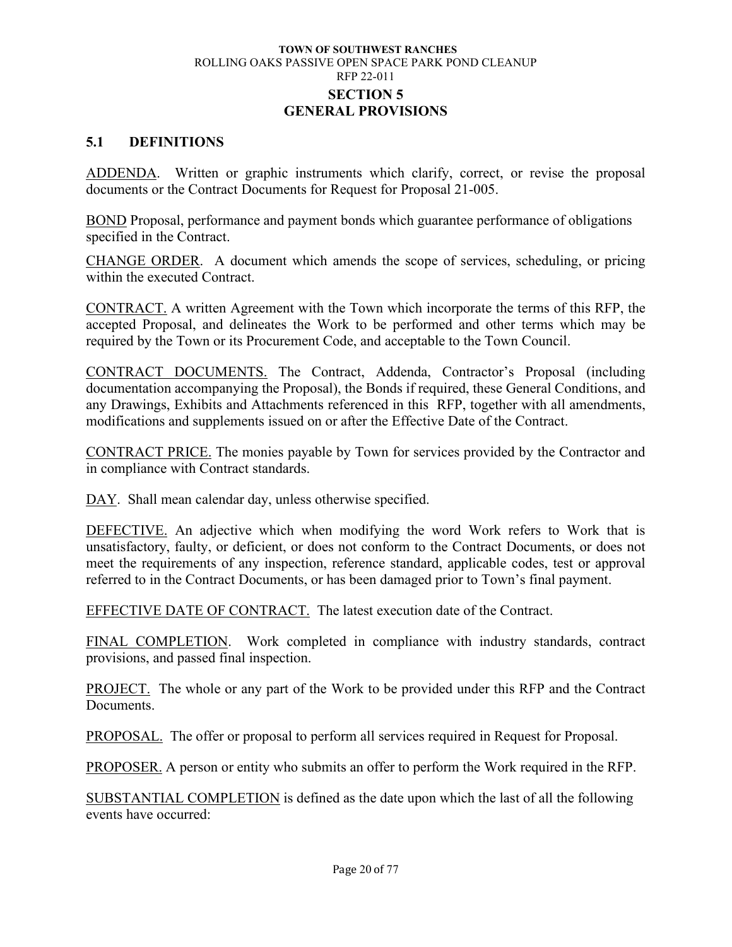### **TOWN OF SOUTHWEST RANCHES** ROLLING OAKS PASSIVE OPEN SPACE PARK POND CLEANUP RFP 22-011 **SECTION 5 GENERAL PROVISIONS**

### <span id="page-24-1"></span><span id="page-24-0"></span>**5.1 DEFINITIONS**

ADDENDA. Written or graphic instruments which clarify, correct, or revise the proposal documents or the Contract Documents for Request for Proposal 21-005.

BOND Proposal, performance and payment bonds which guarantee performance of obligations specified in the Contract.

CHANGE ORDER. A document which amends the scope of services, scheduling, or pricing within the executed Contract.

CONTRACT. A written Agreement with the Town which incorporate the terms of this RFP, the accepted Proposal, and delineates the Work to be performed and other terms which may be required by the Town or its Procurement Code, and acceptable to the Town Council.

CONTRACT DOCUMENTS. The Contract, Addenda, Contractor's Proposal (including documentation accompanying the Proposal), the Bonds if required, these General Conditions, and any Drawings, Exhibits and Attachments referenced in this RFP, together with all amendments, modifications and supplements issued on or after the Effective Date of the Contract.

CONTRACT PRICE. The monies payable by Town for services provided by the Contractor and in compliance with Contract standards.

DAY. Shall mean calendar day, unless otherwise specified.

DEFECTIVE. An adjective which when modifying the word Work refers to Work that is unsatisfactory, faulty, or deficient, or does not conform to the Contract Documents, or does not meet the requirements of any inspection, reference standard, applicable codes, test or approval referred to in the Contract Documents, or has been damaged prior to Town's final payment.

EFFECTIVE DATE OF CONTRACT. The latest execution date of the Contract.

FINAL COMPLETION. Work completed in compliance with industry standards, contract provisions, and passed final inspection.

PROJECT. The whole or any part of the Work to be provided under this RFP and the Contract Documents.

PROPOSAL. The offer or proposal to perform all services required in Request for Proposal.

PROPOSER. A person or entity who submits an offer to perform the Work required in the RFP.

SUBSTANTIAL COMPLETION is defined as the date upon which the last of all the following events have occurred: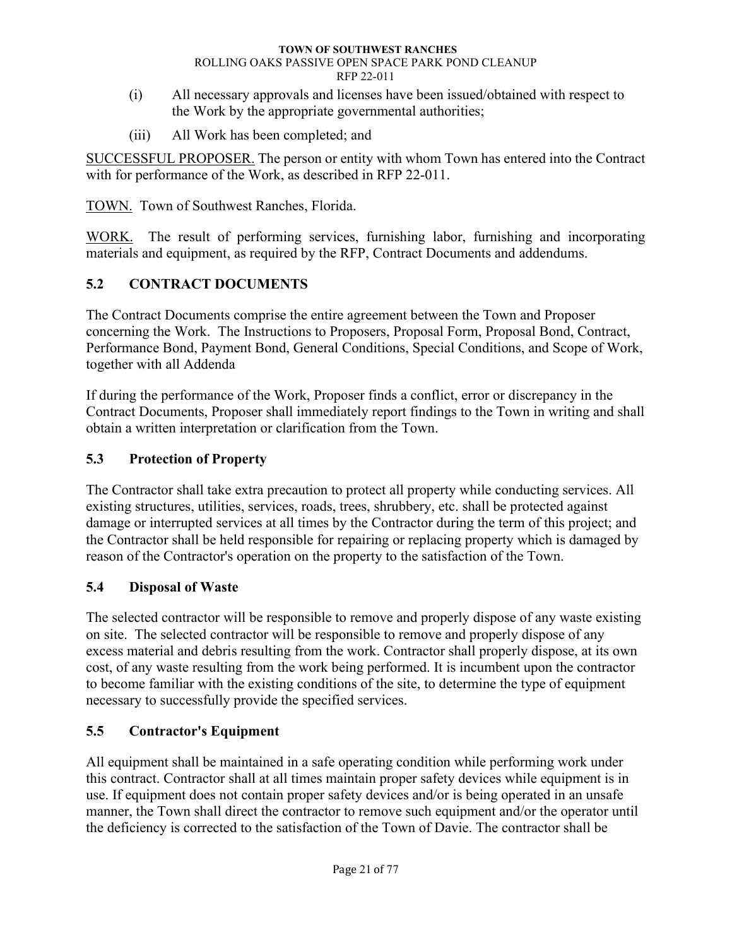- (i) All necessary approvals and licenses have been issued/obtained with respect to the Work by the appropriate governmental authorities;
- (iii) All Work has been completed; and

SUCCESSFUL PROPOSER. The person or entity with whom Town has entered into the Contract with for performance of the Work, as described in RFP 22-011.

TOWN. Town of Southwest Ranches, Florida.

WORK. The result of performing services, furnishing labor, furnishing and incorporating materials and equipment, as required by the RFP, Contract Documents and addendums.

# <span id="page-25-0"></span>**5.2 CONTRACT DOCUMENTS**

The Contract Documents comprise the entire agreement between the Town and Proposer concerning the Work. The Instructions to Proposers, Proposal Form, Proposal Bond, Contract, Performance Bond, Payment Bond, General Conditions, Special Conditions, and Scope of Work, together with all Addenda

If during the performance of the Work, Proposer finds a conflict, error or discrepancy in the Contract Documents, Proposer shall immediately report findings to the Town in writing and shall obtain a written interpretation or clarification from the Town.

# <span id="page-25-1"></span>**5.3 Protection of Property**

The Contractor shall take extra precaution to protect all property while conducting services. All existing structures, utilities, services, roads, trees, shrubbery, etc. shall be protected against damage or interrupted services at all times by the Contractor during the term of this project; and the Contractor shall be held responsible for repairing or replacing property which is damaged by reason of the Contractor's operation on the property to the satisfaction of the Town.

# <span id="page-25-2"></span>**5.4 Disposal of Waste**

The selected contractor will be responsible to remove and properly dispose of any waste existing on site. The selected contractor will be responsible to remove and properly dispose of any excess material and debris resulting from the work. Contractor shall properly dispose, at its own cost, of any waste resulting from the work being performed. It is incumbent upon the contractor to become familiar with the existing conditions of the site, to determine the type of equipment necessary to successfully provide the specified services.

# <span id="page-25-3"></span>**5.5 Contractor's Equipment**

All equipment shall be maintained in a safe operating condition while performing work under this contract. Contractor shall at all times maintain proper safety devices while equipment is in use. If equipment does not contain proper safety devices and/or is being operated in an unsafe manner, the Town shall direct the contractor to remove such equipment and/or the operator until the deficiency is corrected to the satisfaction of the Town of Davie. The contractor shall be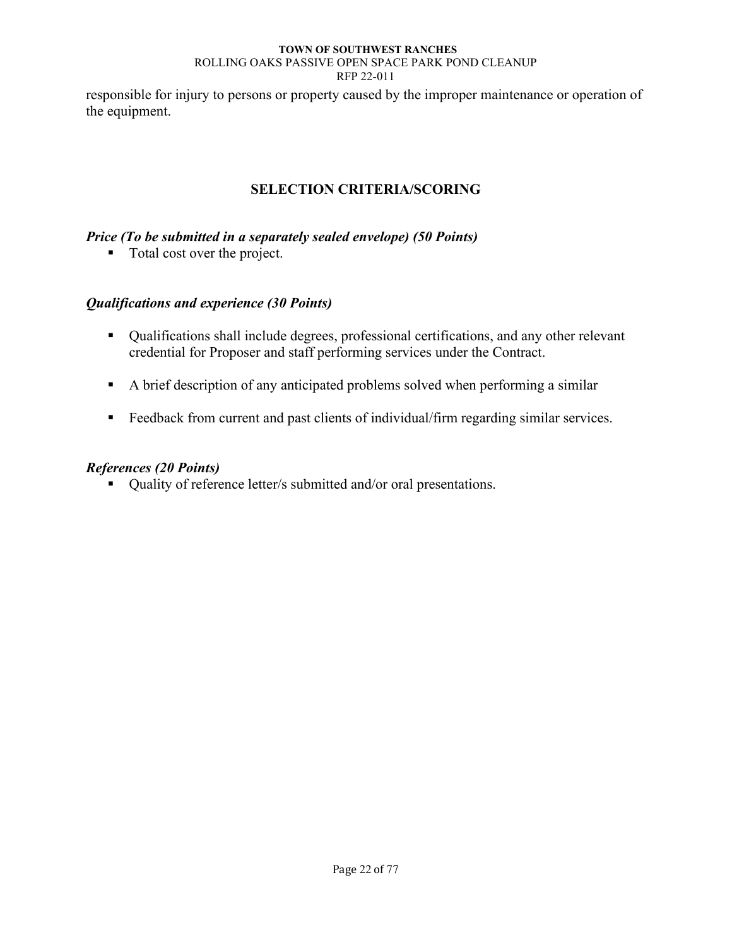responsible for injury to persons or property caused by the improper maintenance or operation of the equipment.

## **SELECTION CRITERIA/SCORING**

### <span id="page-26-0"></span>*Price (To be submitted in a separately sealed envelope) (50 Points)*

■ Total cost over the project.

### *Qualifications and experience (30 Points)*

- Qualifications shall include degrees, professional certifications, and any other relevant credential for Proposer and staff performing services under the Contract.
- A brief description of any anticipated problems solved when performing a similar
- Feedback from current and past clients of individual/firm regarding similar services.

### *References (20 Points)*

■ Quality of reference letter/s submitted and/or oral presentations.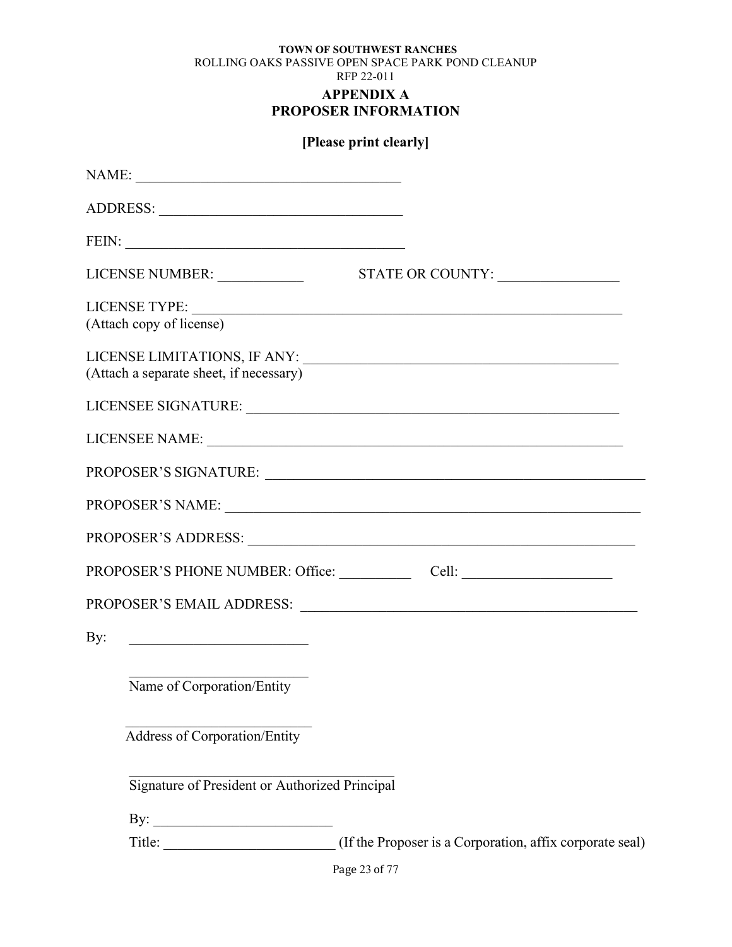# **PROPOSER INFORMATION**

<span id="page-27-0"></span>

|     |                                                               | [Please print clearly] |
|-----|---------------------------------------------------------------|------------------------|
|     |                                                               |                        |
|     |                                                               |                        |
|     |                                                               |                        |
|     |                                                               |                        |
|     | (Attach copy of license)                                      |                        |
|     | (Attach a separate sheet, if necessary)                       |                        |
|     |                                                               |                        |
|     |                                                               | LICENSEE NAME:         |
|     |                                                               |                        |
|     |                                                               | PROPOSER'S NAME:       |
|     |                                                               |                        |
|     |                                                               |                        |
|     |                                                               |                        |
| By: | <u> 1980 - Johann Barn, mars ann an t-Amhraich ann an t-A</u> |                        |
|     | Name of Corporation/Entity                                    |                        |
|     | <b>Address of Corporation/Entity</b>                          |                        |
|     | Signature of President or Authorized Principal                |                        |
|     |                                                               |                        |
|     |                                                               |                        |
|     |                                                               | $D_{0}g_{0}$ 22 of 77  |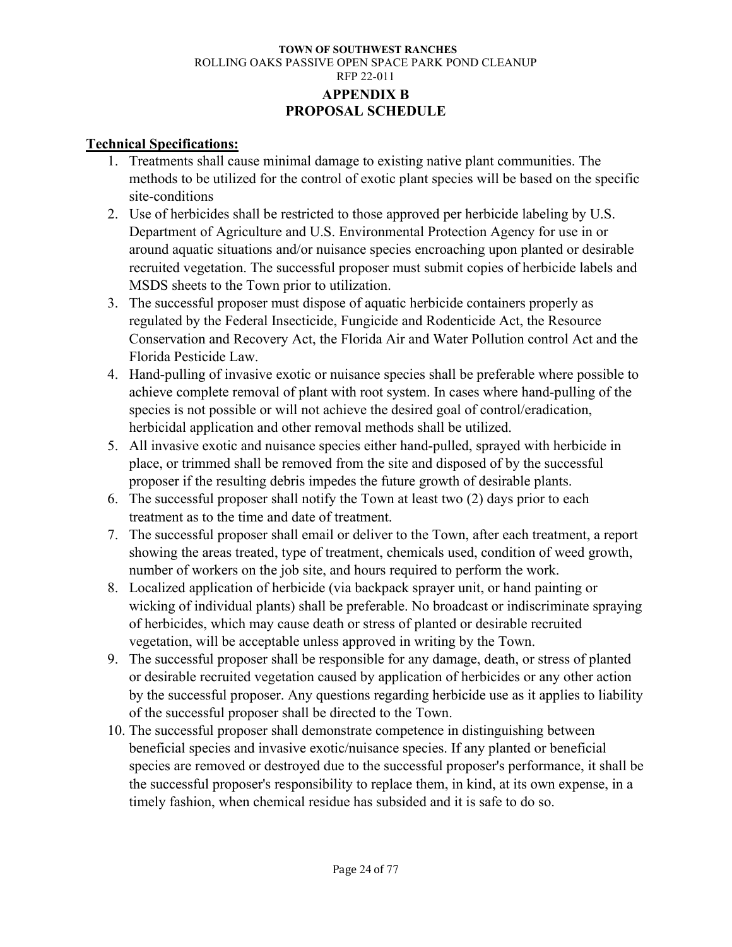### **TOWN OF SOUTHWEST RANCHES** ROLLING OAKS PASSIVE OPEN SPACE PARK POND CLEANUP RFP 22-011 **APPENDIX B PROPOSAL SCHEDULE**

### <span id="page-28-0"></span>**Technical Specifications:**

- 1. Treatments shall cause minimal damage to existing native plant communities. The methods to be utilized for the control of exotic plant species will be based on the specific site-conditions
- 2. Use of herbicides shall be restricted to those approved per herbicide labeling by U.S. Department of Agriculture and U.S. Environmental Protection Agency for use in or around aquatic situations and/or nuisance species encroaching upon planted or desirable recruited vegetation. The successful proposer must submit copies of herbicide labels and MSDS sheets to the Town prior to utilization.
- 3. The successful proposer must dispose of aquatic herbicide containers properly as regulated by the Federal Insecticide, Fungicide and Rodenticide Act, the Resource Conservation and Recovery Act, the Florida Air and Water Pollution control Act and the Florida Pesticide Law.
- 4. Hand-pulling of invasive exotic or nuisance species shall be preferable where possible to achieve complete removal of plant with root system. In cases where hand-pulling of the species is not possible or will not achieve the desired goal of control/eradication, herbicidal application and other removal methods shall be utilized.
- 5. All invasive exotic and nuisance species either hand-pulled, sprayed with herbicide in place, or trimmed shall be removed from the site and disposed of by the successful proposer if the resulting debris impedes the future growth of desirable plants.
- 6. The successful proposer shall notify the Town at least two (2) days prior to each treatment as to the time and date of treatment.
- 7. The successful proposer shall email or deliver to the Town, after each treatment, a report showing the areas treated, type of treatment, chemicals used, condition of weed growth, number of workers on the job site, and hours required to perform the work.
- 8. Localized application of herbicide (via backpack sprayer unit, or hand painting or wicking of individual plants) shall be preferable. No broadcast or indiscriminate spraying of herbicides, which may cause death or stress of planted or desirable recruited vegetation, will be acceptable unless approved in writing by the Town.
- 9. The successful proposer shall be responsible for any damage, death, or stress of planted or desirable recruited vegetation caused by application of herbicides or any other action by the successful proposer. Any questions regarding herbicide use as it applies to liability of the successful proposer shall be directed to the Town.
- 10. The successful proposer shall demonstrate competence in distinguishing between beneficial species and invasive exotic/nuisance species. If any planted or beneficial species are removed or destroyed due to the successful proposer's performance, it shall be the successful proposer's responsibility to replace them, in kind, at its own expense, in a timely fashion, when chemical residue has subsided and it is safe to do so.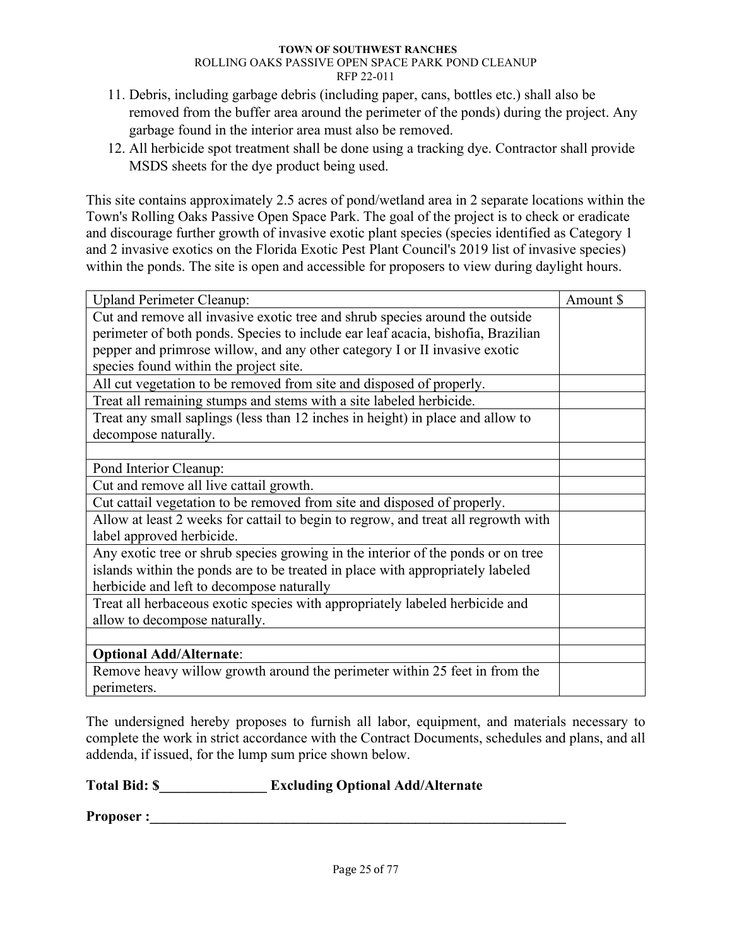- 11. Debris, including garbage debris (including paper, cans, bottles etc.) shall also be removed from the buffer area around the perimeter of the ponds) during the project. Any garbage found in the interior area must also be removed.
- 12. All herbicide spot treatment shall be done using a tracking dye. Contractor shall provide MSDS sheets for the dye product being used.

This site contains approximately 2.5 acres of pond/wetland area in 2 separate locations within the Town's Rolling Oaks Passive Open Space Park. The goal of the project is to check or eradicate and discourage further growth of invasive exotic plant species (species identified as Category 1 and 2 invasive exotics on the Florida Exotic Pest Plant Council's 2019 list of invasive species) within the ponds. The site is open and accessible for proposers to view during daylight hours.

| <b>Upland Perimeter Cleanup:</b>                                                   | Amount \$ |
|------------------------------------------------------------------------------------|-----------|
| Cut and remove all invasive exotic tree and shrub species around the outside       |           |
| perimeter of both ponds. Species to include ear leaf acacia, bishofia, Brazilian   |           |
| pepper and primrose willow, and any other category I or II invasive exotic         |           |
| species found within the project site.                                             |           |
| All cut vegetation to be removed from site and disposed of properly.               |           |
| Treat all remaining stumps and stems with a site labeled herbicide.                |           |
| Treat any small saplings (less than 12 inches in height) in place and allow to     |           |
| decompose naturally.                                                               |           |
|                                                                                    |           |
| Pond Interior Cleanup:                                                             |           |
| Cut and remove all live cattail growth.                                            |           |
| Cut cattail vegetation to be removed from site and disposed of properly.           |           |
| Allow at least 2 weeks for cattail to begin to regrow, and treat all regrowth with |           |
| label approved herbicide.                                                          |           |
| Any exotic tree or shrub species growing in the interior of the ponds or on tree   |           |
| islands within the ponds are to be treated in place with appropriately labeled     |           |
| herbicide and left to decompose naturally                                          |           |
| Treat all herbaceous exotic species with appropriately labeled herbicide and       |           |
| allow to decompose naturally.                                                      |           |
|                                                                                    |           |
| <b>Optional Add/Alternate:</b>                                                     |           |
| Remove heavy willow growth around the perimeter within 25 feet in from the         |           |
| perimeters.                                                                        |           |

The undersigned hereby proposes to furnish all labor, equipment, and materials necessary to complete the work in strict accordance with the Contract Documents, schedules and plans, and all addenda, if issued, for the lump sum price shown below.

### **Total Bid: \$\_\_\_\_\_\_\_\_\_\_\_\_\_\_\_ Excluding Optional Add/Alternate**

**Proposer :**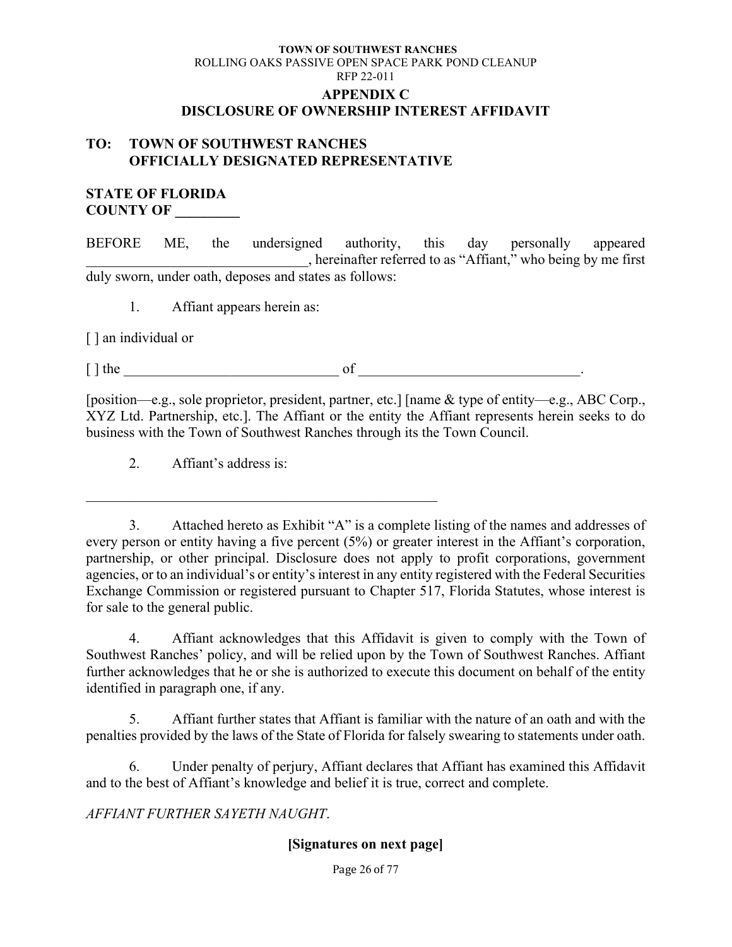### **TOWN OF SOUTHWEST RANCHES** ROLLING OAKS PASSIVE OPEN SPACE PARK POND CLEANUP RFP 22-011 **APPENDIX C DISCLOSURE OF OWNERSHIP INTEREST AFFIDAVIT**

### <span id="page-30-0"></span>**TO: TOWN OF SOUTHWEST RANCHES OFFICIALLY DESIGNATED REPRESENTATIVE**

### **STATE OF FLORIDA COUNTY OF \_\_\_\_\_\_\_\_\_**

BEFORE ME, the undersigned authority, this day personally appeared \_\_\_\_\_\_\_\_\_\_\_\_\_\_\_\_\_\_\_\_\_\_\_\_\_\_\_\_\_\_\_, hereinafter referred to as "Affiant," who being by me first duly sworn, under oath, deposes and states as follows:

1. Affiant appears herein as:

[ ] an individual or

 $[ ] the \begin{array}{ccc} \hline \end{array}$ 

[position—e.g., sole proprietor, president, partner, etc.] [name & type of entity—e.g., ABC Corp., XYZ Ltd. Partnership, etc.]. The Affiant or the entity the Affiant represents herein seeks to do business with the Town of Southwest Ranches through its the Town Council.

2. Affiant's address is:

\_\_\_\_\_\_\_\_\_\_\_\_\_\_\_\_\_\_\_\_\_\_\_\_\_\_\_\_\_\_\_\_\_\_\_\_\_\_\_\_\_\_\_\_\_\_\_\_\_

3. Attached hereto as Exhibit "A" is a complete listing of the names and addresses of every person or entity having a five percent (5%) or greater interest in the Affiant's corporation, partnership, or other principal. Disclosure does not apply to profit corporations, government agencies, or to an individual's or entity's interest in any entity registered with the Federal Securities Exchange Commission or registered pursuant to Chapter 517, Florida Statutes, whose interest is for sale to the general public.

4. Affiant acknowledges that this Affidavit is given to comply with the Town of Southwest Ranches' policy, and will be relied upon by the Town of Southwest Ranches. Affiant further acknowledges that he or she is authorized to execute this document on behalf of the entity identified in paragraph one, if any.

5. Affiant further states that Affiant is familiar with the nature of an oath and with the penalties provided by the laws of the State of Florida for falsely swearing to statements under oath.

6. Under penalty of perjury, Affiant declares that Affiant has examined this Affidavit and to the best of Affiant's knowledge and belief it is true, correct and complete.

*AFFIANT FURTHER SAYETH NAUGHT*.

### **[Signatures on next page]**

Page 26 of 77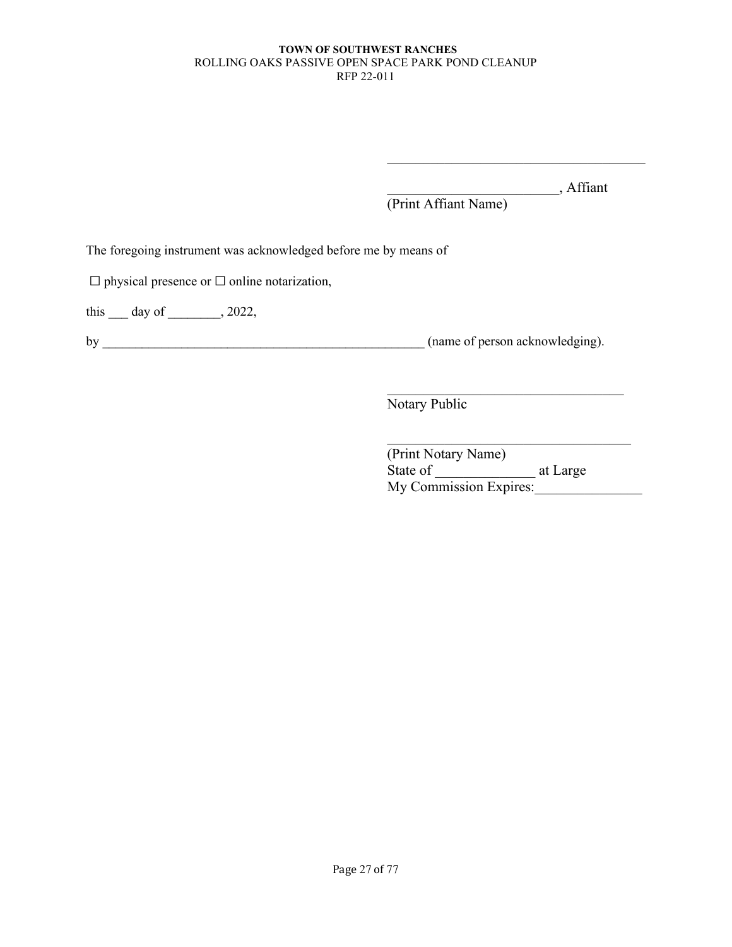\_\_\_\_\_\_\_\_\_\_\_\_\_\_\_\_\_\_\_\_\_\_\_\_, Affiant

(Print Affiant Name)

The foregoing instrument was acknowledged before me by means of

☐ physical presence or ☐ online notarization,

this \_\_\_ day of \_\_\_\_\_\_, 2022,

by \_\_\_\_\_\_\_\_\_\_\_\_\_\_\_\_\_\_\_\_\_\_\_\_\_\_\_\_\_\_\_\_\_\_\_\_\_\_\_\_\_\_\_\_\_\_\_\_\_ (name of person acknowledging).

Notary Public

(Print Notary Name) State of \_\_\_\_\_\_\_\_\_\_\_\_\_\_ at Large My Commission Expires: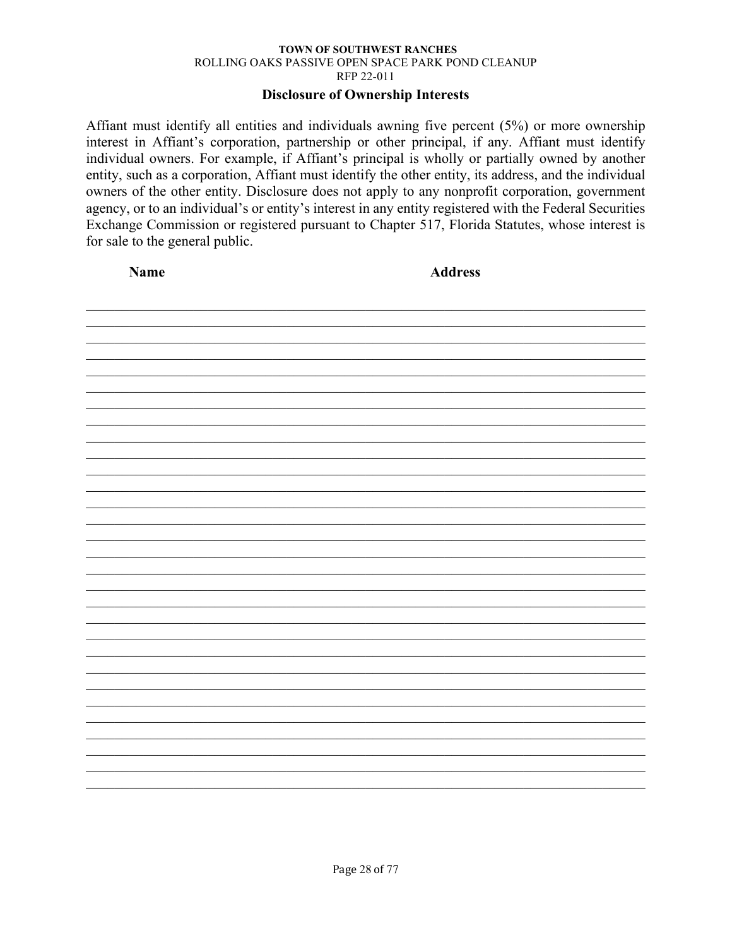### **Disclosure of Ownership Interests**

Affiant must identify all entities and individuals awning five percent (5%) or more ownership interest in Affiant's corporation, partnership or other principal, if any. Affiant must identify individual owners. For example, if Affiant's principal is wholly or partially owned by another entity, such as a corporation, Affiant must identify the other entity, its address, and the individual owners of the other entity. Disclosure does not apply to any nonprofit corporation, government agency, or to an individual's or entity's interest in any entity registered with the Federal Securities Exchange Commission or registered pursuant to Chapter 517, Florida Statutes, whose interest is for sale to the general public.

| Name | <b>Address</b> |
|------|----------------|
|      |                |
|      |                |
|      |                |
|      |                |
|      |                |
|      |                |
|      |                |
|      |                |
|      |                |
|      |                |
|      |                |
|      |                |
|      |                |
|      |                |
|      |                |
|      |                |
|      |                |
|      |                |
|      |                |
|      |                |
|      |                |
|      |                |
|      |                |
|      |                |
|      |                |
|      |                |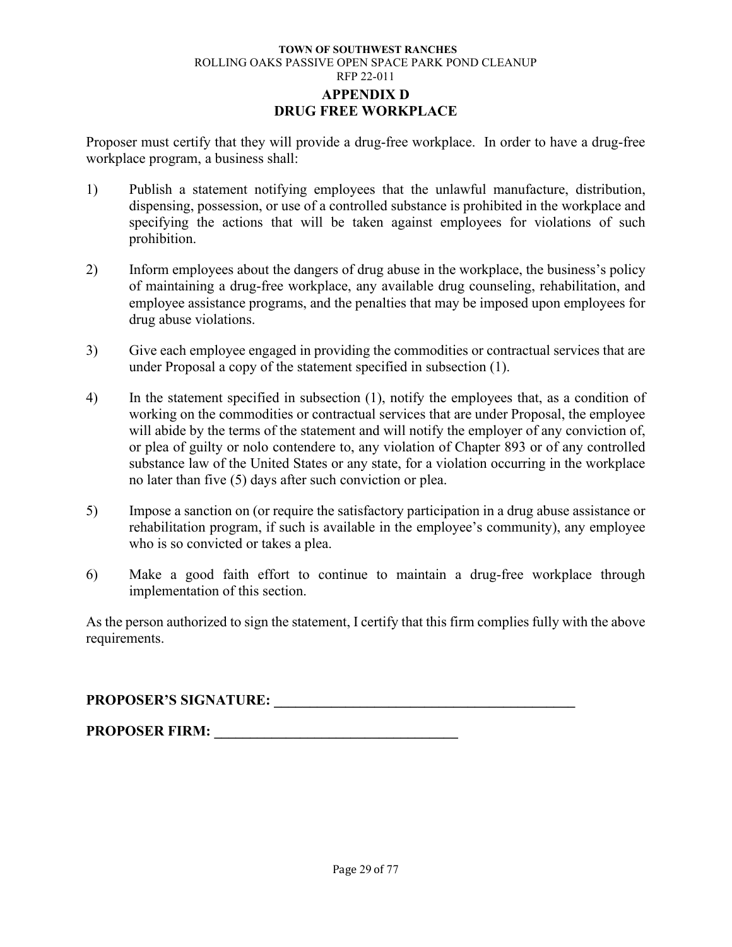### **TOWN OF SOUTHWEST RANCHES** ROLLING OAKS PASSIVE OPEN SPACE PARK POND CLEANUP RFP 22-011 **APPENDIX D DRUG FREE WORKPLACE**

<span id="page-33-0"></span>Proposer must certify that they will provide a drug-free workplace. In order to have a drug-free workplace program, a business shall:

- 1) Publish a statement notifying employees that the unlawful manufacture, distribution, dispensing, possession, or use of a controlled substance is prohibited in the workplace and specifying the actions that will be taken against employees for violations of such prohibition.
- 2) Inform employees about the dangers of drug abuse in the workplace, the business's policy of maintaining a drug-free workplace, any available drug counseling, rehabilitation, and employee assistance programs, and the penalties that may be imposed upon employees for drug abuse violations.
- 3) Give each employee engaged in providing the commodities or contractual services that are under Proposal a copy of the statement specified in subsection (1).
- 4) In the statement specified in subsection (1), notify the employees that, as a condition of working on the commodities or contractual services that are under Proposal, the employee will abide by the terms of the statement and will notify the employer of any conviction of, or plea of guilty or nolo contendere to, any violation of Chapter 893 or of any controlled substance law of the United States or any state, for a violation occurring in the workplace no later than five (5) days after such conviction or plea.
- 5) Impose a sanction on (or require the satisfactory participation in a drug abuse assistance or rehabilitation program, if such is available in the employee's community), any employee who is so convicted or takes a plea.
- 6) Make a good faith effort to continue to maintain a drug-free workplace through implementation of this section.

As the person authorized to sign the statement, I certify that this firm complies fully with the above requirements.

**PROPOSER'S SIGNATURE: \_\_\_\_\_\_\_\_\_\_\_\_\_\_\_\_\_\_\_\_\_\_\_\_\_\_\_\_\_\_\_\_\_\_\_\_\_\_\_\_\_\_**

**PROPOSER FIRM: \_\_\_\_\_\_\_\_\_\_\_\_\_\_\_\_\_\_\_\_\_\_\_\_\_\_\_\_\_\_\_\_\_\_**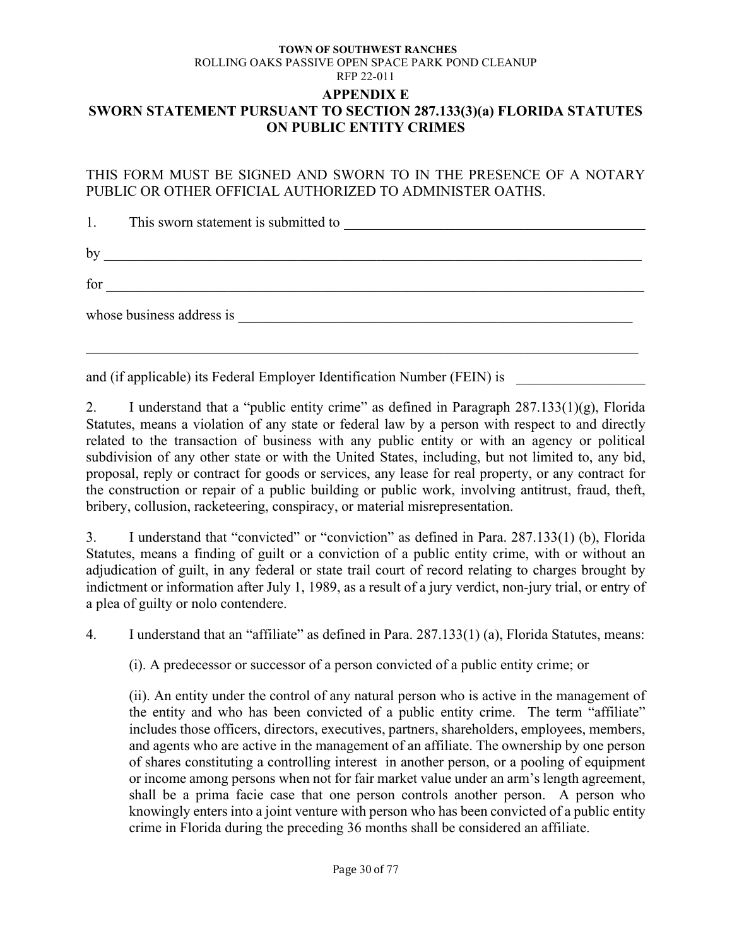### <span id="page-34-0"></span>**TOWN OF SOUTHWEST RANCHES** ROLLING OAKS PASSIVE OPEN SPACE PARK POND CLEANUP RFP 22-011 **APPENDIX E SWORN STATEMENT PURSUANT TO SECTION 287.133(3)(a) FLORIDA STATUTES ON PUBLIC ENTITY CRIMES**

THIS FORM MUST BE SIGNED AND SWORN TO IN THE PRESENCE OF A NOTARY PUBLIC OR OTHER OFFICIAL AUTHORIZED TO ADMINISTER OATHS.

| 1.  | This sworn statement is submitted to<br><u> 1989 - John Stein, Amerikaansk politiker (* 1958)</u>                                                  |
|-----|----------------------------------------------------------------------------------------------------------------------------------------------------|
| by  |                                                                                                                                                    |
| for |                                                                                                                                                    |
|     | whose business address is<br><u> 1980 - Jan Barbara, manazarta bashkar a shekara ta 1980 - André a Santa Barbara a shekara ta 1980 - André a S</u> |
|     |                                                                                                                                                    |

and (if applicable) its Federal Employer Identification Number (FEIN) is

2. I understand that a "public entity crime" as defined in Paragraph 287.133(1)(g), Florida Statutes, means a violation of any state or federal law by a person with respect to and directly related to the transaction of business with any public entity or with an agency or political subdivision of any other state or with the United States, including, but not limited to, any bid, proposal, reply or contract for goods or services, any lease for real property, or any contract for the construction or repair of a public building or public work, involving antitrust, fraud, theft, bribery, collusion, racketeering, conspiracy, or material misrepresentation.

3. I understand that "convicted" or "conviction" as defined in Para. 287.133(1) (b), Florida Statutes, means a finding of guilt or a conviction of a public entity crime, with or without an adjudication of guilt, in any federal or state trail court of record relating to charges brought by indictment or information after July 1, 1989, as a result of a jury verdict, non-jury trial, or entry of a plea of guilty or nolo contendere.

4. I understand that an "affiliate" as defined in Para. 287.133(1) (a), Florida Statutes, means:

(i). A predecessor or successor of a person convicted of a public entity crime; or

(ii). An entity under the control of any natural person who is active in the management of the entity and who has been convicted of a public entity crime. The term "affiliate" includes those officers, directors, executives, partners, shareholders, employees, members, and agents who are active in the management of an affiliate. The ownership by one person of shares constituting a controlling interest in another person, or a pooling of equipment or income among persons when not for fair market value under an arm's length agreement, shall be a prima facie case that one person controls another person. A person who knowingly enters into a joint venture with person who has been convicted of a public entity crime in Florida during the preceding 36 months shall be considered an affiliate.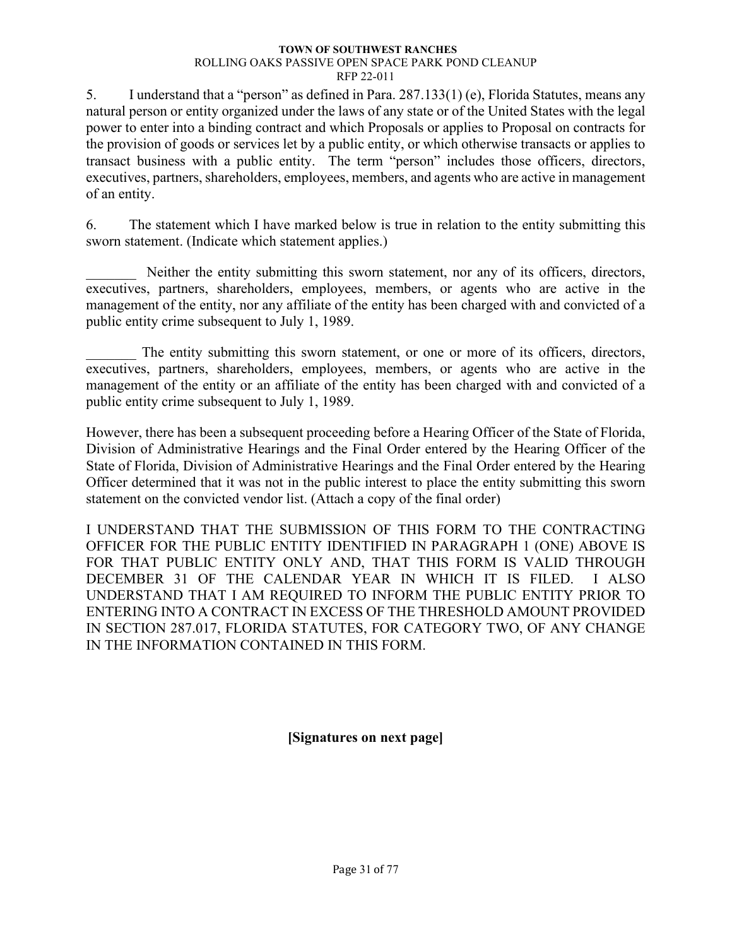5. I understand that a "person" as defined in Para. 287.133(1) (e), Florida Statutes, means any natural person or entity organized under the laws of any state or of the United States with the legal power to enter into a binding contract and which Proposals or applies to Proposal on contracts for the provision of goods or services let by a public entity, or which otherwise transacts or applies to transact business with a public entity. The term "person" includes those officers, directors, executives, partners, shareholders, employees, members, and agents who are active in management of an entity.

6. The statement which I have marked below is true in relation to the entity submitting this sworn statement. (Indicate which statement applies.)

Neither the entity submitting this sworn statement, nor any of its officers, directors, executives, partners, shareholders, employees, members, or agents who are active in the management of the entity, nor any affiliate of the entity has been charged with and convicted of a public entity crime subsequent to July 1, 1989.

The entity submitting this sworn statement, or one or more of its officers, directors, executives, partners, shareholders, employees, members, or agents who are active in the management of the entity or an affiliate of the entity has been charged with and convicted of a public entity crime subsequent to July 1, 1989.

However, there has been a subsequent proceeding before a Hearing Officer of the State of Florida, Division of Administrative Hearings and the Final Order entered by the Hearing Officer of the State of Florida, Division of Administrative Hearings and the Final Order entered by the Hearing Officer determined that it was not in the public interest to place the entity submitting this sworn statement on the convicted vendor list. (Attach a copy of the final order)

I UNDERSTAND THAT THE SUBMISSION OF THIS FORM TO THE CONTRACTING OFFICER FOR THE PUBLIC ENTITY IDENTIFIED IN PARAGRAPH 1 (ONE) ABOVE IS FOR THAT PUBLIC ENTITY ONLY AND, THAT THIS FORM IS VALID THROUGH DECEMBER 31 OF THE CALENDAR YEAR IN WHICH IT IS FILED. I ALSO UNDERSTAND THAT I AM REQUIRED TO INFORM THE PUBLIC ENTITY PRIOR TO ENTERING INTO A CONTRACT IN EXCESS OF THE THRESHOLD AMOUNT PROVIDED IN SECTION 287.017, FLORIDA STATUTES, FOR CATEGORY TWO, OF ANY CHANGE IN THE INFORMATION CONTAINED IN THIS FORM.

**[Signatures on next page]**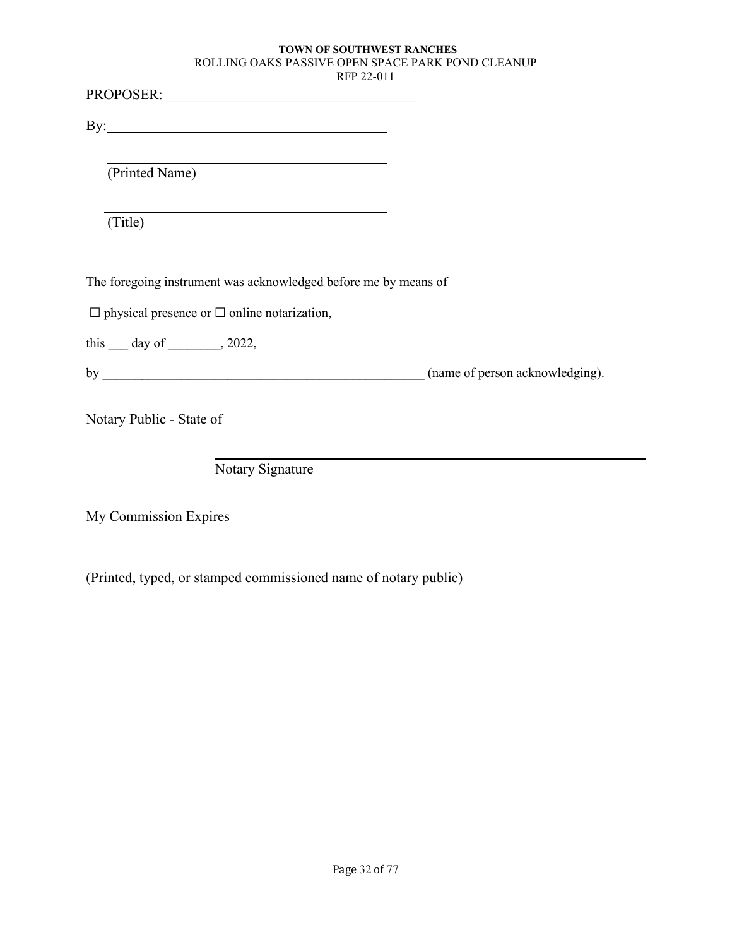| RFP 22-011                                                                                                                 |  |
|----------------------------------------------------------------------------------------------------------------------------|--|
|                                                                                                                            |  |
| By: $\overline{\phantom{a}}$                                                                                               |  |
| (Printed Name)                                                                                                             |  |
| (Title)                                                                                                                    |  |
| The foregoing instrument was acknowledged before me by means of<br>$\Box$ physical presence or $\Box$ online notarization, |  |
|                                                                                                                            |  |
| this $\_\_$ day of $\_\_$ , 2022,                                                                                          |  |
|                                                                                                                            |  |
|                                                                                                                            |  |
| Notary Signature                                                                                                           |  |
| My Commission Expires                                                                                                      |  |
|                                                                                                                            |  |

(Printed, typed, or stamped commissioned name of notary public)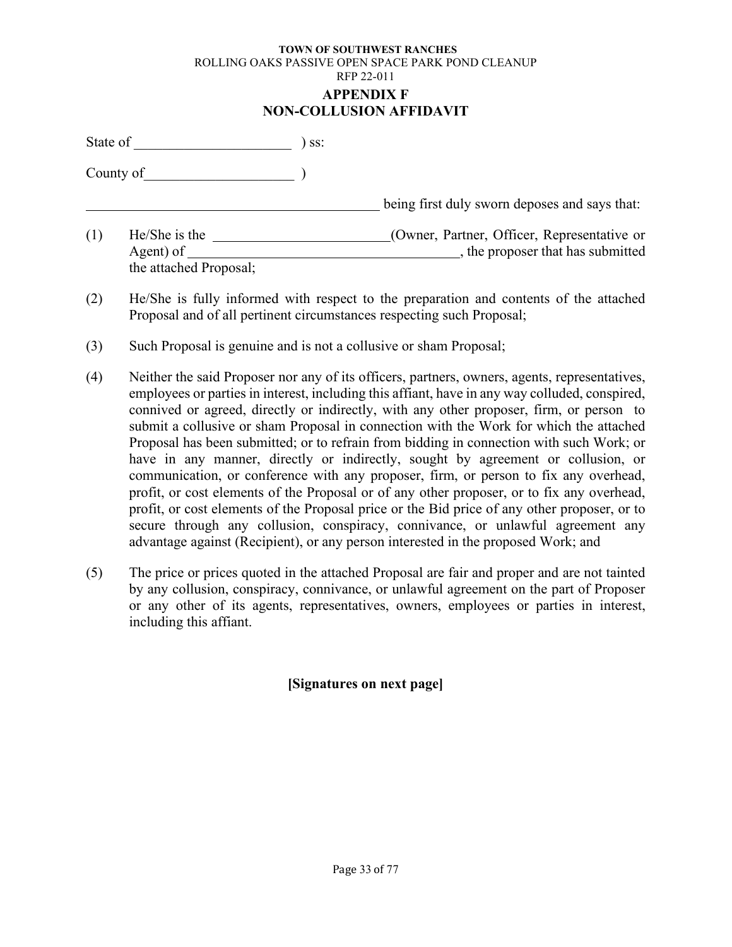#### **TOWN OF SOUTHWEST RANCHES** ROLLING OAKS PASSIVE OPEN SPACE PARK POND CLEANUP RFP 22-011 **APPENDIX F NON-COLLUSION AFFIDAVIT**

| State of |                                                      | SS: |                                                                                |
|----------|------------------------------------------------------|-----|--------------------------------------------------------------------------------|
|          | County of                                            |     |                                                                                |
|          |                                                      |     | being first duly sworn deposes and says that:                                  |
| (1)      | He/She is the<br>Agent) of<br>the attached Proposal; |     | (Owner, Partner, Officer, Representative or<br>the proposer that has submitted |

- (2) He/She is fully informed with respect to the preparation and contents of the attached Proposal and of all pertinent circumstances respecting such Proposal;
- (3) Such Proposal is genuine and is not a collusive or sham Proposal;
- (4) Neither the said Proposer nor any of its officers, partners, owners, agents, representatives, employees or parties in interest, including this affiant, have in any way colluded, conspired, connived or agreed, directly or indirectly, with any other proposer, firm, or person to submit a collusive or sham Proposal in connection with the Work for which the attached Proposal has been submitted; or to refrain from bidding in connection with such Work; or have in any manner, directly or indirectly, sought by agreement or collusion, or communication, or conference with any proposer, firm, or person to fix any overhead, profit, or cost elements of the Proposal or of any other proposer, or to fix any overhead, profit, or cost elements of the Proposal price or the Bid price of any other proposer, or to secure through any collusion, conspiracy, connivance, or unlawful agreement any advantage against (Recipient), or any person interested in the proposed Work; and
- (5) The price or prices quoted in the attached Proposal are fair and proper and are not tainted by any collusion, conspiracy, connivance, or unlawful agreement on the part of Proposer or any other of its agents, representatives, owners, employees or parties in interest, including this affiant.

# **[Signatures on next page]**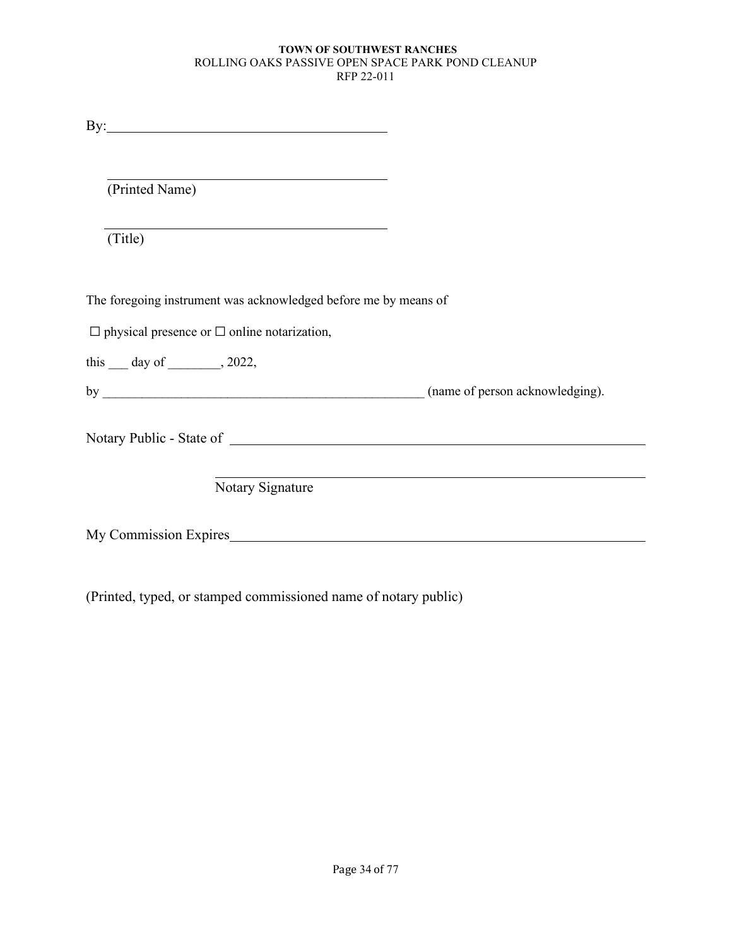| $\mathbf{By:}\_\_\_\_\_\_\_\_$                                  |  |
|-----------------------------------------------------------------|--|
|                                                                 |  |
| (Printed Name)                                                  |  |
| (Title)                                                         |  |
|                                                                 |  |
| The foregoing instrument was acknowledged before me by means of |  |
| $\Box$ physical presence or $\Box$ online notarization,         |  |
| this $\_\_$ day of $\_\_$ , 2022,                               |  |
|                                                                 |  |
|                                                                 |  |
|                                                                 |  |
| Notary Signature                                                |  |
| My Commission Expires <b>Expires Expires Expires EXPIRES</b>    |  |

(Printed, typed, or stamped commissioned name of notary public)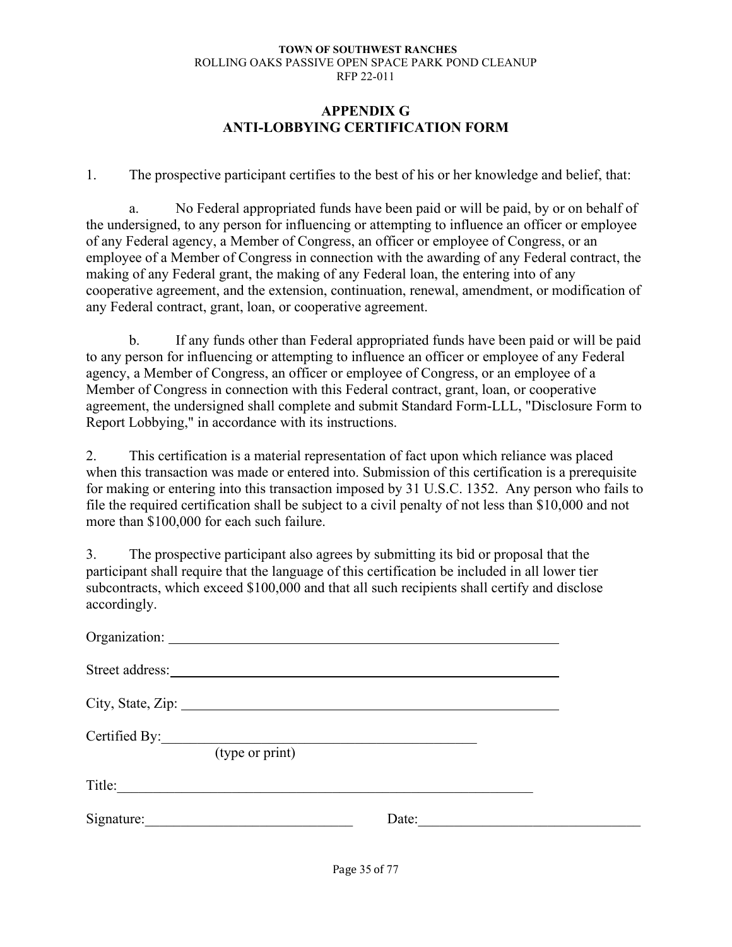# **APPENDIX G ANTI-LOBBYING CERTIFICATION FORM**

1. The prospective participant certifies to the best of his or her knowledge and belief, that:

a. No Federal appropriated funds have been paid or will be paid, by or on behalf of the undersigned, to any person for influencing or attempting to influence an officer or employee of any Federal agency, a Member of Congress, an officer or employee of Congress, or an employee of a Member of Congress in connection with the awarding of any Federal contract, the making of any Federal grant, the making of any Federal loan, the entering into of any cooperative agreement, and the extension, continuation, renewal, amendment, or modification of any Federal contract, grant, loan, or cooperative agreement.

b. If any funds other than Federal appropriated funds have been paid or will be paid to any person for influencing or attempting to influence an officer or employee of any Federal agency, a Member of Congress, an officer or employee of Congress, or an employee of a Member of Congress in connection with this Federal contract, grant, loan, or cooperative agreement, the undersigned shall complete and submit Standard Form-LLL, "Disclosure Form to Report Lobbying," in accordance with its instructions.

2. This certification is a material representation of fact upon which reliance was placed when this transaction was made or entered into. Submission of this certification is a prerequisite for making or entering into this transaction imposed by 31 U.S.C. 1352. Any person who fails to file the required certification shall be subject to a civil penalty of not less than \$10,000 and not more than \$100,000 for each such failure.

3. The prospective participant also agrees by submitting its bid or proposal that the participant shall require that the language of this certification be included in all lower tier subcontracts, which exceed \$100,000 and that all such recipients shall certify and disclose accordingly.

| City, State, Zip:                |       |  |
|----------------------------------|-------|--|
| Certified By:<br>(type or print) |       |  |
| Title:                           |       |  |
| Signature:                       | Date: |  |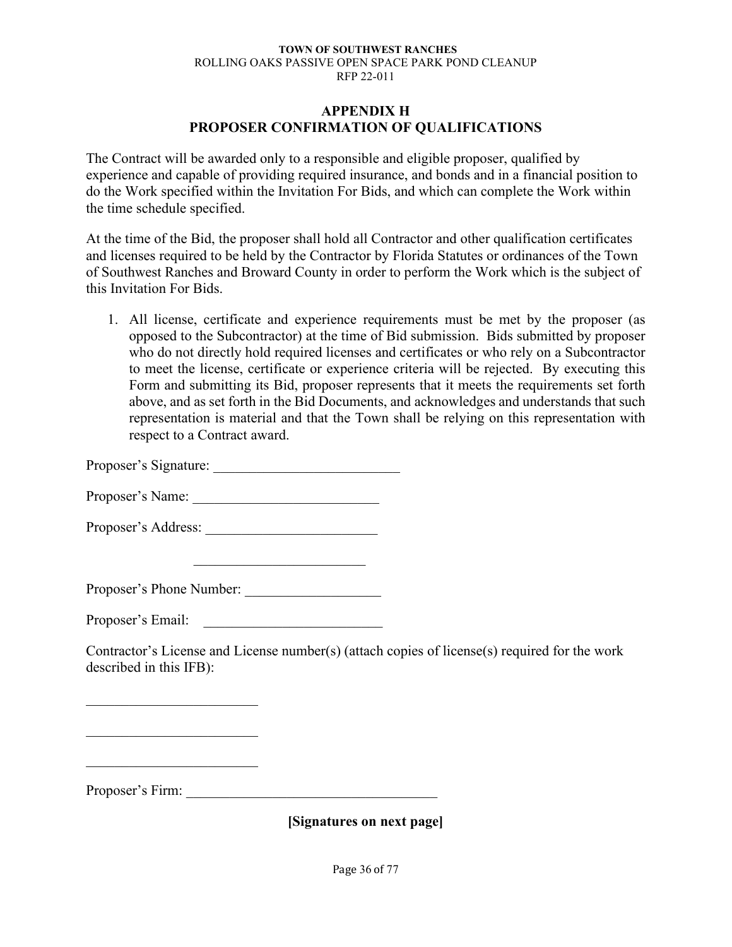### **APPENDIX H PROPOSER CONFIRMATION OF QUALIFICATIONS**

The Contract will be awarded only to a responsible and eligible proposer, qualified by experience and capable of providing required insurance, and bonds and in a financial position to do the Work specified within the Invitation For Bids, and which can complete the Work within the time schedule specified.

At the time of the Bid, the proposer shall hold all Contractor and other qualification certificates and licenses required to be held by the Contractor by Florida Statutes or ordinances of the Town of Southwest Ranches and Broward County in order to perform the Work which is the subject of this Invitation For Bids.

1. All license, certificate and experience requirements must be met by the proposer (as opposed to the Subcontractor) at the time of Bid submission. Bids submitted by proposer who do not directly hold required licenses and certificates or who rely on a Subcontractor to meet the license, certificate or experience criteria will be rejected. By executing this Form and submitting its Bid, proposer represents that it meets the requirements set forth above, and as set forth in the Bid Documents, and acknowledges and understands that such representation is material and that the Town shall be relying on this representation with respect to a Contract award.

Proposer's Signature:

Proposer's Name: \_\_\_\_\_\_\_\_\_\_\_\_\_\_\_\_\_\_\_\_\_\_\_\_\_\_

Proposer's Address:

Proposer's Phone Number: \_\_\_\_\_\_\_\_\_\_\_\_\_\_\_\_\_\_\_

Proposer's Email:

Contractor's License and License number(s) (attach copies of license(s) required for the work described in this IFB):

Proposer's Firm: \_\_\_\_\_\_\_\_\_\_\_\_\_\_\_\_\_\_\_\_\_\_\_\_\_\_\_\_\_\_\_\_\_\_\_

 $\overline{\phantom{a}}$  , which is a set of the set of the set of the set of the set of the set of the set of the set of the set of the set of the set of the set of the set of the set of the set of the set of the set of the set of th

 $\mathcal{L}_\mathcal{L}$  , which is a set of the set of the set of the set of the set of the set of the set of the set of the set of the set of the set of the set of the set of the set of the set of the set of the set of the set of

**[Signatures on next page]**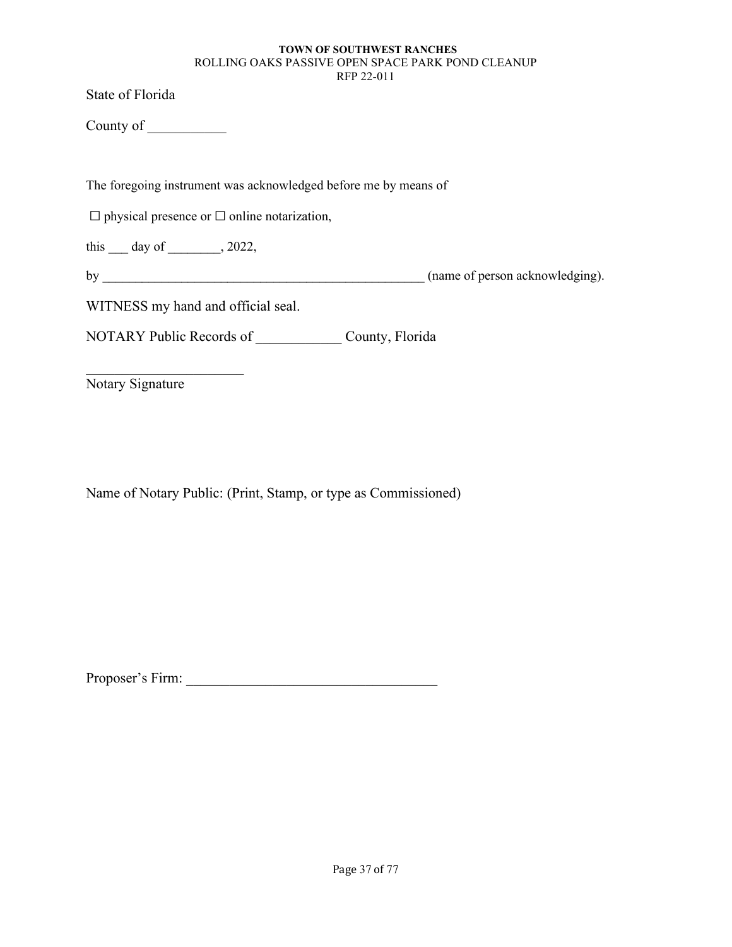State of Florida

County of \_\_\_\_\_\_\_\_\_\_\_

The foregoing instrument was acknowledged before me by means of

 $\Box$  physical presence or  $\Box$  online notarization,

this  $\_\_$  day of  $\_\_$ , 2022,

by  $_{(name of person acknowledges).}$ 

WITNESS my hand and official seal.

NOTARY Public Records of \_\_\_\_\_\_\_\_\_\_\_\_ County, Florida

Notary Signature

 $\overline{\mathcal{L}}$ 

Name of Notary Public: (Print, Stamp, or type as Commissioned)

Proposer's Firm: \_\_\_\_\_\_\_\_\_\_\_\_\_\_\_\_\_\_\_\_\_\_\_\_\_\_\_\_\_\_\_\_\_\_\_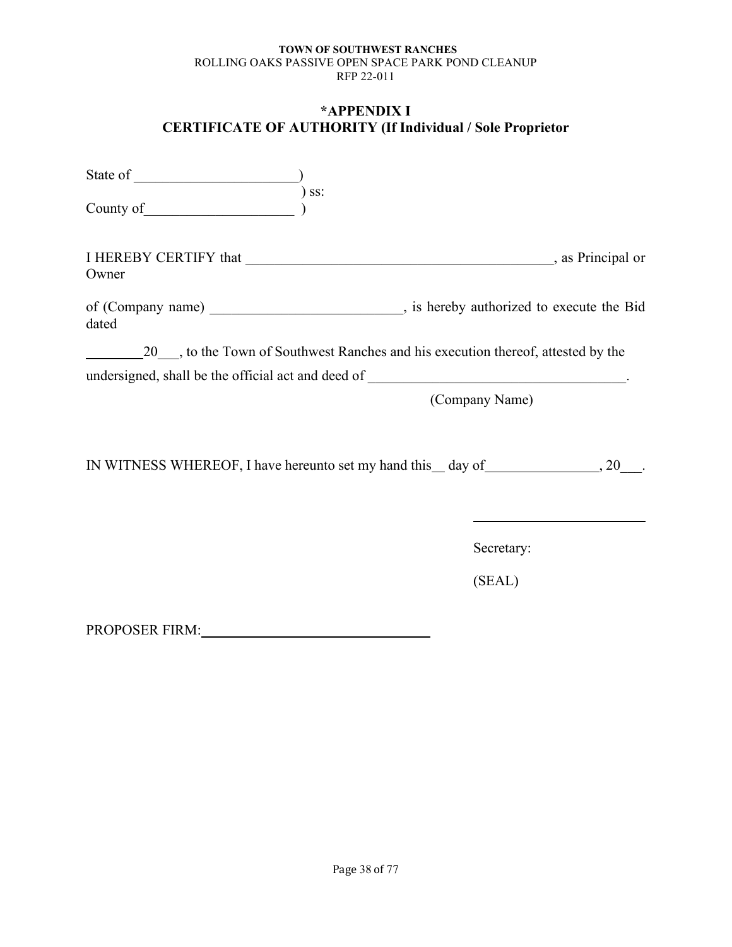# **\*APPENDIX I CERTIFICATE OF AUTHORITY (If Individual / Sole Proprietor**

| County of <u>County of County of County of</u> | $)$ ss:                                                                                     |
|------------------------------------------------|---------------------------------------------------------------------------------------------|
| Owner                                          |                                                                                             |
| dated                                          | of (Company name) ________________________________, is hereby authorized to execute the Bid |
|                                                |                                                                                             |
|                                                | undersigned, shall be the official act and deed of ______________________________.          |
|                                                | (Company Name)                                                                              |
|                                                | IN WITNESS WHEREOF, I have hereunto set my hand this __ day of __________________, 20       |
|                                                | Secretary:                                                                                  |
|                                                | (SEAL)                                                                                      |
| <b>PROPOSER FIRM:</b>                          |                                                                                             |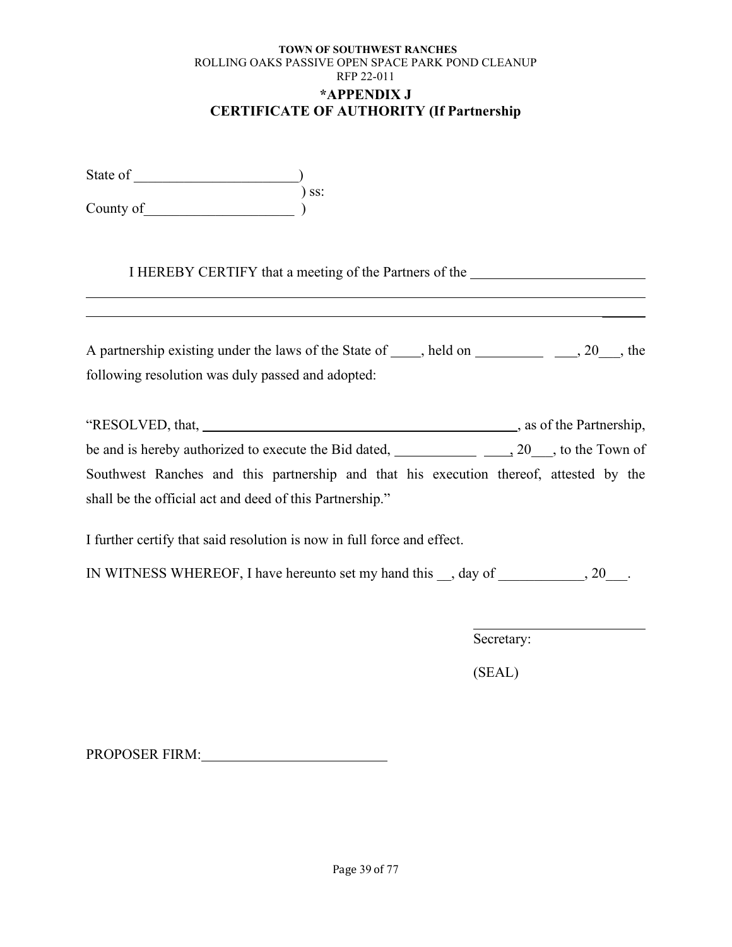### **TOWN OF SOUTHWEST RANCHES** ROLLING OAKS PASSIVE OPEN SPACE PARK POND CLEANUP RFP 22-011 **\*APPENDIX J CERTIFICATE OF AUTHORITY (If Partnership**

| State of  |       |
|-----------|-------|
|           | ) ss: |
| County of |       |

I HEREBY CERTIFY that a meeting of the Partners of the

| A partnership existing under the laws of the State of $\Box$ , held on $\Box$ , 20, the |                          |  |
|-----------------------------------------------------------------------------------------|--------------------------|--|
| following resolution was duly passed and adopted:                                       |                          |  |
| "RESOLVED, that,                                                                        | , as of the Partnership, |  |
| be and is hereby authorized to execute the Bid dated, 20, 20, to the Town of            |                          |  |
| Southwest Ranches and this partnership and that his execution thereof, attested by the  |                          |  |
| shall be the official act and deed of this Partnership."                                |                          |  |

I further certify that said resolution is now in full force and effect.

IN WITNESS WHEREOF, I have hereunto set my hand this \_\_, day of \_\_\_\_\_\_\_\_\_\_\_, 20\_\_\_.

Secretary:

(SEAL)

PROPOSER FIRM: PROPOSER FIRM: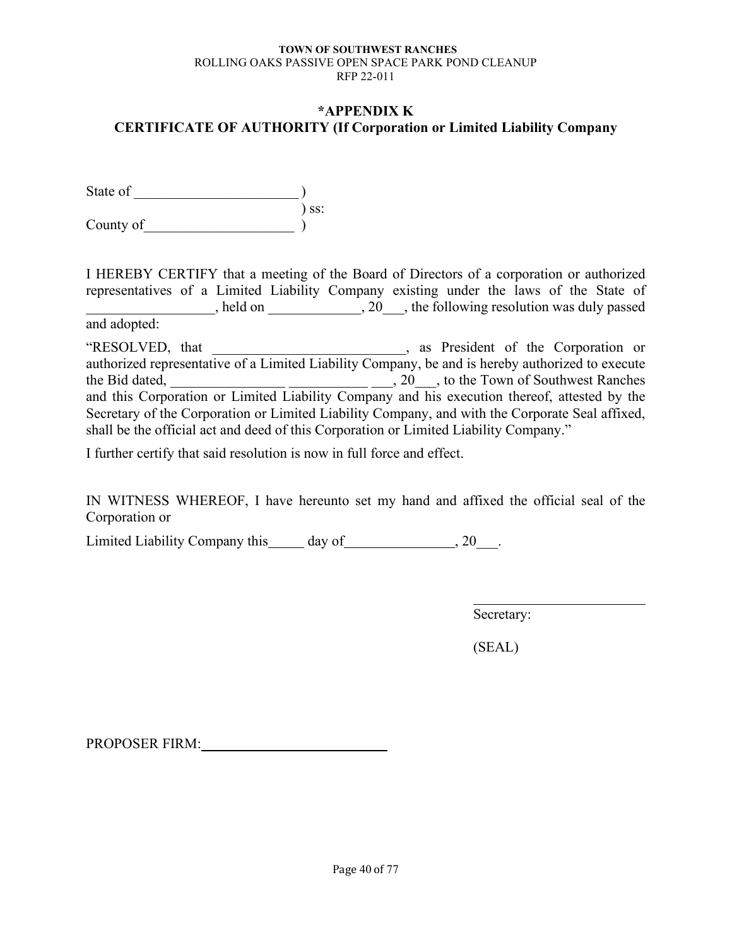# **\*APPENDIX K CERTIFICATE OF AUTHORITY (If Corporation or Limited Liability Company**

State of  $\qquad \qquad$  ) ) ss: County of  $\qquad \qquad$  )

I HEREBY CERTIFY that a meeting of the Board of Directors of a corporation or authorized representatives of a Limited Liability Company existing under the laws of the State of held on \_\_\_\_\_\_\_\_\_\_\_\_, 20\_\_\_, the following resolution was duly passed and adopted:

"RESOLVED, that \_\_\_\_\_\_\_\_\_\_\_\_\_\_\_\_\_\_\_\_\_\_\_\_\_\_\_, as President of the Corporation or authorized representative of a Limited Liability Company, be and is hereby authorized to execute the Bid dated, <u>the Bid dated, and the Bid dated</u>,  $\frac{1}{2}$  and  $\frac{1}{2}$ , 20<sub>00</sub>, to the Town of Southwest Ranches and this Corporation or Limited Liability Company and his execution thereof, attested by the Secretary of the Corporation or Limited Liability Company, and with the Corporate Seal affixed, shall be the official act and deed of this Corporation or Limited Liability Company."

I further certify that said resolution is now in full force and effect.

IN WITNESS WHEREOF, I have hereunto set my hand and affixed the official seal of the Corporation or

Limited Liability Company this day of , 20 .

Secretary:

(SEAL)

PROPOSER FIRM: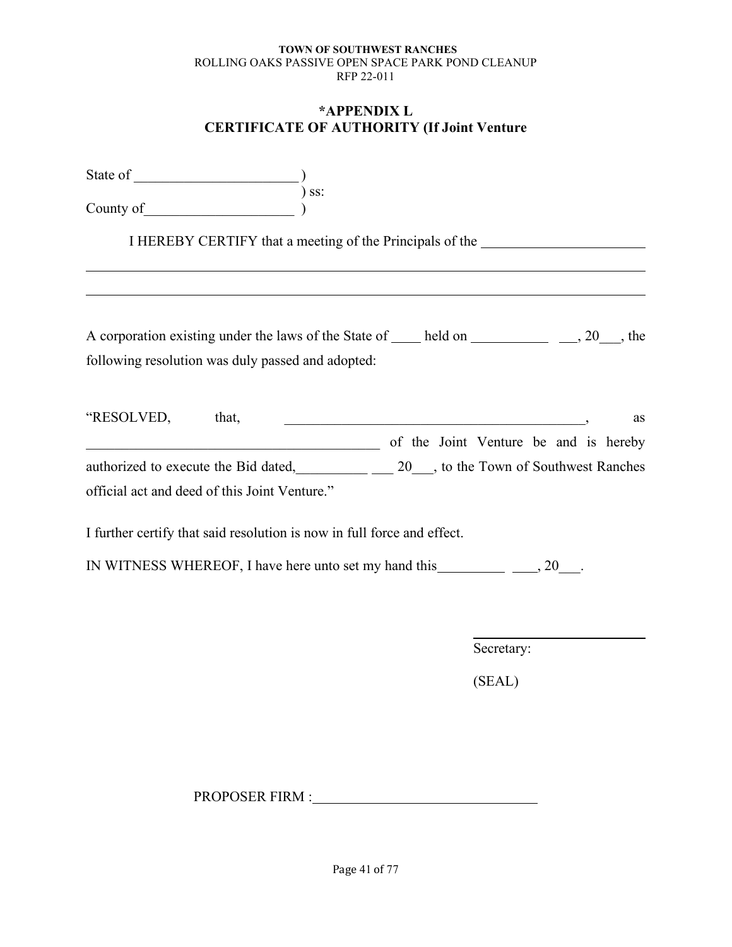# **\*APPENDIX L CERTIFICATE OF AUTHORITY (If Joint Venture**

| $\begin{array}{c} \text{County of} \\ \text{County of} \end{array}$       |                                                                                  |  |            |    |
|---------------------------------------------------------------------------|----------------------------------------------------------------------------------|--|------------|----|
|                                                                           | I HEREBY CERTIFY that a meeting of the Principals of the _______________________ |  |            |    |
|                                                                           |                                                                                  |  |            |    |
| following resolution was duly passed and adopted:                         |                                                                                  |  |            |    |
| "RESOLVED, that,<br>of the Joint Venture be and is hereby                 |                                                                                  |  |            | as |
| authorized to execute the Bid dated, 20, to the Town of Southwest Ranches |                                                                                  |  |            |    |
| official act and deed of this Joint Venture."                             |                                                                                  |  |            |    |
| I further certify that said resolution is now in full force and effect.   |                                                                                  |  |            |    |
|                                                                           |                                                                                  |  |            |    |
|                                                                           |                                                                                  |  |            |    |
|                                                                           |                                                                                  |  | Secretary: |    |
|                                                                           |                                                                                  |  | (SEAL)     |    |

PROPOSER FIRM : The state of the state of the state of the state of the state of the state of the state of the state of the state of the state of the state of the state of the state of the state of the state of the state o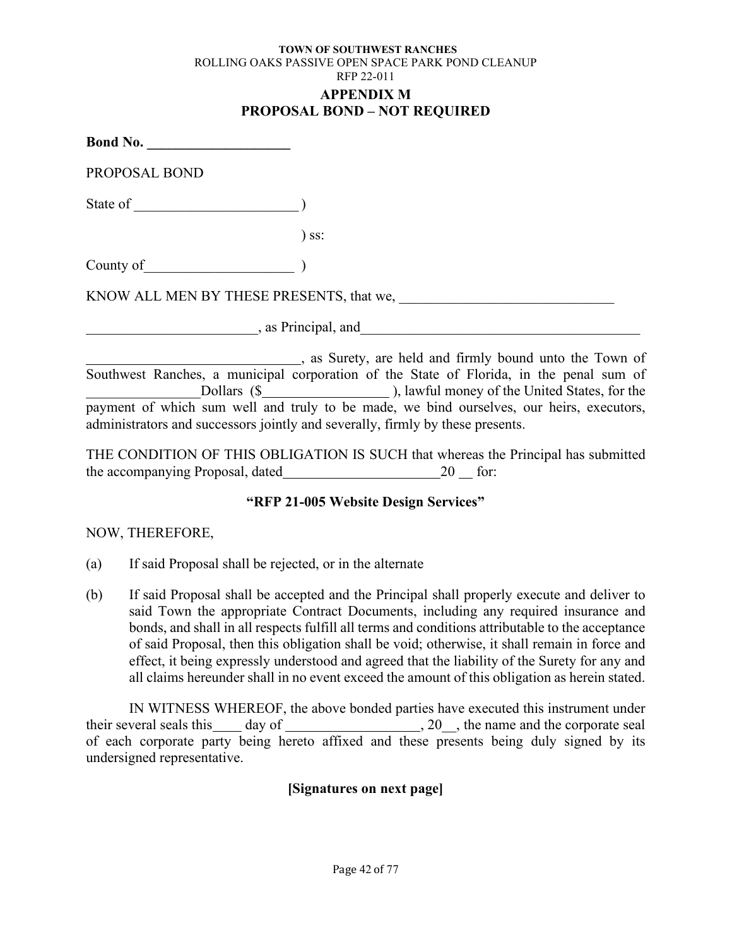#### **TOWN OF SOUTHWEST RANCHES** ROLLING OAKS PASSIVE OPEN SPACE PARK POND CLEANUP RFP 22-011 **APPENDIX M PROPOSAL BOND – NOT REQUIRED**

| PROPOSAL BOND                   |                                                                                                                                                                                                                                |  |
|---------------------------------|--------------------------------------------------------------------------------------------------------------------------------------------------------------------------------------------------------------------------------|--|
|                                 |                                                                                                                                                                                                                                |  |
|                                 | $)$ ss:                                                                                                                                                                                                                        |  |
| County of <u>the country of</u> |                                                                                                                                                                                                                                |  |
|                                 | KNOW ALL MEN BY THESE PRESENTS, that we,                                                                                                                                                                                       |  |
|                                 | as Principal, and the contract of the contract of the contract of the contract of the contract of the contract of the contract of the contract of the contract of the contract of the contract of the contract of the contract |  |
|                                 | s as Surety, are held and firmly bound unto the Town of                                                                                                                                                                        |  |
|                                 | Southwest Ranches, a municipal corporation of the State of Florida, in the penal sum of                                                                                                                                        |  |
|                                 |                                                                                                                                                                                                                                |  |

payment of which sum well and truly to be made, we bind ourselves, our heirs, executors, administrators and successors jointly and severally, firmly by these presents.

THE CONDITION OF THIS OBLIGATION IS SUCH that whereas the Principal has submitted the accompanying Proposal, dated  $20$  for:

# **"RFP 21-005 Website Design Services"**

# NOW, THEREFORE,

- (a) If said Proposal shall be rejected, or in the alternate
- (b) If said Proposal shall be accepted and the Principal shall properly execute and deliver to said Town the appropriate Contract Documents, including any required insurance and bonds, and shall in all respects fulfill all terms and conditions attributable to the acceptance of said Proposal, then this obligation shall be void; otherwise, it shall remain in force and effect, it being expressly understood and agreed that the liability of the Surety for any and all claims hereunder shall in no event exceed the amount of this obligation as herein stated.

IN WITNESS WHEREOF, the above bonded parties have executed this instrument under their several seals this \_\_\_\_\_ day of \_\_\_\_\_\_\_\_\_\_\_\_\_\_\_\_\_\_\_\_\_\_\_, 20\_\_, the name and the corporate seal of each corporate party being hereto affixed and these presents being duly signed by its undersigned representative.

# **[Signatures on next page]**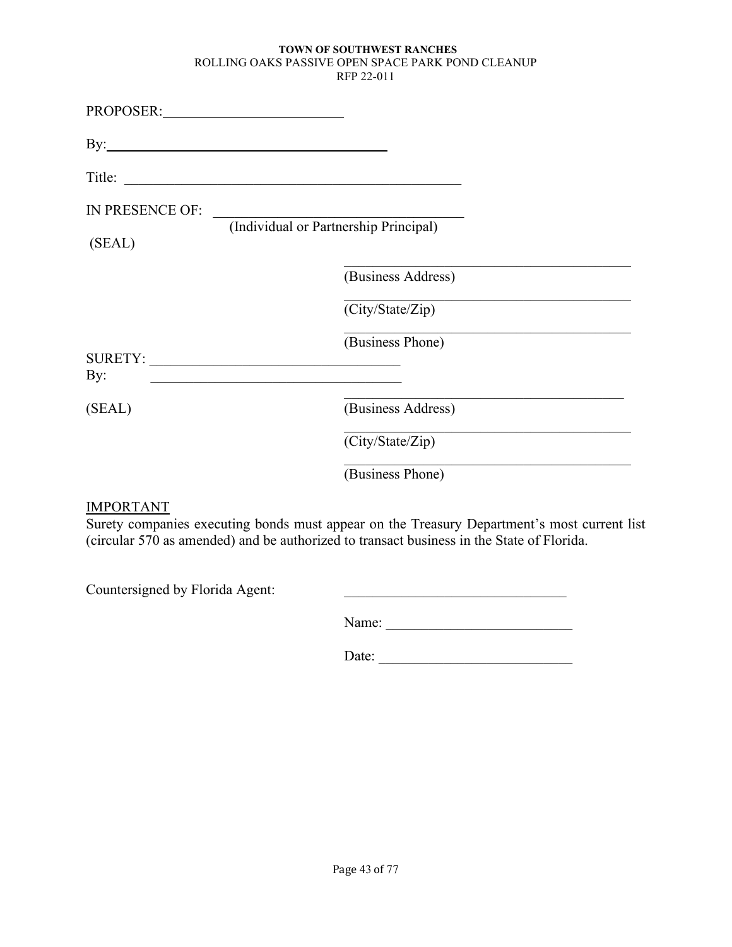| PROPOSER:       |                                       |  |
|-----------------|---------------------------------------|--|
|                 |                                       |  |
|                 | Title:                                |  |
| IN PRESENCE OF: |                                       |  |
| (SEAL)          | (Individual or Partnership Principal) |  |
|                 | (Business Address)                    |  |
|                 | (City/State/Zip)                      |  |
| By:             | (Business Phone)<br>SURETY:           |  |
| (SEAL)          | (Business Address)                    |  |
|                 | (City/State/Zip)                      |  |
|                 | (Business Phone)                      |  |

# IMPORTANT

Surety companies executing bonds must appear on the Treasury Department's most current list (circular 570 as amended) and be authorized to transact business in the State of Florida.

Countersigned by Florida Agent: \_\_\_\_\_\_\_\_\_\_\_\_\_\_\_\_\_\_\_\_\_\_\_\_\_\_\_\_\_\_\_

| na.<br>٠. |  |  |  |
|-----------|--|--|--|
|           |  |  |  |

Date: \_\_\_\_\_\_\_\_\_\_\_\_\_\_\_\_\_\_\_\_\_\_\_\_\_\_\_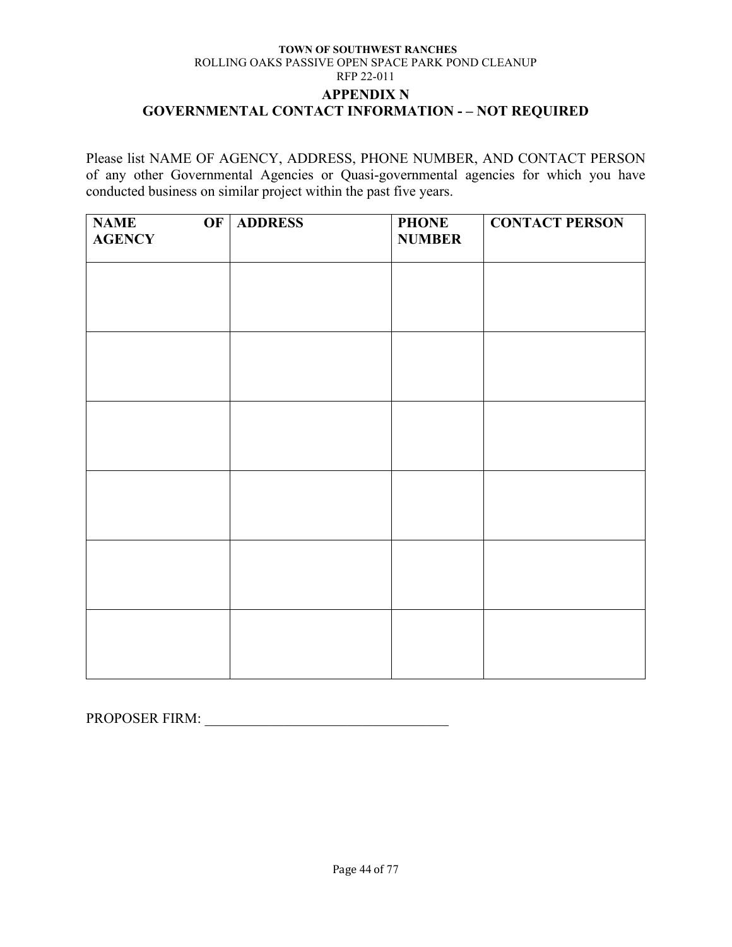#### **TOWN OF SOUTHWEST RANCHES** ROLLING OAKS PASSIVE OPEN SPACE PARK POND CLEANUP RFP 22-011 **APPENDIX N GOVERNMENTAL CONTACT INFORMATION - – NOT REQUIRED**

Please list NAME OF AGENCY, ADDRESS, PHONE NUMBER, AND CONTACT PERSON of any other Governmental Agencies or Quasi-governmental agencies for which you have conducted business on similar project within the past five years.

| <b>NAME</b><br>OF<br><b>AGENCY</b> | <b>ADDRESS</b> | <b>PHONE</b><br><b>NUMBER</b> | <b>CONTACT PERSON</b> |
|------------------------------------|----------------|-------------------------------|-----------------------|
|                                    |                |                               |                       |
|                                    |                |                               |                       |
|                                    |                |                               |                       |
|                                    |                |                               |                       |
|                                    |                |                               |                       |
|                                    |                |                               |                       |
|                                    |                |                               |                       |
|                                    |                |                               |                       |
|                                    |                |                               |                       |

PROPOSER FIRM: \_\_\_\_\_\_\_\_\_\_\_\_\_\_\_\_\_\_\_\_\_\_\_\_\_\_\_\_\_\_\_\_\_\_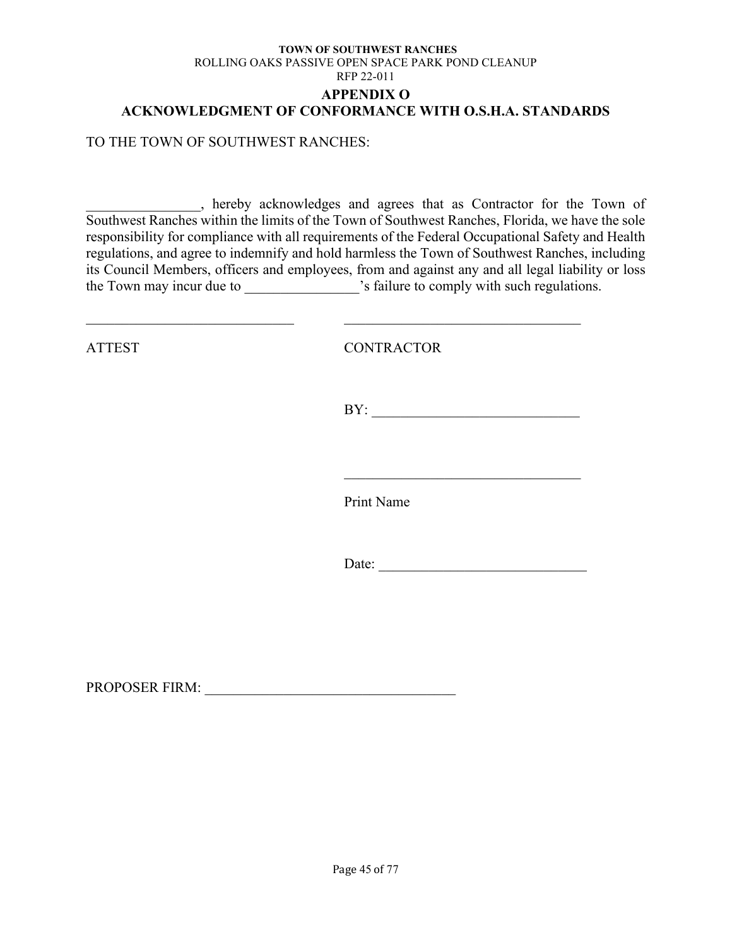### **TOWN OF SOUTHWEST RANCHES** ROLLING OAKS PASSIVE OPEN SPACE PARK POND CLEANUP RFP 22-011 **APPENDIX O ACKNOWLEDGMENT OF CONFORMANCE WITH O.S.H.A. STANDARDS**

TO THE TOWN OF SOUTHWEST RANCHES:

\_\_\_\_\_\_\_\_\_\_\_\_\_\_\_\_, hereby acknowledges and agrees that as Contractor for the Town of Southwest Ranches within the limits of the Town of Southwest Ranches, Florida, we have the sole responsibility for compliance with all requirements of the Federal Occupational Safety and Health regulations, and agree to indemnify and hold harmless the Town of Southwest Ranches, including its Council Members, officers and employees, from and against any and all legal liability or loss the Town may incur due to \_\_\_\_\_\_\_\_\_\_\_\_\_\_\_\_\_'s failure to comply with such regulations.

 $\_$  , and the set of the set of the set of the set of the set of the set of the set of the set of the set of the set of the set of the set of the set of the set of the set of the set of the set of the set of the set of th

ATTEST CONTRACTOR

 $BY:$ 

 $\mathcal{L}$  , which is a set of the set of the set of the set of the set of the set of the set of the set of the set of the set of the set of the set of the set of the set of the set of the set of the set of the set of the s

Print Name

Date: \_\_\_\_\_\_\_\_\_\_\_\_\_\_\_\_\_\_\_\_\_\_\_\_\_\_\_\_\_

PROPOSER FIRM: \_\_\_\_\_\_\_\_\_\_\_\_\_\_\_\_\_\_\_\_\_\_\_\_\_\_\_\_\_\_\_\_\_\_\_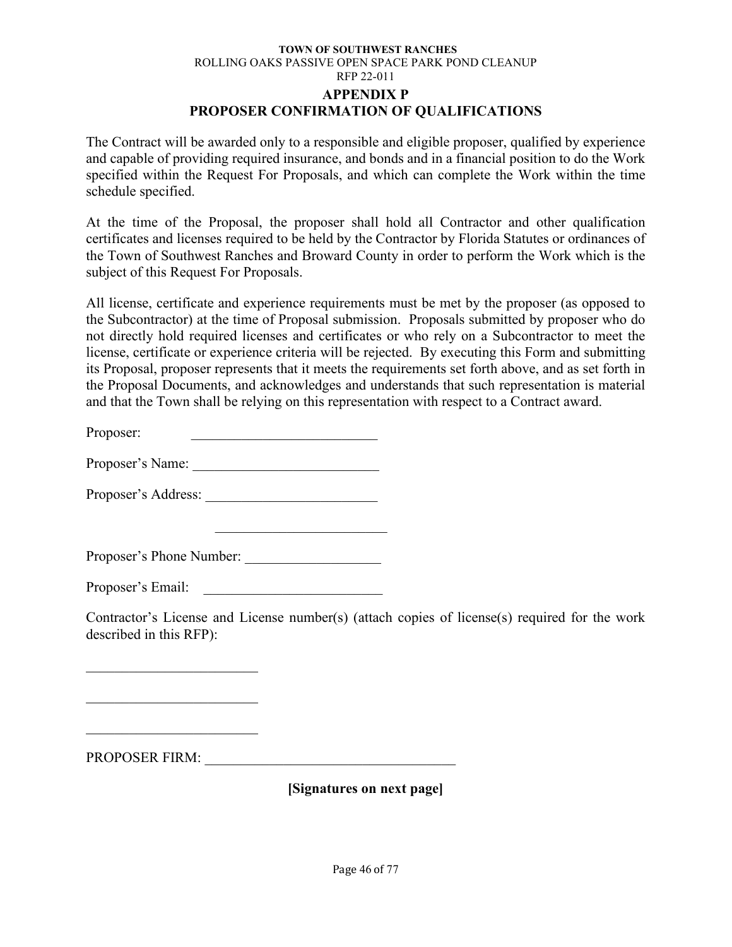#### **TOWN OF SOUTHWEST RANCHES** ROLLING OAKS PASSIVE OPEN SPACE PARK POND CLEANUP RFP 22-011 **APPENDIX P PROPOSER CONFIRMATION OF QUALIFICATIONS**

The Contract will be awarded only to a responsible and eligible proposer, qualified by experience and capable of providing required insurance, and bonds and in a financial position to do the Work specified within the Request For Proposals, and which can complete the Work within the time schedule specified.

At the time of the Proposal, the proposer shall hold all Contractor and other qualification certificates and licenses required to be held by the Contractor by Florida Statutes or ordinances of the Town of Southwest Ranches and Broward County in order to perform the Work which is the subject of this Request For Proposals.

All license, certificate and experience requirements must be met by the proposer (as opposed to the Subcontractor) at the time of Proposal submission. Proposals submitted by proposer who do not directly hold required licenses and certificates or who rely on a Subcontractor to meet the license, certificate or experience criteria will be rejected. By executing this Form and submitting its Proposal, proposer represents that it meets the requirements set forth above, and as set forth in the Proposal Documents, and acknowledges and understands that such representation is material and that the Town shall be relying on this representation with respect to a Contract award.

Proposer:

Proposer's Name:

Proposer's Address: \_\_\_\_\_\_\_\_\_\_\_\_\_\_\_\_\_\_\_\_\_\_\_\_

Proposer's Phone Number:

\_\_\_\_\_\_\_\_\_\_\_\_\_\_\_\_\_\_\_\_\_\_\_\_

Proposer's Email:

Contractor's License and License number(s) (attach copies of license(s) required for the work described in this RFP):

PROPOSER FIRM: \_\_\_\_\_\_\_\_\_\_\_\_\_\_\_\_\_\_\_\_\_\_\_\_\_\_\_\_\_\_\_\_\_\_\_

\_\_\_\_\_\_\_\_\_\_\_\_\_\_\_\_\_\_\_\_\_\_\_\_

 $\mathcal{L}_\text{max}$  , where  $\mathcal{L}_\text{max}$  , we have the set of  $\mathcal{L}_\text{max}$ 

**[Signatures on next page]**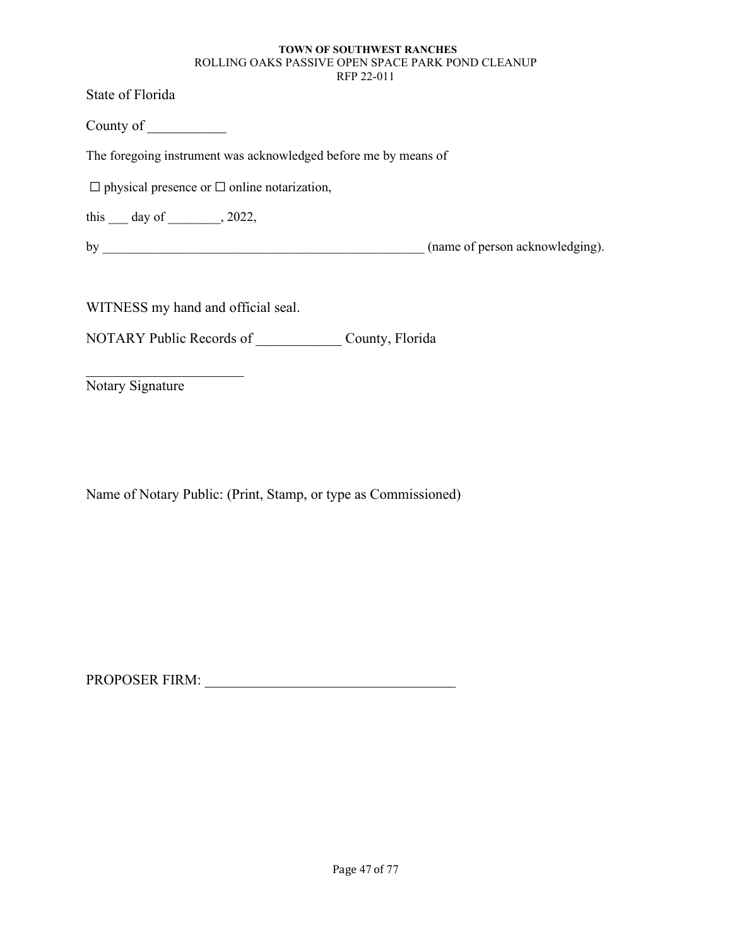State of Florida

County of \_\_\_\_\_\_\_\_\_\_\_

The foregoing instrument was acknowledged before me by means of

 $\Box$  physical presence or  $\Box$  online notarization,

this  $\rule{1em}{0.15mm}$  day of  $\rule{1em}{0.15mm}$ , 2022,

by \_\_\_\_\_\_\_\_\_\_\_\_\_\_\_\_\_\_\_\_\_\_\_\_\_\_\_\_\_\_\_\_\_\_\_\_\_\_\_\_\_\_\_\_\_\_\_\_\_ (name of person acknowledging).

WITNESS my hand and official seal.

NOTARY Public Records of County, Florida

Notary Signature

Name of Notary Public: (Print, Stamp, or type as Commissioned)

PROPOSER FIRM: \_\_\_\_\_\_\_\_\_\_\_\_\_\_\_\_\_\_\_\_\_\_\_\_\_\_\_\_\_\_\_\_\_\_\_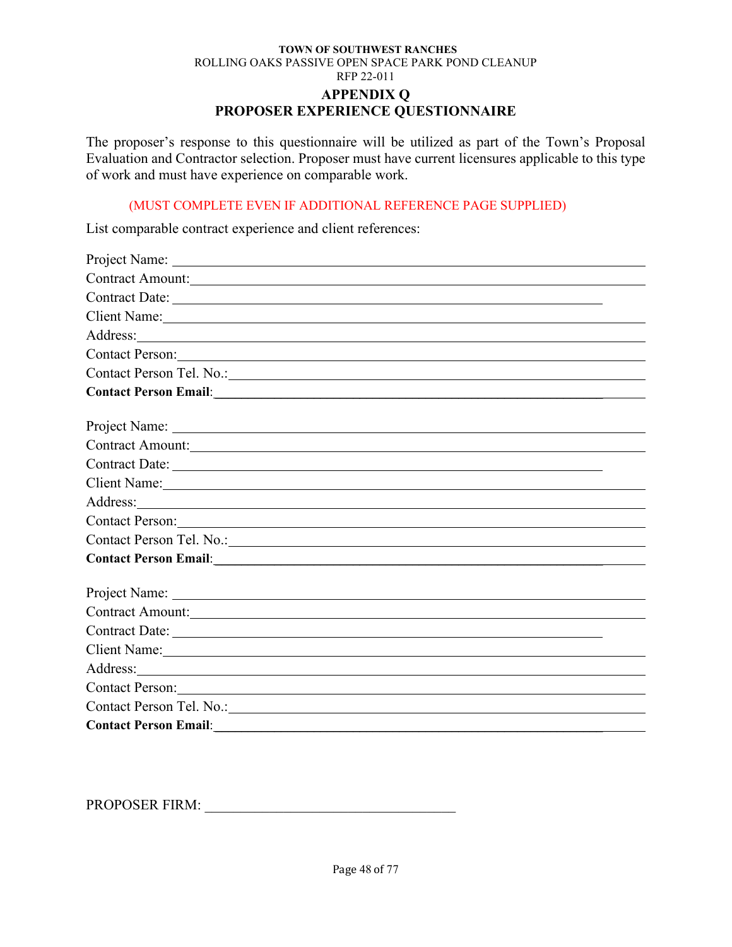**PROPOSER EXPERIENCE QUESTIONNAIRE**

The proposer's response to this questionnaire will be utilized as part of the Town's Proposal Evaluation and Contractor selection. Proposer must have current licensures applicable to this type of work and must have experience on comparable work.

#### (MUST COMPLETE EVEN IF ADDITIONAL REFERENCE PAGE SUPPLIED)

List comparable contract experience and client references:

| Contract Amount: New York Contract Amount:                                                                                                                                                                                           |
|--------------------------------------------------------------------------------------------------------------------------------------------------------------------------------------------------------------------------------------|
|                                                                                                                                                                                                                                      |
| Client Name:                                                                                                                                                                                                                         |
|                                                                                                                                                                                                                                      |
| Contact Person: Note of the Contact Person of the Contact Person of the Contact Person of the Contact Person of the Contact Person of the Contact Person of the Contact Person of the Contact Person of the Contact Person of        |
|                                                                                                                                                                                                                                      |
|                                                                                                                                                                                                                                      |
|                                                                                                                                                                                                                                      |
|                                                                                                                                                                                                                                      |
| Contract Amount: New York Contract Amount:                                                                                                                                                                                           |
| Contract Date:                                                                                                                                                                                                                       |
| Client Name:                                                                                                                                                                                                                         |
| Address: <u>and the same of the same of the same of the same of the same of the same of the same of the same of the same of the same of the same of the same of the same of the same of the same of the same of the same of the </u> |
| Contact Person:                                                                                                                                                                                                                      |
| Contact Person Tel. No.: 1988                                                                                                                                                                                                        |
|                                                                                                                                                                                                                                      |
|                                                                                                                                                                                                                                      |
|                                                                                                                                                                                                                                      |
| Contract Amount: New York Contract Amount:                                                                                                                                                                                           |
|                                                                                                                                                                                                                                      |
| Client Name: 1988                                                                                                                                                                                                                    |
|                                                                                                                                                                                                                                      |
|                                                                                                                                                                                                                                      |
| Contact Person Tel. No.: 1988 and 2008 and 2008 and 2008 and 2008 and 2008 and 2008 and 2008 and 2008 and 2008 and 2008 and 2008 and 2008 and 2008 and 2008 and 2008 and 2008 and 2008 and 2008 and 2008 and 2008 and 2008 and       |
|                                                                                                                                                                                                                                      |

PROPOSER FIRM: \_\_\_\_\_\_\_\_\_\_\_\_\_\_\_\_\_\_\_\_\_\_\_\_\_\_\_\_\_\_\_\_\_\_\_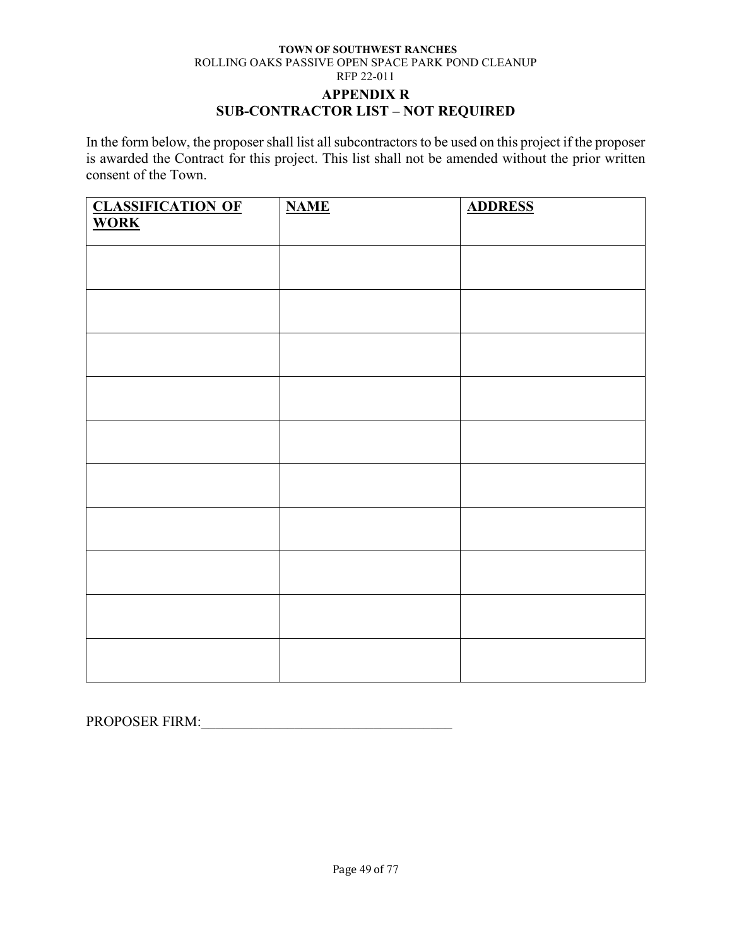### **APPENDIX R SUB-CONTRACTOR LIST – NOT REQUIRED**

In the form below, the proposer shall list all subcontractors to be used on this project if the proposer is awarded the Contract for this project. This list shall not be amended without the prior written consent of the Town.

| <b>CLASSIFICATION OF</b><br>WORK | <b>NAME</b> | <b>ADDRESS</b> |
|----------------------------------|-------------|----------------|
|                                  |             |                |
|                                  |             |                |
|                                  |             |                |
|                                  |             |                |
|                                  |             |                |
|                                  |             |                |
|                                  |             |                |
|                                  |             |                |
|                                  |             |                |
|                                  |             |                |
|                                  |             |                |
|                                  |             |                |
|                                  |             |                |
|                                  |             |                |
|                                  |             |                |
|                                  |             |                |
|                                  |             |                |
|                                  |             |                |
|                                  |             |                |

PROPOSER FIRM:\_\_\_\_\_\_\_\_\_\_\_\_\_\_\_\_\_\_\_\_\_\_\_\_\_\_\_\_\_\_\_\_\_\_\_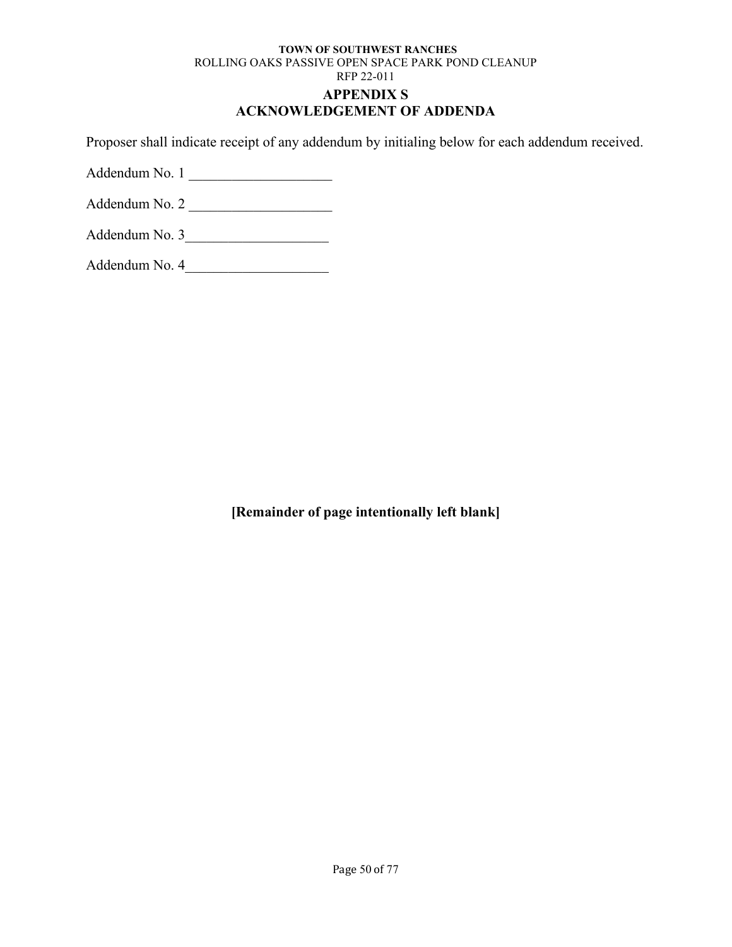# **ACKNOWLEDGEMENT OF ADDENDA**

Proposer shall indicate receipt of any addendum by initialing below for each addendum received.

Addendum No. 1

Addendum No. 2 \_\_\_\_\_\_\_\_\_\_\_\_\_\_\_\_\_\_\_\_

| Addendum No. 3 |  |
|----------------|--|
|----------------|--|

Addendum No. 4\_\_\_\_\_\_\_\_\_\_\_\_\_\_\_\_\_\_\_\_

**[Remainder of page intentionally left blank]**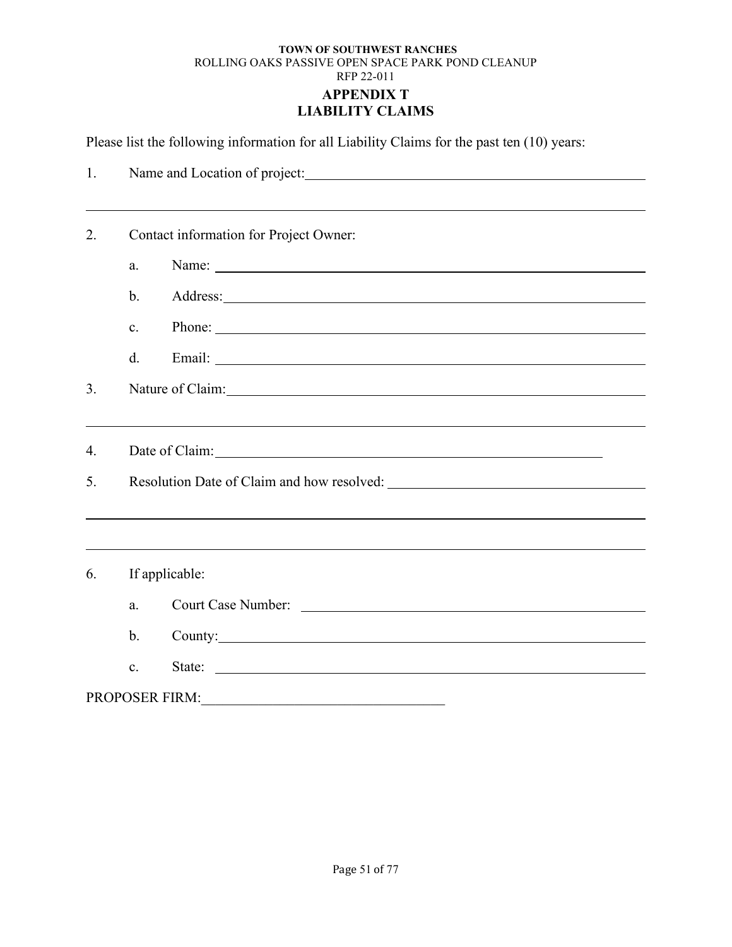### **TOWN OF SOUTHWEST RANCHES** ROLLING OAKS PASSIVE OPEN SPACE PARK POND CLEANUP RFP 22-011 **APPENDIX T LIABILITY CLAIMS**

Please list the following information for all Liability Claims for the past ten (10) years:

| 1.               | Name and Location of project: Name and Location of project:                                                                          |  |  |
|------------------|--------------------------------------------------------------------------------------------------------------------------------------|--|--|
|                  |                                                                                                                                      |  |  |
| 2.               | Contact information for Project Owner:                                                                                               |  |  |
|                  | a.                                                                                                                                   |  |  |
|                  | $\mathbf{b}$ .                                                                                                                       |  |  |
|                  | Phone:<br>c.                                                                                                                         |  |  |
|                  | d.                                                                                                                                   |  |  |
| 3.               | Nature of Claim:                                                                                                                     |  |  |
|                  |                                                                                                                                      |  |  |
| $\overline{4}$ . |                                                                                                                                      |  |  |
| 5.               |                                                                                                                                      |  |  |
|                  |                                                                                                                                      |  |  |
|                  |                                                                                                                                      |  |  |
| 6.               | If applicable:                                                                                                                       |  |  |
|                  | a.                                                                                                                                   |  |  |
|                  | $\mathbf b$ .<br>County: County:                                                                                                     |  |  |
|                  | State:<br>c.<br><u> Alexandria de la contrada de la contrada de la contrada de la contrada de la contrada de la contrada de la c</u> |  |  |
|                  | <b>PROPOSER FIRM:</b>                                                                                                                |  |  |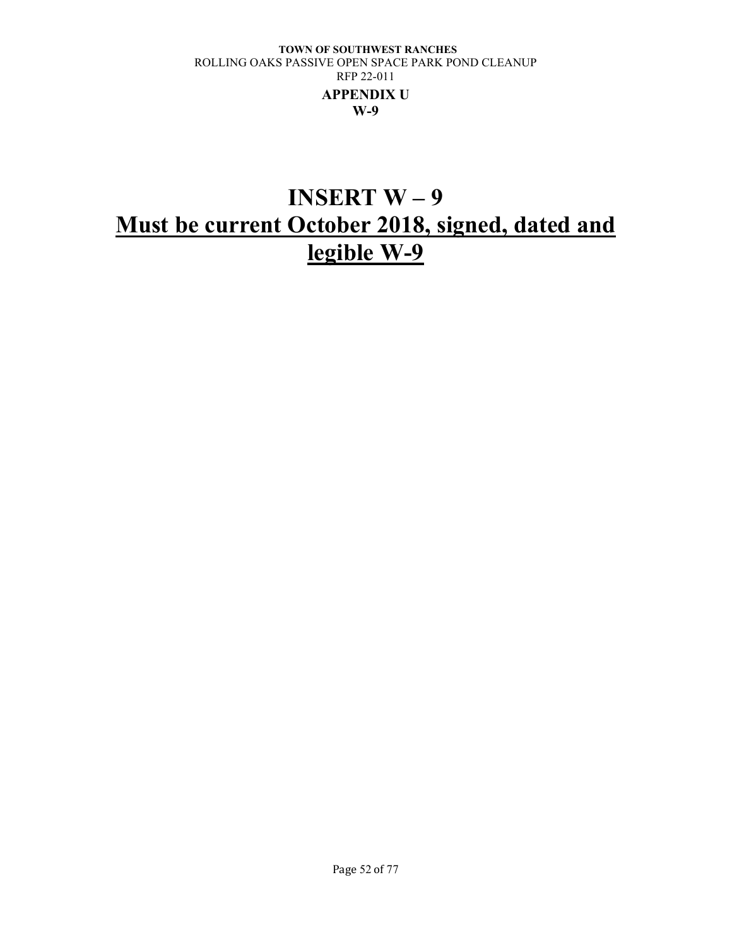# **INSERT W – 9 Must be current October 2018, signed, dated and legible W-9**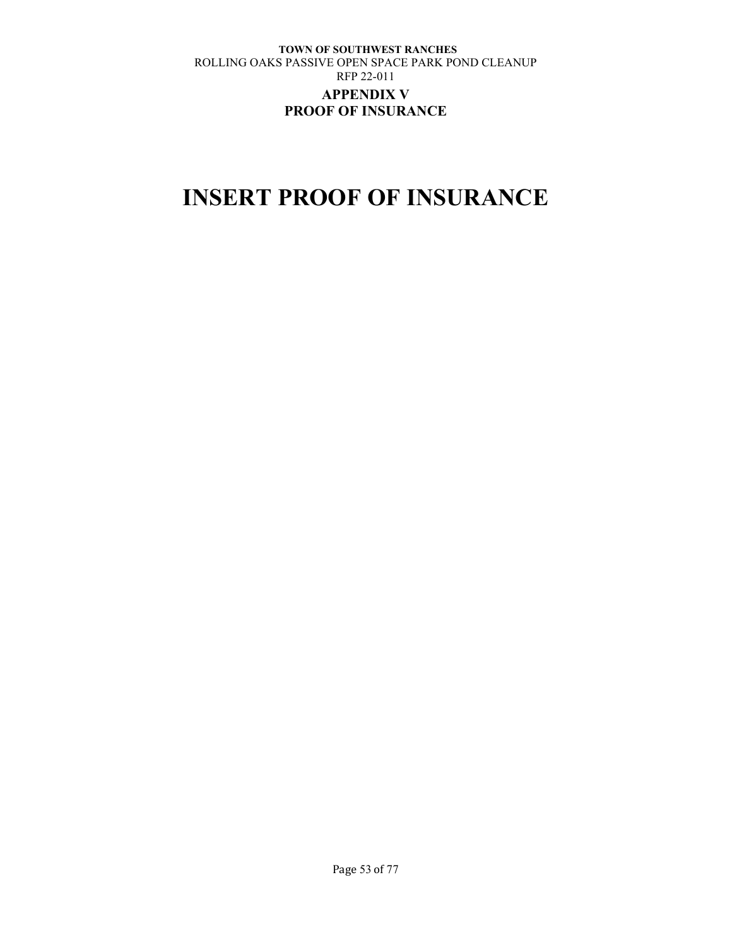### **TOWN OF SOUTHWEST RANCHES** ROLLING OAKS PASSIVE OPEN SPACE PARK POND CLEANUP RFP 22-011 **APPENDIX V PROOF OF INSURANCE**

# **INSERT PROOF OF INSURANCE**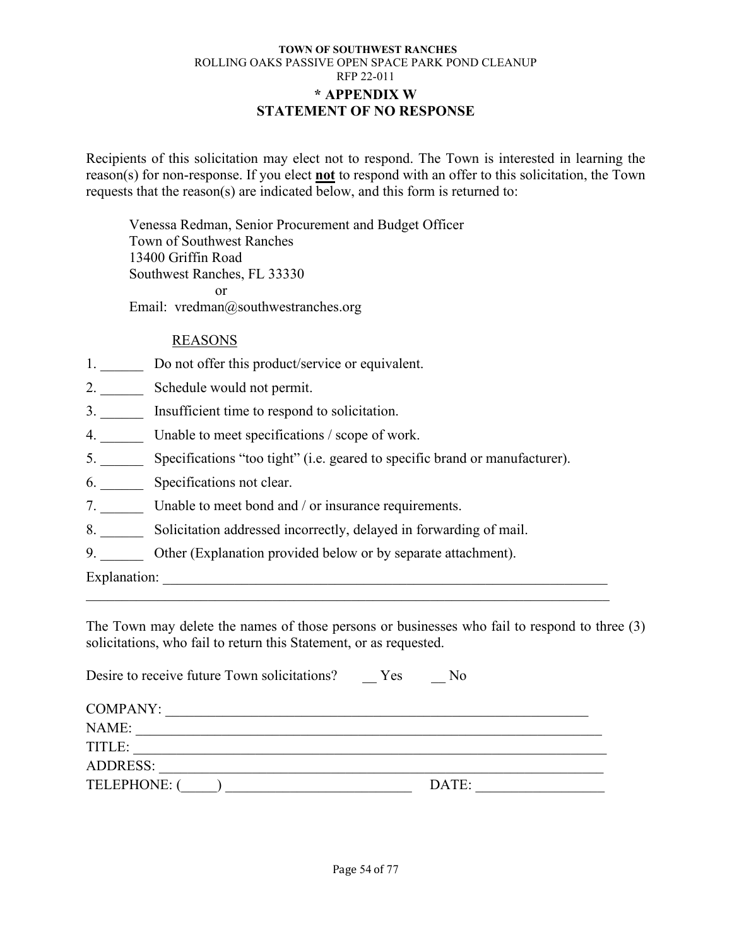### **TOWN OF SOUTHWEST RANCHES** ROLLING OAKS PASSIVE OPEN SPACE PARK POND CLEANUP RFP 22-011 **\* APPENDIX W STATEMENT OF NO RESPONSE**

Recipients of this solicitation may elect not to respond. The Town is interested in learning the reason(s) for non-response. If you elect **not** to respond with an offer to this solicitation, the Town requests that the reason(s) are indicated below, and this form is returned to:

Venessa Redman, Senior Procurement and Budget Officer Town of Southwest Ranches 13400 Griffin Road Southwest Ranches, FL 33330 or Email: vredman@southwestranches.org

# REASONS

- 1. Do not offer this product/service or equivalent.
- 2. Schedule would not permit.
- 3. \_\_\_\_\_\_ Insufficient time to respond to solicitation.
- 4. Unable to meet specifications / scope of work.
- 5. \_\_\_\_\_\_ Specifications "too tight" (i.e. geared to specific brand or manufacturer).
- 6. \_\_\_\_\_\_ Specifications not clear.
- 7. Unable to meet bond and / or insurance requirements.
- 8. \_\_\_\_\_\_ Solicitation addressed incorrectly, delayed in forwarding of mail.
- 9. Other (Explanation provided below or by separate attachment).

Explanation: \_\_\_\_\_\_\_\_\_\_\_\_\_\_\_\_\_\_\_\_\_\_\_\_\_\_\_\_\_\_\_\_\_\_\_\_\_\_\_\_\_\_\_\_\_\_\_\_\_\_\_\_\_\_\_\_\_\_\_\_\_\_

The Town may delete the names of those persons or businesses who fail to respond to three (3) solicitations, who fail to return this Statement, or as requested.

 $\mathcal{L}_\text{G}$  , and the contribution of the contribution of the contribution of the contribution of the contribution of the contribution of the contribution of the contribution of the contribution of the contribution of t

| Desire to receive future Town solicitations? | Yes | No    |  |
|----------------------------------------------|-----|-------|--|
| COMPANY:                                     |     |       |  |
| NAME:                                        |     |       |  |
| TITLE:                                       |     |       |  |
| <b>ADDRESS:</b>                              |     |       |  |
| TELEPHONE: (                                 |     | DATE: |  |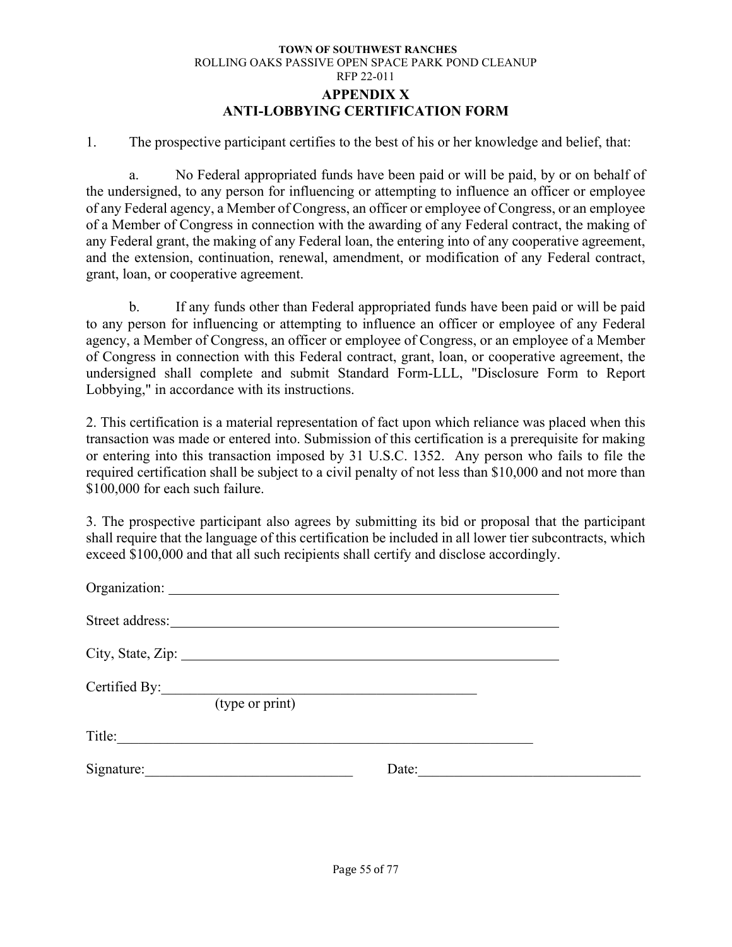#### **TOWN OF SOUTHWEST RANCHES** ROLLING OAKS PASSIVE OPEN SPACE PARK POND CLEANUP RFP 22-011 **APPENDIX X ANTI-LOBBYING CERTIFICATION FORM**

1. The prospective participant certifies to the best of his or her knowledge and belief, that:

a. No Federal appropriated funds have been paid or will be paid, by or on behalf of the undersigned, to any person for influencing or attempting to influence an officer or employee of any Federal agency, a Member of Congress, an officer or employee of Congress, or an employee of a Member of Congress in connection with the awarding of any Federal contract, the making of any Federal grant, the making of any Federal loan, the entering into of any cooperative agreement, and the extension, continuation, renewal, amendment, or modification of any Federal contract, grant, loan, or cooperative agreement.

b. If any funds other than Federal appropriated funds have been paid or will be paid to any person for influencing or attempting to influence an officer or employee of any Federal agency, a Member of Congress, an officer or employee of Congress, or an employee of a Member of Congress in connection with this Federal contract, grant, loan, or cooperative agreement, the undersigned shall complete and submit Standard Form-LLL, "Disclosure Form to Report Lobbying," in accordance with its instructions.

2. This certification is a material representation of fact upon which reliance was placed when this transaction was made or entered into. Submission of this certification is a prerequisite for making or entering into this transaction imposed by 31 U.S.C. 1352. Any person who fails to file the required certification shall be subject to a civil penalty of not less than \$10,000 and not more than \$100,000 for each such failure.

3. The prospective participant also agrees by submitting its bid or proposal that the participant shall require that the language of this certification be included in all lower tier subcontracts, which exceed \$100,000 and that all such recipients shall certify and disclose accordingly.

| Street address: |                 |       |  |
|-----------------|-----------------|-------|--|
|                 |                 |       |  |
| Certified By:   | (type or print) |       |  |
| Title:          |                 |       |  |
| Signature:      |                 | Date: |  |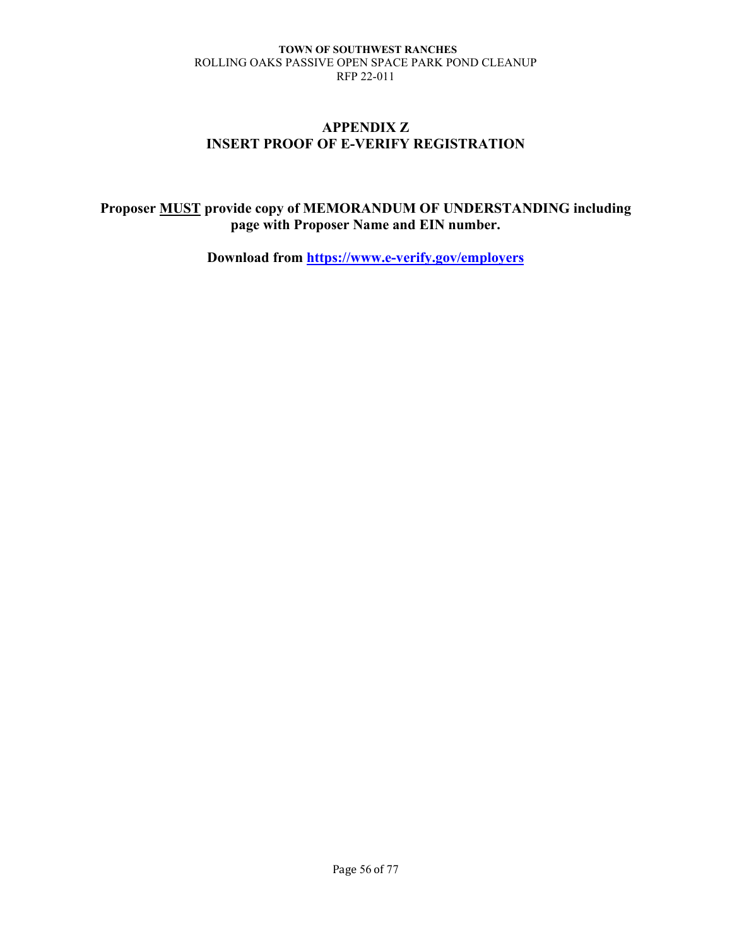# **APPENDIX Z INSERT PROOF OF E-VERIFY REGISTRATION**

# **Proposer MUST provide copy of MEMORANDUM OF UNDERSTANDING including page with Proposer Name and EIN number.**

**Download from<https://www.e-verify.gov/employers>**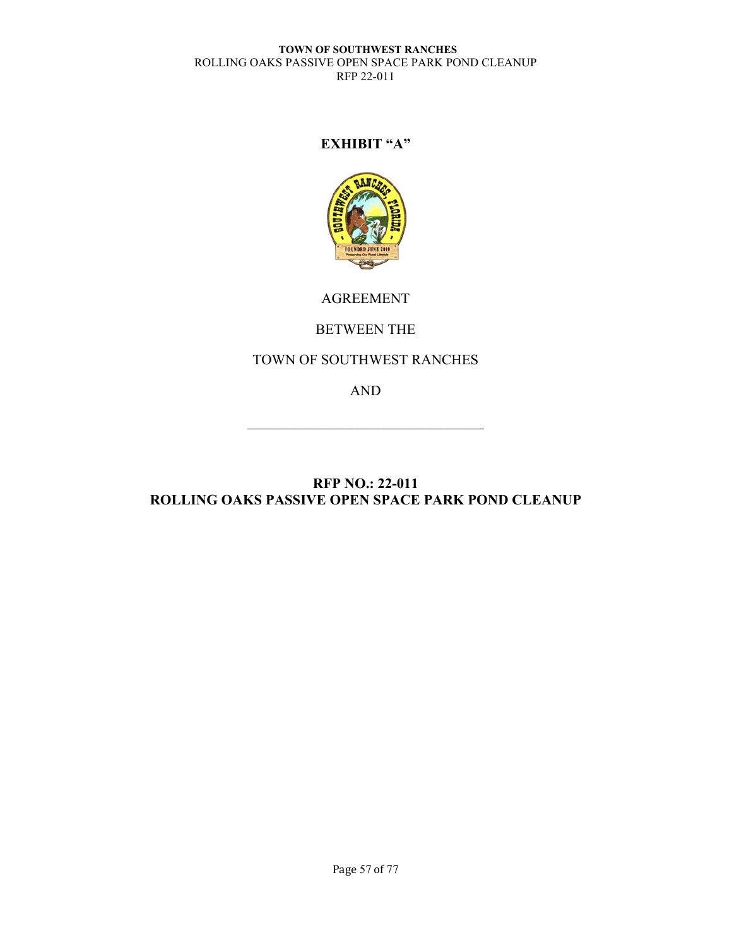# **EXHIBIT "A"**



# AGREEMENT

# BETWEEN THE

# TOWN OF SOUTHWEST RANCHES

AND

# **RFP NO.: 22-011 ROLLING OAKS PASSIVE OPEN SPACE PARK POND CLEANUP**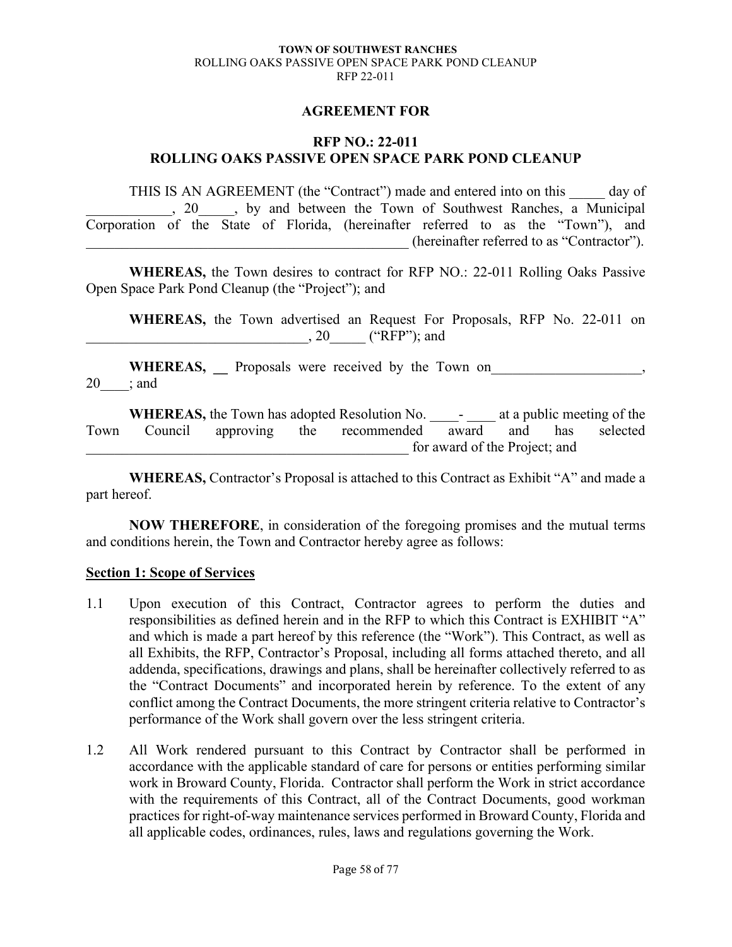### **AGREEMENT FOR**

### **RFP NO.: 22-011 ROLLING OAKS PASSIVE OPEN SPACE PARK POND CLEANUP**

THIS IS AN AGREEMENT (the "Contract") made and entered into on this day of , 20 , by and between the Town of Southwest Ranches, a Municipal Corporation of the State of Florida, (hereinafter referred to as the "Town"), and (hereinafter referred to as "Contractor").

**WHEREAS,** the Town desires to contract for RFP NO.: 22-011 Rolling Oaks Passive Open Space Park Pond Cleanup (the "Project"); and

**WHEREAS,** the Town advertised an Request For Proposals, RFP No. 22-011 on  $, 20$  ("RFP"); and

WHEREAS, Proposals were received by the Town on  $20$  : and

WHEREAS, the Town has adopted Resolution No. \_\_\_\_\_\_\_ at a public meeting of the Town Council approving the recommended award and has selected for award of the Project; and

**WHEREAS,** Contractor's Proposal is attached to this Contract as Exhibit "A" and made a part hereof.

**NOW THEREFORE**, in consideration of the foregoing promises and the mutual terms and conditions herein, the Town and Contractor hereby agree as follows:

#### **Section 1: Scope of Services**

- 1.1 Upon execution of this Contract, Contractor agrees to perform the duties and responsibilities as defined herein and in the RFP to which this Contract is EXHIBIT "A" and which is made a part hereof by this reference (the "Work"). This Contract, as well as all Exhibits, the RFP, Contractor's Proposal, including all forms attached thereto, and all addenda, specifications, drawings and plans, shall be hereinafter collectively referred to as the "Contract Documents" and incorporated herein by reference. To the extent of any conflict among the Contract Documents, the more stringent criteria relative to Contractor's performance of the Work shall govern over the less stringent criteria.
- 1.2 All Work rendered pursuant to this Contract by Contractor shall be performed in accordance with the applicable standard of care for persons or entities performing similar work in Broward County, Florida. Contractor shall perform the Work in strict accordance with the requirements of this Contract, all of the Contract Documents, good workman practices for right-of-way maintenance services performed in Broward County, Florida and all applicable codes, ordinances, rules, laws and regulations governing the Work.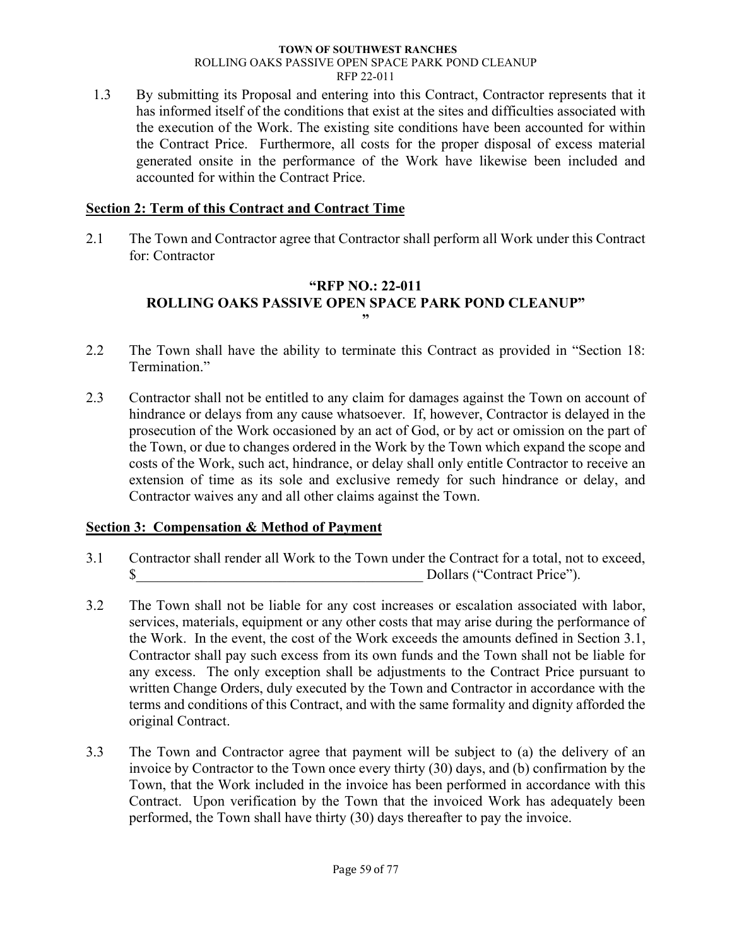1.3 By submitting its Proposal and entering into this Contract, Contractor represents that it has informed itself of the conditions that exist at the sites and difficulties associated with the execution of the Work. The existing site conditions have been accounted for within the Contract Price. Furthermore, all costs for the proper disposal of excess material generated onsite in the performance of the Work have likewise been included and accounted for within the Contract Price.

# **Section 2: Term of this Contract and Contract Time**

2.1 The Town and Contractor agree that Contractor shall perform all Work under this Contract for: Contractor

# **"RFP NO.: 22-011 ROLLING OAKS PASSIVE OPEN SPACE PARK POND CLEANUP" "**

- 2.2 The Town shall have the ability to terminate this Contract as provided in "Section 18: Termination."
- 2.3 Contractor shall not be entitled to any claim for damages against the Town on account of hindrance or delays from any cause whatsoever. If, however, Contractor is delayed in the prosecution of the Work occasioned by an act of God, or by act or omission on the part of the Town, or due to changes ordered in the Work by the Town which expand the scope and costs of the Work, such act, hindrance, or delay shall only entitle Contractor to receive an extension of time as its sole and exclusive remedy for such hindrance or delay, and Contractor waives any and all other claims against the Town.

# **Section 3: Compensation & Method of Payment**

- 3.1 Contractor shall render all Work to the Town under the Contract for a total, not to exceed,  $\delta$  Dollars ("Contract Price").
- 3.2 The Town shall not be liable for any cost increases or escalation associated with labor, services, materials, equipment or any other costs that may arise during the performance of the Work. In the event, the cost of the Work exceeds the amounts defined in Section 3.1, Contractor shall pay such excess from its own funds and the Town shall not be liable for any excess. The only exception shall be adjustments to the Contract Price pursuant to written Change Orders, duly executed by the Town and Contractor in accordance with the terms and conditions of this Contract, and with the same formality and dignity afforded the original Contract.
- 3.3 The Town and Contractor agree that payment will be subject to (a) the delivery of an invoice by Contractor to the Town once every thirty (30) days, and (b) confirmation by the Town, that the Work included in the invoice has been performed in accordance with this Contract. Upon verification by the Town that the invoiced Work has adequately been performed, the Town shall have thirty (30) days thereafter to pay the invoice.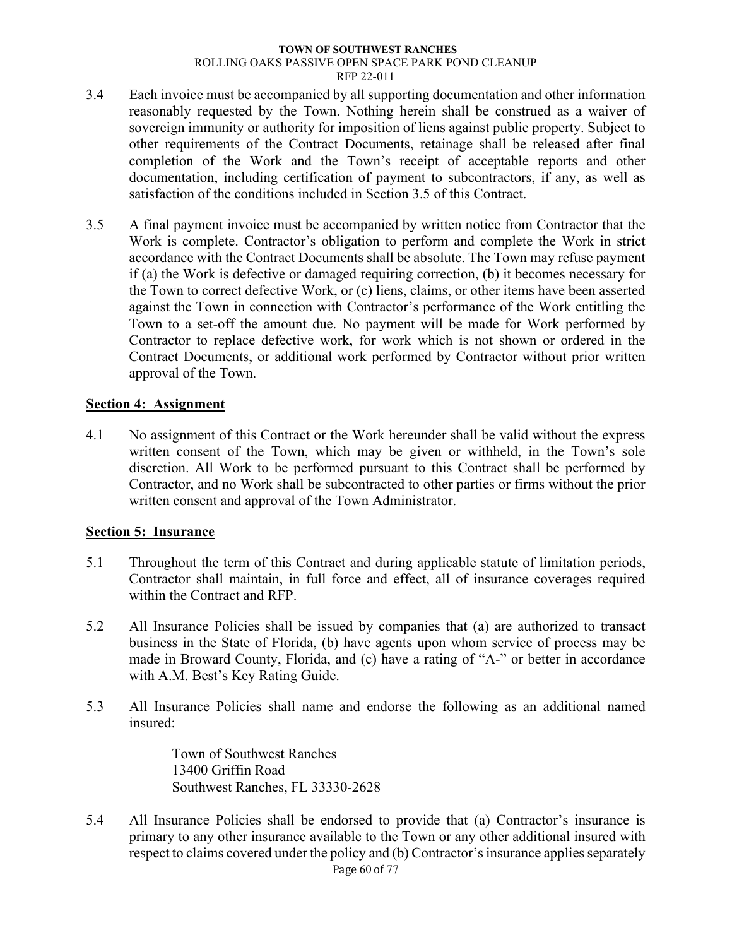- 3.4 Each invoice must be accompanied by all supporting documentation and other information reasonably requested by the Town. Nothing herein shall be construed as a waiver of sovereign immunity or authority for imposition of liens against public property. Subject to other requirements of the Contract Documents, retainage shall be released after final completion of the Work and the Town's receipt of acceptable reports and other documentation, including certification of payment to subcontractors, if any, as well as satisfaction of the conditions included in Section 3.5 of this Contract.
- 3.5 A final payment invoice must be accompanied by written notice from Contractor that the Work is complete. Contractor's obligation to perform and complete the Work in strict accordance with the Contract Documents shall be absolute. The Town may refuse payment if (a) the Work is defective or damaged requiring correction, (b) it becomes necessary for the Town to correct defective Work, or (c) liens, claims, or other items have been asserted against the Town in connection with Contractor's performance of the Work entitling the Town to a set-off the amount due. No payment will be made for Work performed by Contractor to replace defective work, for work which is not shown or ordered in the Contract Documents, or additional work performed by Contractor without prior written approval of the Town.

### **Section 4: Assignment**

4.1 No assignment of this Contract or the Work hereunder shall be valid without the express written consent of the Town, which may be given or withheld, in the Town's sole discretion. All Work to be performed pursuant to this Contract shall be performed by Contractor, and no Work shall be subcontracted to other parties or firms without the prior written consent and approval of the Town Administrator.

# **Section 5: Insurance**

- 5.1 Throughout the term of this Contract and during applicable statute of limitation periods, Contractor shall maintain, in full force and effect, all of insurance coverages required within the Contract and RFP.
- 5.2 All Insurance Policies shall be issued by companies that (a) are authorized to transact business in the State of Florida, (b) have agents upon whom service of process may be made in Broward County, Florida, and (c) have a rating of "A-" or better in accordance with A.M. Best's Key Rating Guide.
- 5.3 All Insurance Policies shall name and endorse the following as an additional named insured:

Town of Southwest Ranches 13400 Griffin Road Southwest Ranches, FL 33330-2628

5.4 All Insurance Policies shall be endorsed to provide that (a) Contractor's insurance is primary to any other insurance available to the Town or any other additional insured with respect to claims covered under the policy and (b) Contractor's insurance applies separately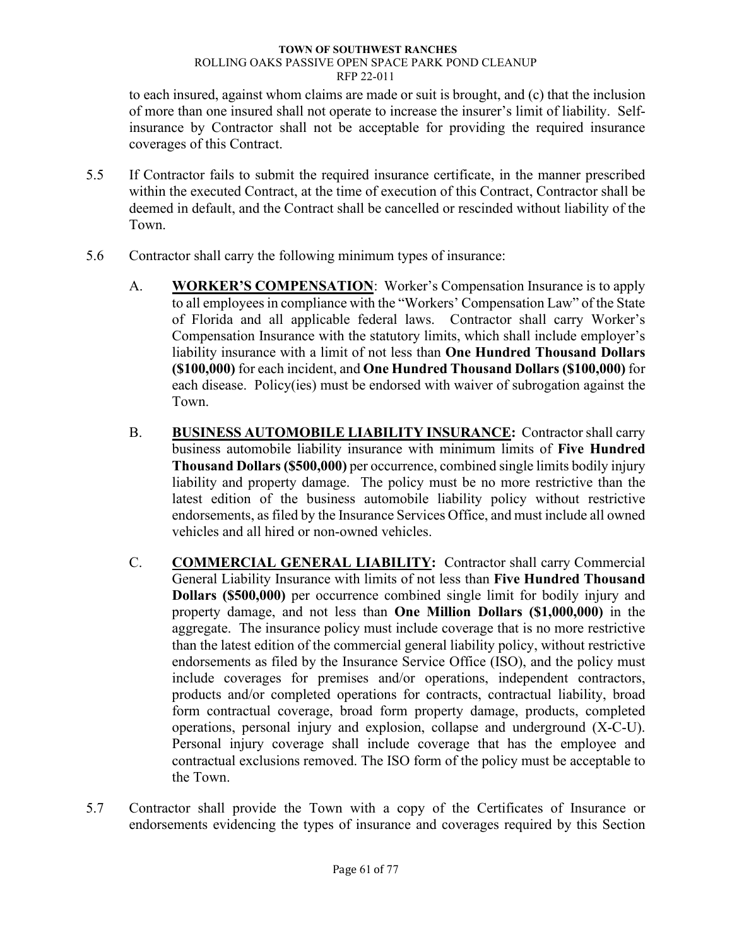to each insured, against whom claims are made or suit is brought, and (c) that the inclusion of more than one insured shall not operate to increase the insurer's limit of liability. Selfinsurance by Contractor shall not be acceptable for providing the required insurance coverages of this Contract.

- 5.5 If Contractor fails to submit the required insurance certificate, in the manner prescribed within the executed Contract, at the time of execution of this Contract, Contractor shall be deemed in default, and the Contract shall be cancelled or rescinded without liability of the Town.
- 5.6 Contractor shall carry the following minimum types of insurance:
	- A. **WORKER'S COMPENSATION**: Worker's Compensation Insurance is to apply to all employees in compliance with the "Workers' Compensation Law" of the State of Florida and all applicable federal laws. Contractor shall carry Worker's Compensation Insurance with the statutory limits, which shall include employer's liability insurance with a limit of not less than **One Hundred Thousand Dollars (\$100,000)** for each incident, and **One Hundred Thousand Dollars (\$100,000)** for each disease. Policy(ies) must be endorsed with waiver of subrogation against the Town.
	- B. **BUSINESS AUTOMOBILE LIABILITY INSURANCE:** Contractor shall carry business automobile liability insurance with minimum limits of **Five Hundred Thousand Dollars (\$500,000)** per occurrence, combined single limits bodily injury liability and property damage. The policy must be no more restrictive than the latest edition of the business automobile liability policy without restrictive endorsements, as filed by the Insurance Services Office, and must include all owned vehicles and all hired or non-owned vehicles.
	- C. **COMMERCIAL GENERAL LIABILITY:** Contractor shall carry Commercial General Liability Insurance with limits of not less than **Five Hundred Thousand Dollars (\$500,000)** per occurrence combined single limit for bodily injury and property damage, and not less than **One Million Dollars (\$1,000,000)** in the aggregate. The insurance policy must include coverage that is no more restrictive than the latest edition of the commercial general liability policy, without restrictive endorsements as filed by the Insurance Service Office (ISO), and the policy must include coverages for premises and/or operations, independent contractors, products and/or completed operations for contracts, contractual liability, broad form contractual coverage, broad form property damage, products, completed operations, personal injury and explosion, collapse and underground (X-C-U). Personal injury coverage shall include coverage that has the employee and contractual exclusions removed. The ISO form of the policy must be acceptable to the Town.
- 5.7 Contractor shall provide the Town with a copy of the Certificates of Insurance or endorsements evidencing the types of insurance and coverages required by this Section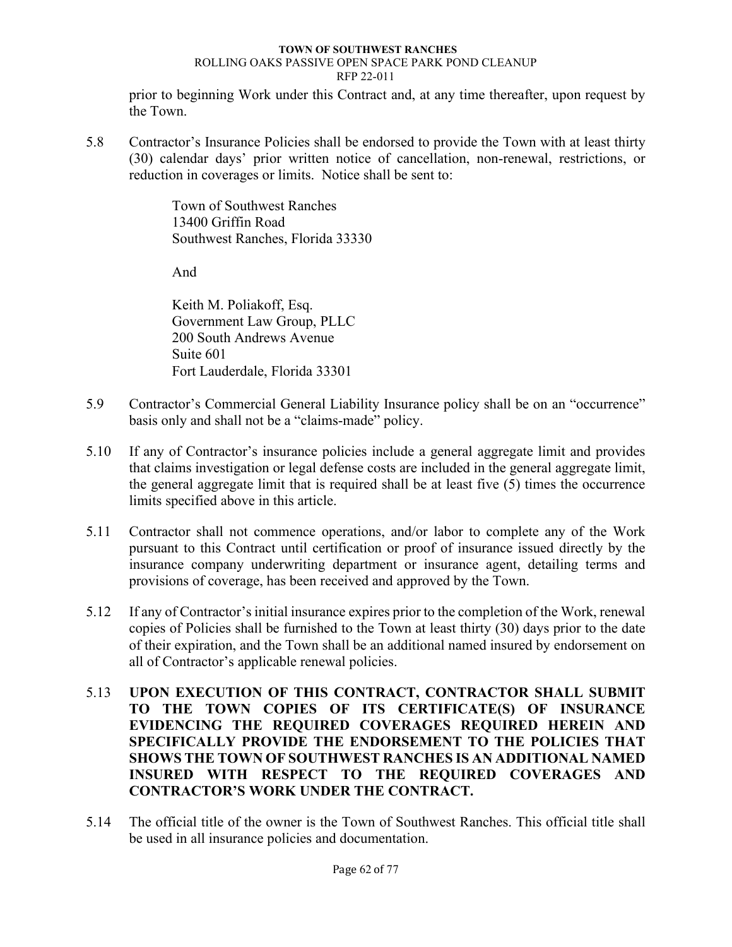prior to beginning Work under this Contract and, at any time thereafter, upon request by the Town.

5.8 Contractor's Insurance Policies shall be endorsed to provide the Town with at least thirty (30) calendar days' prior written notice of cancellation, non-renewal, restrictions, or reduction in coverages or limits. Notice shall be sent to:

> Town of Southwest Ranches 13400 Griffin Road Southwest Ranches, Florida 33330

And

Keith M. Poliakoff, Esq. Government Law Group, PLLC 200 South Andrews Avenue Suite 601 Fort Lauderdale, Florida 33301

- 5.9 Contractor's Commercial General Liability Insurance policy shall be on an "occurrence" basis only and shall not be a "claims-made" policy.
- 5.10 If any of Contractor's insurance policies include a general aggregate limit and provides that claims investigation or legal defense costs are included in the general aggregate limit, the general aggregate limit that is required shall be at least five (5) times the occurrence limits specified above in this article.
- 5.11 Contractor shall not commence operations, and/or labor to complete any of the Work pursuant to this Contract until certification or proof of insurance issued directly by the insurance company underwriting department or insurance agent, detailing terms and provisions of coverage, has been received and approved by the Town.
- 5.12 If any of Contractor's initial insurance expires prior to the completion of the Work, renewal copies of Policies shall be furnished to the Town at least thirty (30) days prior to the date of their expiration, and the Town shall be an additional named insured by endorsement on all of Contractor's applicable renewal policies.
- 5.13 **UPON EXECUTION OF THIS CONTRACT, CONTRACTOR SHALL SUBMIT TO THE TOWN COPIES OF ITS CERTIFICATE(S) OF INSURANCE EVIDENCING THE REQUIRED COVERAGES REQUIRED HEREIN AND SPECIFICALLY PROVIDE THE ENDORSEMENT TO THE POLICIES THAT SHOWS THE TOWN OF SOUTHWEST RANCHES IS AN ADDITIONAL NAMED INSURED WITH RESPECT TO THE REQUIRED COVERAGES AND CONTRACTOR'S WORK UNDER THE CONTRACT.**
- 5.14 The official title of the owner is the Town of Southwest Ranches. This official title shall be used in all insurance policies and documentation.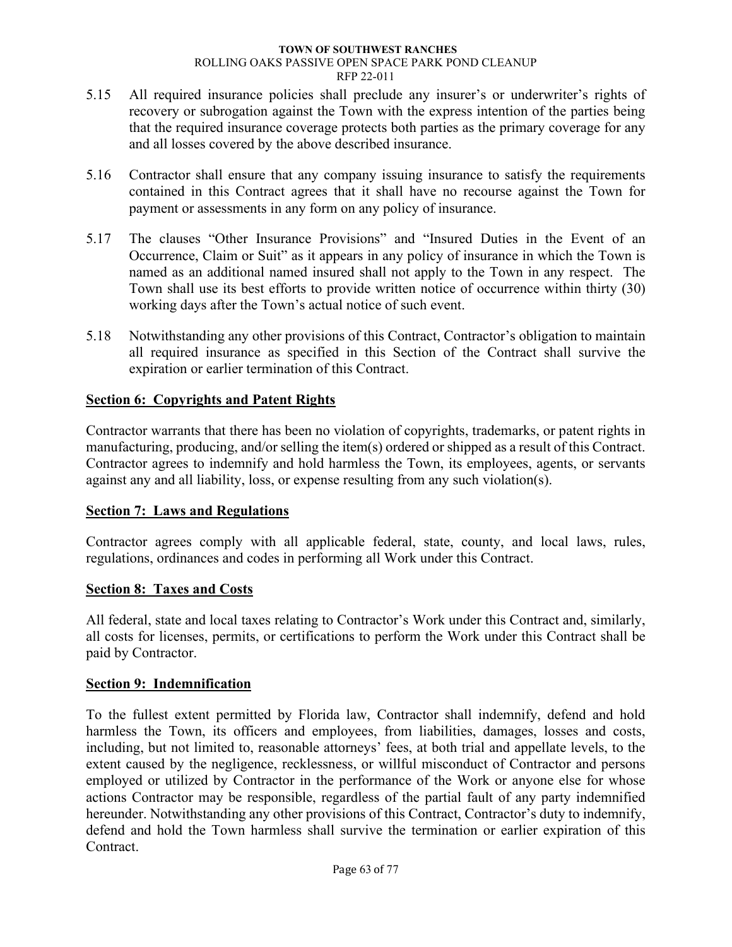- 5.15 All required insurance policies shall preclude any insurer's or underwriter's rights of recovery or subrogation against the Town with the express intention of the parties being that the required insurance coverage protects both parties as the primary coverage for any and all losses covered by the above described insurance.
- 5.16 Contractor shall ensure that any company issuing insurance to satisfy the requirements contained in this Contract agrees that it shall have no recourse against the Town for payment or assessments in any form on any policy of insurance.
- 5.17 The clauses "Other Insurance Provisions" and "Insured Duties in the Event of an Occurrence, Claim or Suit" as it appears in any policy of insurance in which the Town is named as an additional named insured shall not apply to the Town in any respect. The Town shall use its best efforts to provide written notice of occurrence within thirty (30) working days after the Town's actual notice of such event.
- 5.18 Notwithstanding any other provisions of this Contract, Contractor's obligation to maintain all required insurance as specified in this Section of the Contract shall survive the expiration or earlier termination of this Contract.

# **Section 6: Copyrights and Patent Rights**

Contractor warrants that there has been no violation of copyrights, trademarks, or patent rights in manufacturing, producing, and/or selling the item(s) ordered or shipped as a result of this Contract. Contractor agrees to indemnify and hold harmless the Town, its employees, agents, or servants against any and all liability, loss, or expense resulting from any such violation(s).

# **Section 7: Laws and Regulations**

Contractor agrees comply with all applicable federal, state, county, and local laws, rules, regulations, ordinances and codes in performing all Work under this Contract.

# **Section 8: Taxes and Costs**

All federal, state and local taxes relating to Contractor's Work under this Contract and, similarly, all costs for licenses, permits, or certifications to perform the Work under this Contract shall be paid by Contractor.

# **Section 9: Indemnification**

To the fullest extent permitted by Florida law, Contractor shall indemnify, defend and hold harmless the Town, its officers and employees, from liabilities, damages, losses and costs, including, but not limited to, reasonable attorneys' fees, at both trial and appellate levels, to the extent caused by the negligence, recklessness, or willful misconduct of Contractor and persons employed or utilized by Contractor in the performance of the Work or anyone else for whose actions Contractor may be responsible, regardless of the partial fault of any party indemnified hereunder. Notwithstanding any other provisions of this Contract, Contractor's duty to indemnify, defend and hold the Town harmless shall survive the termination or earlier expiration of this Contract.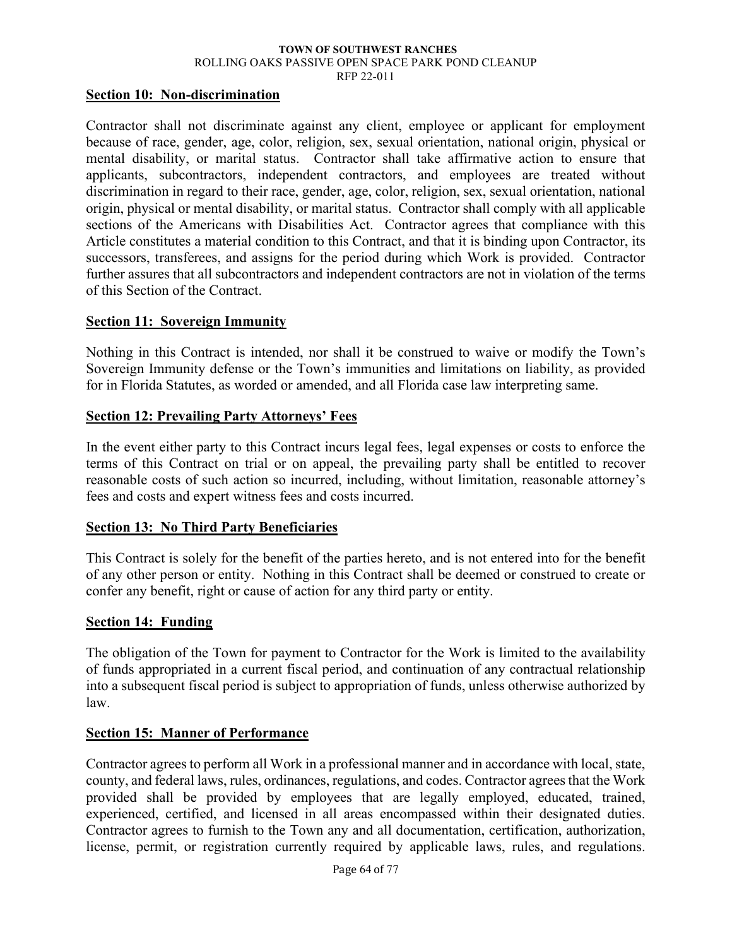RFP 22-011

### **Section 10: Non-discrimination**

Contractor shall not discriminate against any client, employee or applicant for employment because of race, gender, age, color, religion, sex, sexual orientation, national origin, physical or mental disability, or marital status. Contractor shall take affirmative action to ensure that applicants, subcontractors, independent contractors, and employees are treated without discrimination in regard to their race, gender, age, color, religion, sex, sexual orientation, national origin, physical or mental disability, or marital status. Contractor shall comply with all applicable sections of the Americans with Disabilities Act. Contractor agrees that compliance with this Article constitutes a material condition to this Contract, and that it is binding upon Contractor, its successors, transferees, and assigns for the period during which Work is provided. Contractor further assures that all subcontractors and independent contractors are not in violation of the terms of this Section of the Contract.

### **Section 11: Sovereign Immunity**

Nothing in this Contract is intended, nor shall it be construed to waive or modify the Town's Sovereign Immunity defense or the Town's immunities and limitations on liability, as provided for in Florida Statutes, as worded or amended, and all Florida case law interpreting same.

### **Section 12: Prevailing Party Attorneys' Fees**

In the event either party to this Contract incurs legal fees, legal expenses or costs to enforce the terms of this Contract on trial or on appeal, the prevailing party shall be entitled to recover reasonable costs of such action so incurred, including, without limitation, reasonable attorney's fees and costs and expert witness fees and costs incurred.

### **Section 13: No Third Party Beneficiaries**

This Contract is solely for the benefit of the parties hereto, and is not entered into for the benefit of any other person or entity. Nothing in this Contract shall be deemed or construed to create or confer any benefit, right or cause of action for any third party or entity.

#### **Section 14: Funding**

The obligation of the Town for payment to Contractor for the Work is limited to the availability of funds appropriated in a current fiscal period, and continuation of any contractual relationship into a subsequent fiscal period is subject to appropriation of funds, unless otherwise authorized by law.

### **Section 15: Manner of Performance**

Contractor agrees to perform all Work in a professional manner and in accordance with local, state, county, and federal laws, rules, ordinances, regulations, and codes. Contractor agrees that the Work provided shall be provided by employees that are legally employed, educated, trained, experienced, certified, and licensed in all areas encompassed within their designated duties. Contractor agrees to furnish to the Town any and all documentation, certification, authorization, license, permit, or registration currently required by applicable laws, rules, and regulations.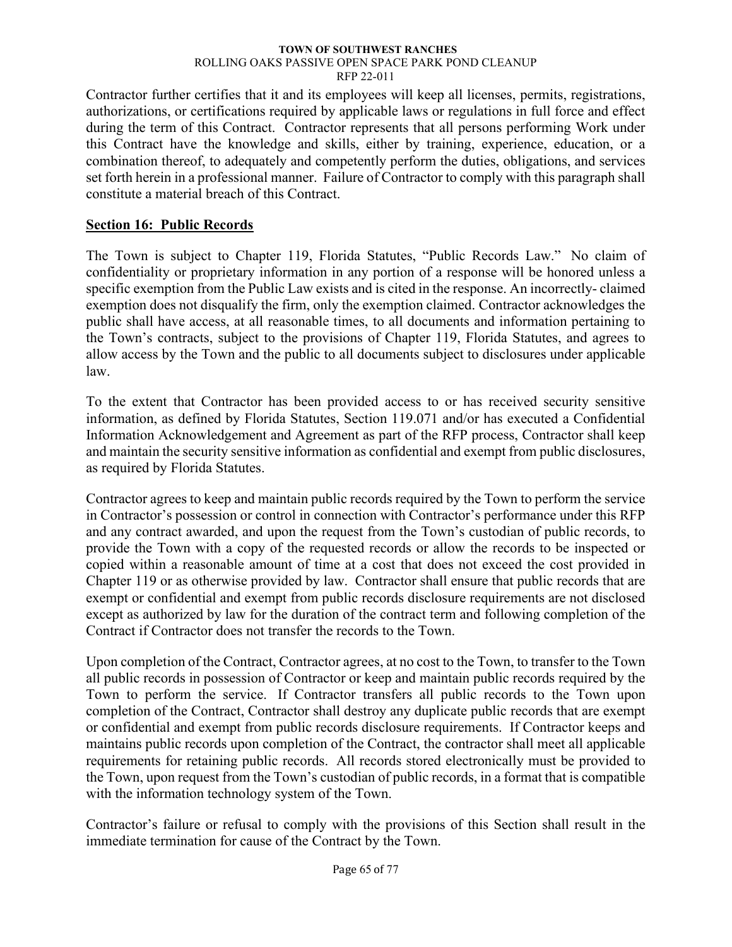Contractor further certifies that it and its employees will keep all licenses, permits, registrations, authorizations, or certifications required by applicable laws or regulations in full force and effect during the term of this Contract. Contractor represents that all persons performing Work under this Contract have the knowledge and skills, either by training, experience, education, or a combination thereof, to adequately and competently perform the duties, obligations, and services set forth herein in a professional manner. Failure of Contractor to comply with this paragraph shall constitute a material breach of this Contract.

# **Section 16: Public Records**

The Town is subject to Chapter 119, Florida Statutes, "Public Records Law." No claim of confidentiality or proprietary information in any portion of a response will be honored unless a specific exemption from the Public Law exists and is cited in the response. An incorrectly- claimed exemption does not disqualify the firm, only the exemption claimed. Contractor acknowledges the public shall have access, at all reasonable times, to all documents and information pertaining to the Town's contracts, subject to the provisions of Chapter 119, Florida Statutes, and agrees to allow access by the Town and the public to all documents subject to disclosures under applicable law.

To the extent that Contractor has been provided access to or has received security sensitive information, as defined by Florida Statutes, Section 119.071 and/or has executed a Confidential Information Acknowledgement and Agreement as part of the RFP process, Contractor shall keep and maintain the security sensitive information as confidential and exempt from public disclosures, as required by Florida Statutes.

Contractor agrees to keep and maintain public records required by the Town to perform the service in Contractor's possession or control in connection with Contractor's performance under this RFP and any contract awarded, and upon the request from the Town's custodian of public records, to provide the Town with a copy of the requested records or allow the records to be inspected or copied within a reasonable amount of time at a cost that does not exceed the cost provided in Chapter 119 or as otherwise provided by law. Contractor shall ensure that public records that are exempt or confidential and exempt from public records disclosure requirements are not disclosed except as authorized by law for the duration of the contract term and following completion of the Contract if Contractor does not transfer the records to the Town.

Upon completion of the Contract, Contractor agrees, at no cost to the Town, to transfer to the Town all public records in possession of Contractor or keep and maintain public records required by the Town to perform the service. If Contractor transfers all public records to the Town upon completion of the Contract, Contractor shall destroy any duplicate public records that are exempt or confidential and exempt from public records disclosure requirements. If Contractor keeps and maintains public records upon completion of the Contract, the contractor shall meet all applicable requirements for retaining public records. All records stored electronically must be provided to the Town, upon request from the Town's custodian of public records, in a format that is compatible with the information technology system of the Town.

Contractor's failure or refusal to comply with the provisions of this Section shall result in the immediate termination for cause of the Contract by the Town.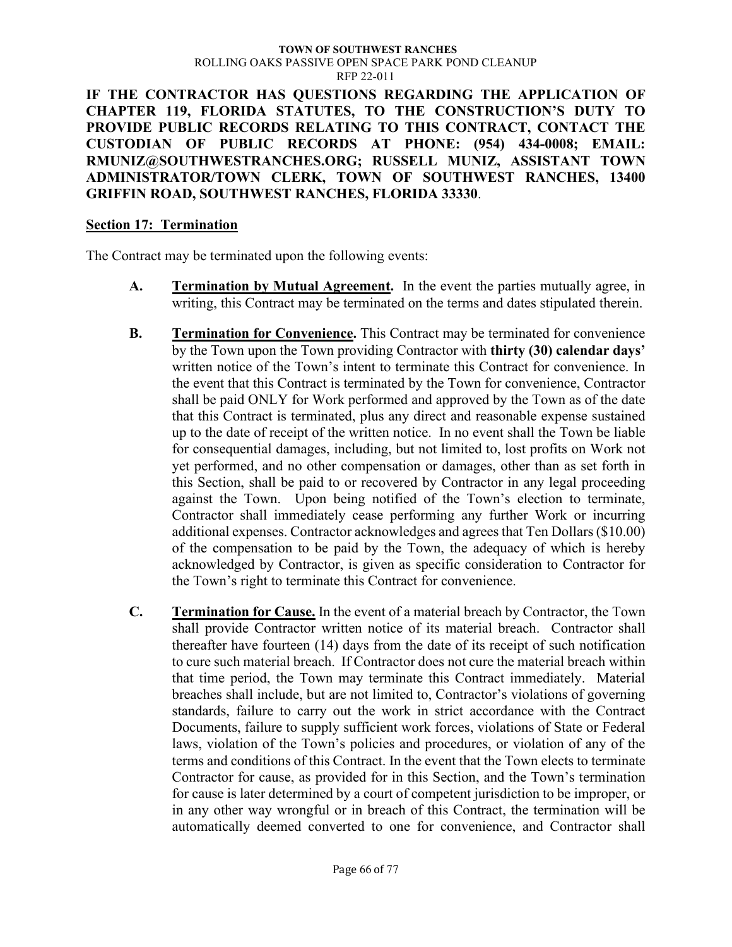**IF THE CONTRACTOR HAS QUESTIONS REGARDING THE APPLICATION OF CHAPTER 119, FLORIDA STATUTES, TO THE CONSTRUCTION'S DUTY TO PROVIDE PUBLIC RECORDS RELATING TO THIS CONTRACT, CONTACT THE CUSTODIAN OF PUBLIC RECORDS AT PHONE: (954) 434-0008; EMAIL: RMUNIZ@SOUTHWESTRANCHES.ORG; RUSSELL MUNIZ, ASSISTANT TOWN ADMINISTRATOR/TOWN CLERK, TOWN OF SOUTHWEST RANCHES, 13400 GRIFFIN ROAD, SOUTHWEST RANCHES, FLORIDA 33330**.

### **Section 17: Termination**

The Contract may be terminated upon the following events:

- **A. Termination by Mutual Agreement.** In the event the parties mutually agree, in writing, this Contract may be terminated on the terms and dates stipulated therein.
- **B. Termination for Convenience.** This Contract may be terminated for convenience by the Town upon the Town providing Contractor with **thirty (30) calendar days'** written notice of the Town's intent to terminate this Contract for convenience. In the event that this Contract is terminated by the Town for convenience, Contractor shall be paid ONLY for Work performed and approved by the Town as of the date that this Contract is terminated, plus any direct and reasonable expense sustained up to the date of receipt of the written notice. In no event shall the Town be liable for consequential damages, including, but not limited to, lost profits on Work not yet performed, and no other compensation or damages, other than as set forth in this Section, shall be paid to or recovered by Contractor in any legal proceeding against the Town. Upon being notified of the Town's election to terminate, Contractor shall immediately cease performing any further Work or incurring additional expenses. Contractor acknowledges and agrees that Ten Dollars (\$10.00) of the compensation to be paid by the Town, the adequacy of which is hereby acknowledged by Contractor, is given as specific consideration to Contractor for the Town's right to terminate this Contract for convenience.
- **C. Termination for Cause.** In the event of a material breach by Contractor, the Town shall provide Contractor written notice of its material breach. Contractor shall thereafter have fourteen (14) days from the date of its receipt of such notification to cure such material breach. If Contractor does not cure the material breach within that time period, the Town may terminate this Contract immediately. Material breaches shall include, but are not limited to, Contractor's violations of governing standards, failure to carry out the work in strict accordance with the Contract Documents, failure to supply sufficient work forces, violations of State or Federal laws, violation of the Town's policies and procedures, or violation of any of the terms and conditions of this Contract. In the event that the Town elects to terminate Contractor for cause, as provided for in this Section, and the Town's termination for cause is later determined by a court of competent jurisdiction to be improper, or in any other way wrongful or in breach of this Contract, the termination will be automatically deemed converted to one for convenience, and Contractor shall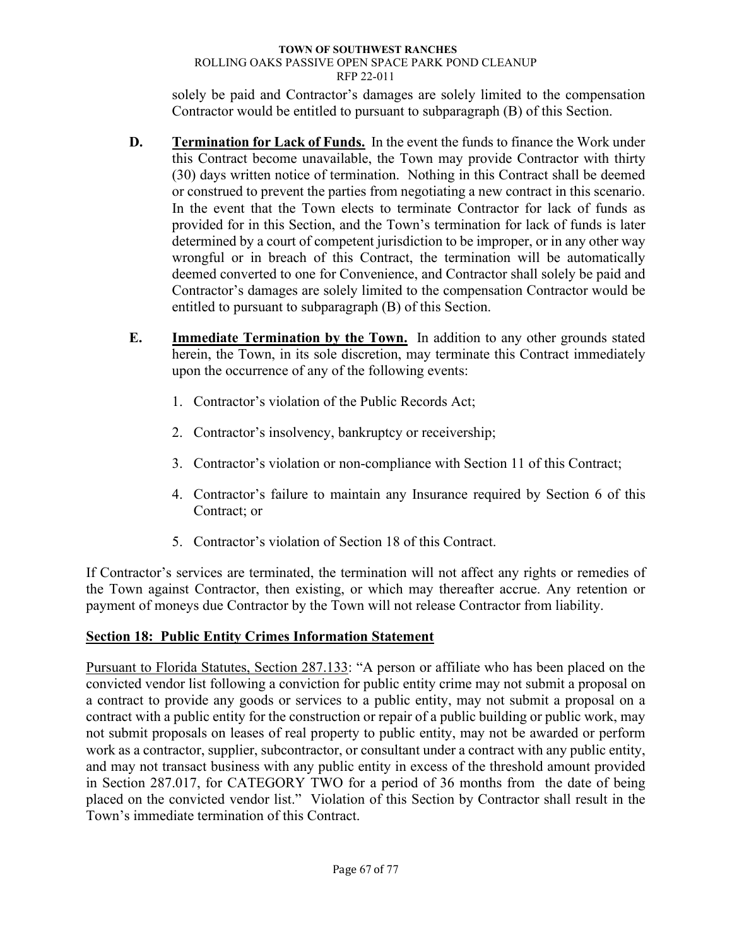solely be paid and Contractor's damages are solely limited to the compensation Contractor would be entitled to pursuant to subparagraph (B) of this Section.

- **D. Termination for Lack of Funds.** In the event the funds to finance the Work under this Contract become unavailable, the Town may provide Contractor with thirty (30) days written notice of termination. Nothing in this Contract shall be deemed or construed to prevent the parties from negotiating a new contract in this scenario. In the event that the Town elects to terminate Contractor for lack of funds as provided for in this Section, and the Town's termination for lack of funds is later determined by a court of competent jurisdiction to be improper, or in any other way wrongful or in breach of this Contract, the termination will be automatically deemed converted to one for Convenience, and Contractor shall solely be paid and Contractor's damages are solely limited to the compensation Contractor would be entitled to pursuant to subparagraph (B) of this Section.
- **E. Immediate Termination by the Town.** In addition to any other grounds stated herein, the Town, in its sole discretion, may terminate this Contract immediately upon the occurrence of any of the following events:
	- 1. Contractor's violation of the Public Records Act;
	- 2. Contractor's insolvency, bankruptcy or receivership;
	- 3. Contractor's violation or non-compliance with Section 11 of this Contract;
	- 4. Contractor's failure to maintain any Insurance required by Section 6 of this Contract; or
	- 5. Contractor's violation of Section 18 of this Contract.

If Contractor's services are terminated, the termination will not affect any rights or remedies of the Town against Contractor, then existing, or which may thereafter accrue. Any retention or payment of moneys due Contractor by the Town will not release Contractor from liability.

# **Section 18: Public Entity Crimes Information Statement**

Pursuant to Florida Statutes, Section 287.133: "A person or affiliate who has been placed on the convicted vendor list following a conviction for public entity crime may not submit a proposal on a contract to provide any goods or services to a public entity, may not submit a proposal on a contract with a public entity for the construction or repair of a public building or public work, may not submit proposals on leases of real property to public entity, may not be awarded or perform work as a contractor, supplier, subcontractor, or consultant under a contract with any public entity, and may not transact business with any public entity in excess of the threshold amount provided in Section 287.017, for CATEGORY TWO for a period of 36 months from the date of being placed on the convicted vendor list." Violation of this Section by Contractor shall result in the Town's immediate termination of this Contract.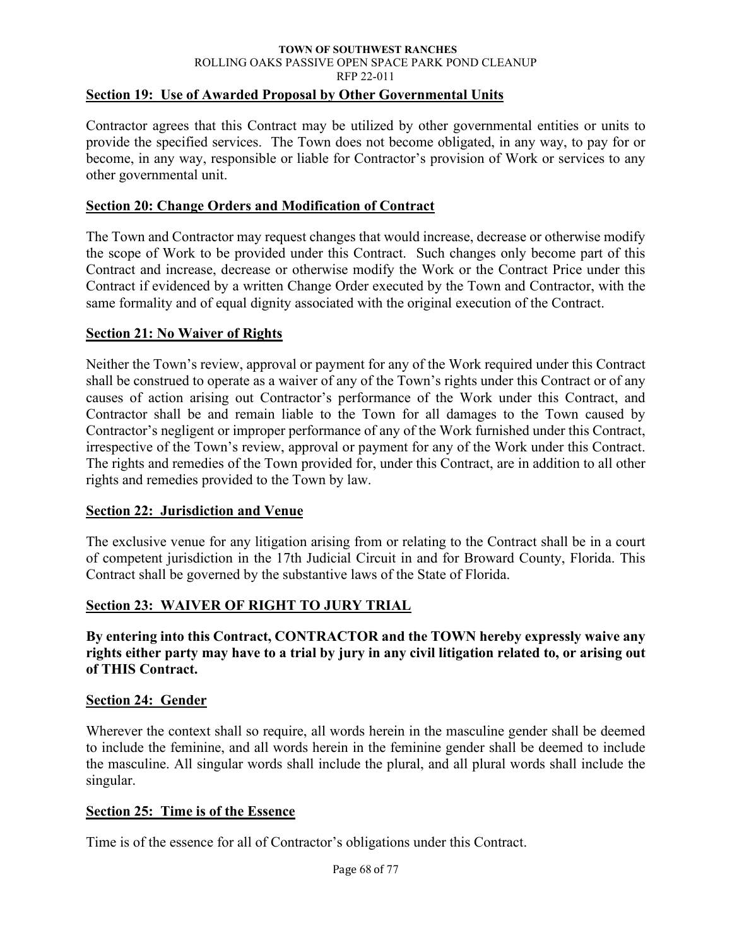## **Section 19: Use of Awarded Proposal by Other Governmental Units**

Contractor agrees that this Contract may be utilized by other governmental entities or units to provide the specified services. The Town does not become obligated, in any way, to pay for or become, in any way, responsible or liable for Contractor's provision of Work or services to any other governmental unit.

## **Section 20: Change Orders and Modification of Contract**

The Town and Contractor may request changes that would increase, decrease or otherwise modify the scope of Work to be provided under this Contract. Such changes only become part of this Contract and increase, decrease or otherwise modify the Work or the Contract Price under this Contract if evidenced by a written Change Order executed by the Town and Contractor, with the same formality and of equal dignity associated with the original execution of the Contract.

## **Section 21: No Waiver of Rights**

Neither the Town's review, approval or payment for any of the Work required under this Contract shall be construed to operate as a waiver of any of the Town's rights under this Contract or of any causes of action arising out Contractor's performance of the Work under this Contract, and Contractor shall be and remain liable to the Town for all damages to the Town caused by Contractor's negligent or improper performance of any of the Work furnished under this Contract, irrespective of the Town's review, approval or payment for any of the Work under this Contract. The rights and remedies of the Town provided for, under this Contract, are in addition to all other rights and remedies provided to the Town by law.

## **Section 22: Jurisdiction and Venue**

The exclusive venue for any litigation arising from or relating to the Contract shall be in a court of competent jurisdiction in the 17th Judicial Circuit in and for Broward County, Florida. This Contract shall be governed by the substantive laws of the State of Florida.

## **Section 23: WAIVER OF RIGHT TO JURY TRIAL**

**By entering into this Contract, CONTRACTOR and the TOWN hereby expressly waive any rights either party may have to a trial by jury in any civil litigation related to, or arising out of THIS Contract.**

## **Section 24: Gender**

Wherever the context shall so require, all words herein in the masculine gender shall be deemed to include the feminine, and all words herein in the feminine gender shall be deemed to include the masculine. All singular words shall include the plural, and all plural words shall include the singular.

## **Section 25: Time is of the Essence**

Time is of the essence for all of Contractor's obligations under this Contract.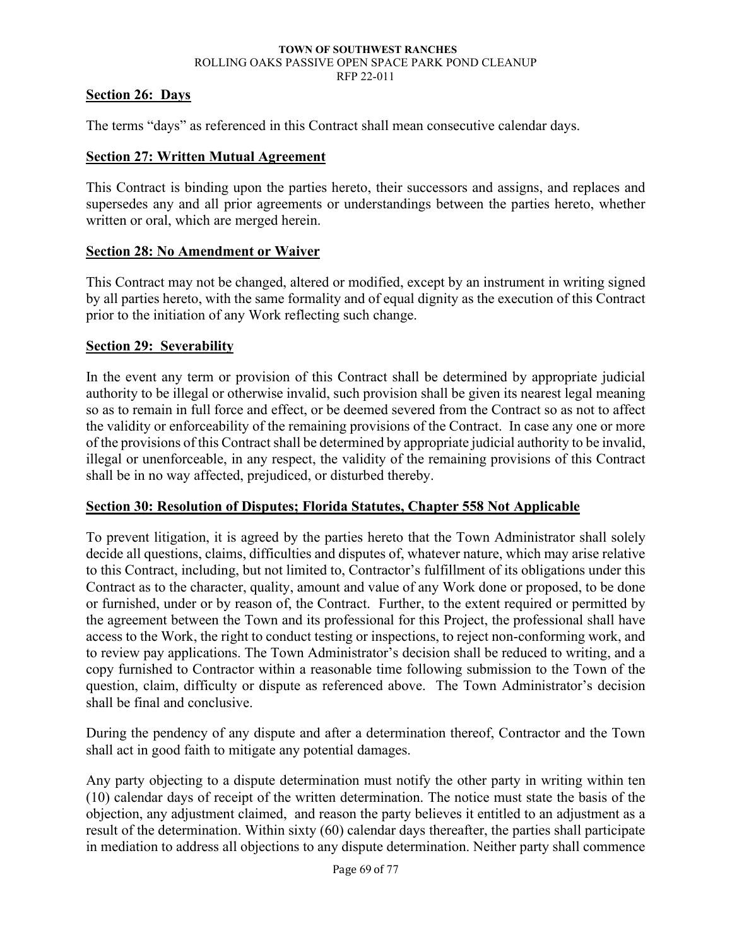## **Section 26: Days**

The terms "days" as referenced in this Contract shall mean consecutive calendar days.

### **Section 27: Written Mutual Agreement**

This Contract is binding upon the parties hereto, their successors and assigns, and replaces and supersedes any and all prior agreements or understandings between the parties hereto, whether written or oral, which are merged herein.

### **Section 28: No Amendment or Waiver**

This Contract may not be changed, altered or modified, except by an instrument in writing signed by all parties hereto, with the same formality and of equal dignity as the execution of this Contract prior to the initiation of any Work reflecting such change.

### **Section 29: Severability**

In the event any term or provision of this Contract shall be determined by appropriate judicial authority to be illegal or otherwise invalid, such provision shall be given its nearest legal meaning so as to remain in full force and effect, or be deemed severed from the Contract so as not to affect the validity or enforceability of the remaining provisions of the Contract. In case any one or more of the provisions of this Contract shall be determined by appropriate judicial authority to be invalid, illegal or unenforceable, in any respect, the validity of the remaining provisions of this Contract shall be in no way affected, prejudiced, or disturbed thereby.

## **Section 30: Resolution of Disputes; Florida Statutes, Chapter 558 Not Applicable**

To prevent litigation, it is agreed by the parties hereto that the Town Administrator shall solely decide all questions, claims, difficulties and disputes of, whatever nature, which may arise relative to this Contract, including, but not limited to, Contractor's fulfillment of its obligations under this Contract as to the character, quality, amount and value of any Work done or proposed, to be done or furnished, under or by reason of, the Contract. Further, to the extent required or permitted by the agreement between the Town and its professional for this Project, the professional shall have access to the Work, the right to conduct testing or inspections, to reject non-conforming work, and to review pay applications. The Town Administrator's decision shall be reduced to writing, and a copy furnished to Contractor within a reasonable time following submission to the Town of the question, claim, difficulty or dispute as referenced above. The Town Administrator's decision shall be final and conclusive.

During the pendency of any dispute and after a determination thereof, Contractor and the Town shall act in good faith to mitigate any potential damages.

Any party objecting to a dispute determination must notify the other party in writing within ten (10) calendar days of receipt of the written determination. The notice must state the basis of the objection, any adjustment claimed, and reason the party believes it entitled to an adjustment as a result of the determination. Within sixty (60) calendar days thereafter, the parties shall participate in mediation to address all objections to any dispute determination. Neither party shall commence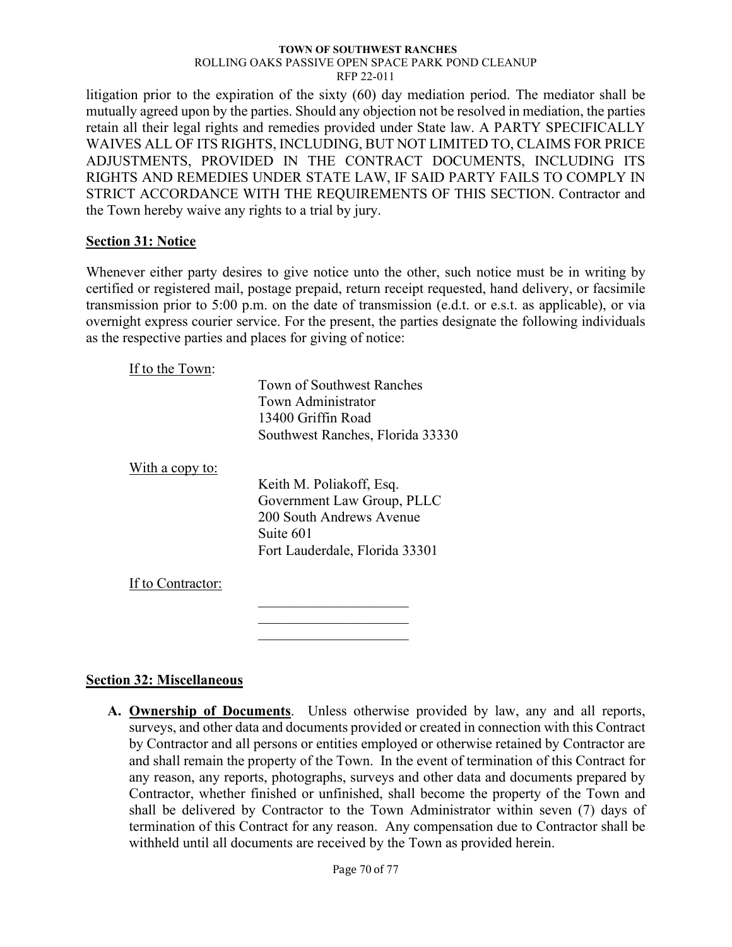litigation prior to the expiration of the sixty (60) day mediation period. The mediator shall be mutually agreed upon by the parties. Should any objection not be resolved in mediation, the parties retain all their legal rights and remedies provided under State law. A PARTY SPECIFICALLY WAIVES ALL OF ITS RIGHTS, INCLUDING, BUT NOT LIMITED TO, CLAIMS FOR PRICE ADJUSTMENTS, PROVIDED IN THE CONTRACT DOCUMENTS, INCLUDING ITS RIGHTS AND REMEDIES UNDER STATE LAW, IF SAID PARTY FAILS TO COMPLY IN STRICT ACCORDANCE WITH THE REQUIREMENTS OF THIS SECTION. Contractor and the Town hereby waive any rights to a trial by jury.

## **Section 31: Notice**

Whenever either party desires to give notice unto the other, such notice must be in writing by certified or registered mail, postage prepaid, return receipt requested, hand delivery, or facsimile transmission prior to 5:00 p.m. on the date of transmission (e.d.t. or e.s.t. as applicable), or via overnight express courier service. For the present, the parties designate the following individuals as the respective parties and places for giving of notice:

If to the Town:

|                   | Town of Southwest Ranches        |  |  |
|-------------------|----------------------------------|--|--|
|                   | Town Administrator               |  |  |
|                   | 13400 Griffin Road               |  |  |
|                   | Southwest Ranches, Florida 33330 |  |  |
| With a copy to:   |                                  |  |  |
|                   | Keith M. Poliakoff, Esq.         |  |  |
|                   | Government Law Group, PLLC       |  |  |
|                   | 200 South Andrews Avenue         |  |  |
|                   | Suite 601                        |  |  |
|                   | Fort Lauderdale, Florida 33301   |  |  |
| If to Contractor: |                                  |  |  |
|                   |                                  |  |  |
|                   |                                  |  |  |

 $\overline{\phantom{a}}$  . The set of the set of the set of the set of the set of the set of the set of the set of the set of the set of the set of the set of the set of the set of the set of the set of the set of the set of the set o

## **Section 32: Miscellaneous**

**A. Ownership of Documents**. Unless otherwise provided by law, any and all reports, surveys, and other data and documents provided or created in connection with this Contract by Contractor and all persons or entities employed or otherwise retained by Contractor are and shall remain the property of the Town. In the event of termination of this Contract for any reason, any reports, photographs, surveys and other data and documents prepared by Contractor, whether finished or unfinished, shall become the property of the Town and shall be delivered by Contractor to the Town Administrator within seven (7) days of termination of this Contract for any reason. Any compensation due to Contractor shall be withheld until all documents are received by the Town as provided herein.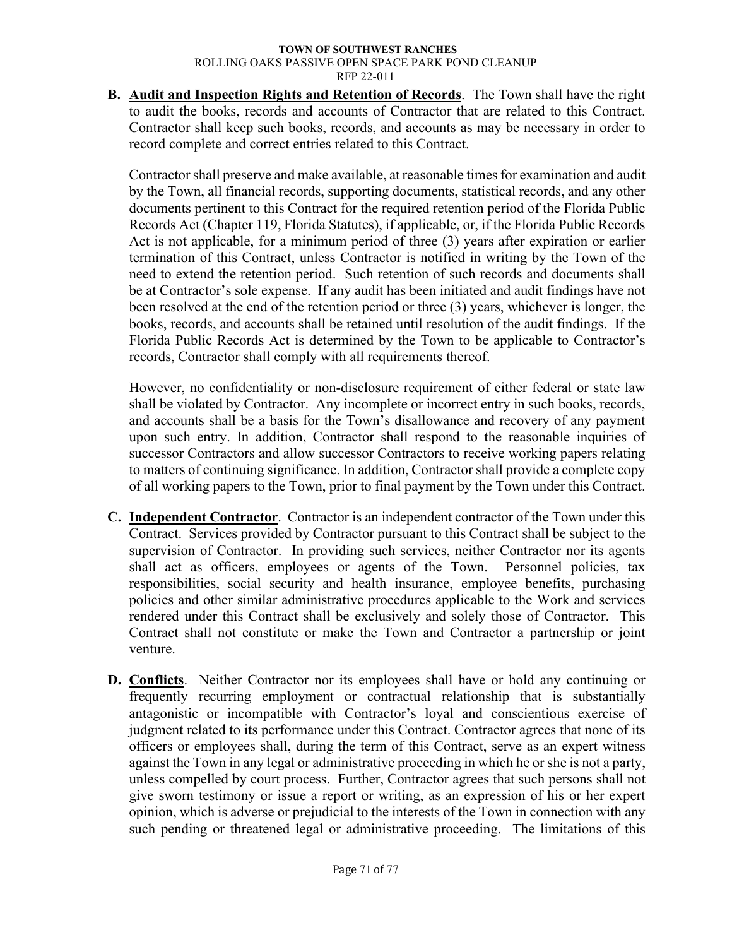**B. Audit and Inspection Rights and Retention of Records**. The Town shall have the right to audit the books, records and accounts of Contractor that are related to this Contract. Contractor shall keep such books, records, and accounts as may be necessary in order to record complete and correct entries related to this Contract.

Contractor shall preserve and make available, at reasonable times for examination and audit by the Town, all financial records, supporting documents, statistical records, and any other documents pertinent to this Contract for the required retention period of the Florida Public Records Act (Chapter 119, Florida Statutes), if applicable, or, if the Florida Public Records Act is not applicable, for a minimum period of three (3) years after expiration or earlier termination of this Contract, unless Contractor is notified in writing by the Town of the need to extend the retention period. Such retention of such records and documents shall be at Contractor's sole expense. If any audit has been initiated and audit findings have not been resolved at the end of the retention period or three (3) years, whichever is longer, the books, records, and accounts shall be retained until resolution of the audit findings. If the Florida Public Records Act is determined by the Town to be applicable to Contractor's records, Contractor shall comply with all requirements thereof.

However, no confidentiality or non-disclosure requirement of either federal or state law shall be violated by Contractor. Any incomplete or incorrect entry in such books, records, and accounts shall be a basis for the Town's disallowance and recovery of any payment upon such entry. In addition, Contractor shall respond to the reasonable inquiries of successor Contractors and allow successor Contractors to receive working papers relating to matters of continuing significance. In addition, Contractor shall provide a complete copy of all working papers to the Town, prior to final payment by the Town under this Contract.

- **C. Independent Contractor**. Contractor is an independent contractor of the Town under this Contract. Services provided by Contractor pursuant to this Contract shall be subject to the supervision of Contractor. In providing such services, neither Contractor nor its agents shall act as officers, employees or agents of the Town. Personnel policies, tax responsibilities, social security and health insurance, employee benefits, purchasing policies and other similar administrative procedures applicable to the Work and services rendered under this Contract shall be exclusively and solely those of Contractor. This Contract shall not constitute or make the Town and Contractor a partnership or joint venture.
- **D. Conflicts**. Neither Contractor nor its employees shall have or hold any continuing or frequently recurring employment or contractual relationship that is substantially antagonistic or incompatible with Contractor's loyal and conscientious exercise of judgment related to its performance under this Contract. Contractor agrees that none of its officers or employees shall, during the term of this Contract, serve as an expert witness against the Town in any legal or administrative proceeding in which he or she is not a party, unless compelled by court process. Further, Contractor agrees that such persons shall not give sworn testimony or issue a report or writing, as an expression of his or her expert opinion, which is adverse or prejudicial to the interests of the Town in connection with any such pending or threatened legal or administrative proceeding. The limitations of this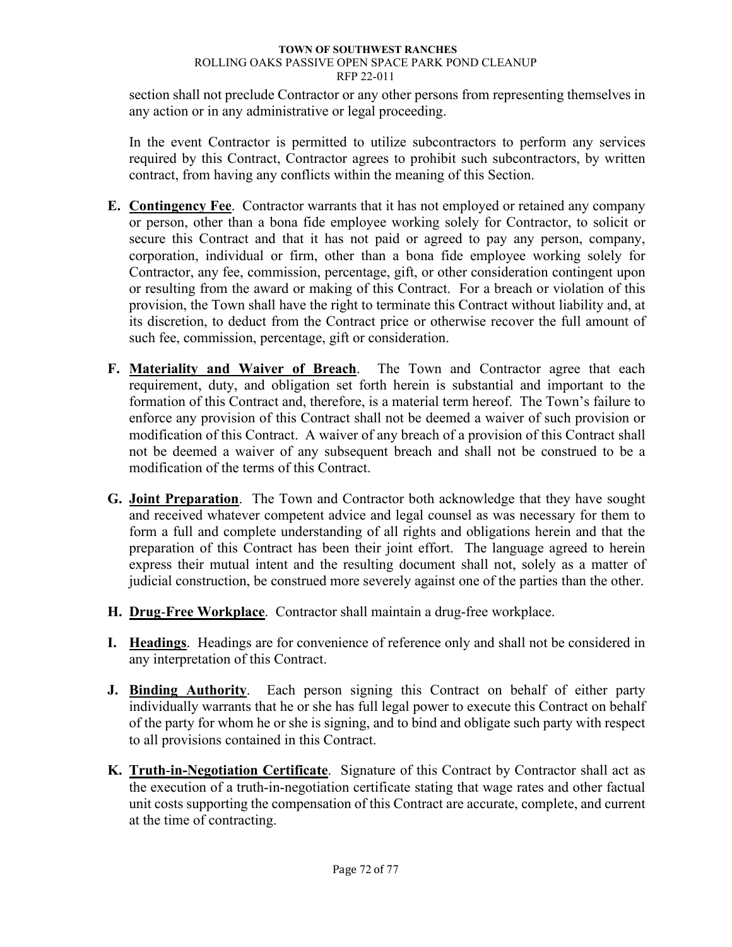section shall not preclude Contractor or any other persons from representing themselves in any action or in any administrative or legal proceeding.

In the event Contractor is permitted to utilize subcontractors to perform any services required by this Contract, Contractor agrees to prohibit such subcontractors, by written contract, from having any conflicts within the meaning of this Section.

- **E. Contingency Fee**. Contractor warrants that it has not employed or retained any company or person, other than a bona fide employee working solely for Contractor, to solicit or secure this Contract and that it has not paid or agreed to pay any person, company, corporation, individual or firm, other than a bona fide employee working solely for Contractor, any fee, commission, percentage, gift, or other consideration contingent upon or resulting from the award or making of this Contract. For a breach or violation of this provision, the Town shall have the right to terminate this Contract without liability and, at its discretion, to deduct from the Contract price or otherwise recover the full amount of such fee, commission, percentage, gift or consideration.
- **F. Materiality and Waiver of Breach**. The Town and Contractor agree that each requirement, duty, and obligation set forth herein is substantial and important to the formation of this Contract and, therefore, is a material term hereof. The Town's failure to enforce any provision of this Contract shall not be deemed a waiver of such provision or modification of this Contract. A waiver of any breach of a provision of this Contract shall not be deemed a waiver of any subsequent breach and shall not be construed to be a modification of the terms of this Contract.
- **G. Joint Preparation**. The Town and Contractor both acknowledge that they have sought and received whatever competent advice and legal counsel as was necessary for them to form a full and complete understanding of all rights and obligations herein and that the preparation of this Contract has been their joint effort. The language agreed to herein express their mutual intent and the resulting document shall not, solely as a matter of judicial construction, be construed more severely against one of the parties than the other.
- **H. Drug**-**Free Workplace**. Contractor shall maintain a drug-free workplace.
- **I. Headings**. Headings are for convenience of reference only and shall not be considered in any interpretation of this Contract.
- **J. Binding Authority**. Each person signing this Contract on behalf of either party individually warrants that he or she has full legal power to execute this Contract on behalf of the party for whom he or she is signing, and to bind and obligate such party with respect to all provisions contained in this Contract.
- **K. Truth**-**in-Negotiation Certificate**. Signature of this Contract by Contractor shall act as the execution of a truth-in-negotiation certificate stating that wage rates and other factual unit costs supporting the compensation of this Contract are accurate, complete, and current at the time of contracting.